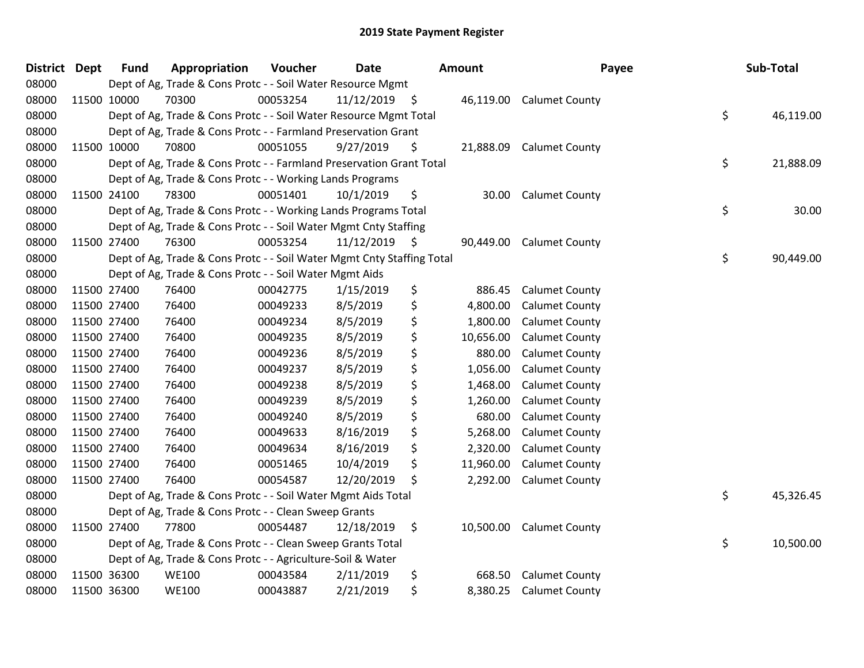| <b>District Dept</b> |             | <b>Fund</b> | Appropriation                                                          | Voucher  | <b>Date</b>     | <b>Amount</b>   | Payee                 | Sub-Total       |
|----------------------|-------------|-------------|------------------------------------------------------------------------|----------|-----------------|-----------------|-----------------------|-----------------|
| 08000                |             |             | Dept of Ag, Trade & Cons Protc - - Soil Water Resource Mgmt            |          |                 |                 |                       |                 |
| 08000                |             | 11500 10000 | 70300                                                                  | 00053254 | $11/12/2019$ \$ | 46,119.00       | <b>Calumet County</b> |                 |
| 08000                |             |             | Dept of Ag, Trade & Cons Protc - - Soil Water Resource Mgmt Total      |          |                 |                 |                       | \$<br>46,119.00 |
| 08000                |             |             | Dept of Ag, Trade & Cons Protc - - Farmland Preservation Grant         |          |                 |                 |                       |                 |
| 08000                |             | 11500 10000 | 70800                                                                  | 00051055 | 9/27/2019       | \$<br>21,888.09 | <b>Calumet County</b> |                 |
| 08000                |             |             | Dept of Ag, Trade & Cons Protc - - Farmland Preservation Grant Total   |          |                 |                 |                       | \$<br>21,888.09 |
| 08000                |             |             | Dept of Ag, Trade & Cons Protc - - Working Lands Programs              |          |                 |                 |                       |                 |
| 08000                |             | 11500 24100 | 78300                                                                  | 00051401 | 10/1/2019       | \$<br>30.00     | <b>Calumet County</b> |                 |
| 08000                |             |             | Dept of Ag, Trade & Cons Protc - - Working Lands Programs Total        |          |                 |                 |                       | \$<br>30.00     |
| 08000                |             |             | Dept of Ag, Trade & Cons Protc - - Soil Water Mgmt Cnty Staffing       |          |                 |                 |                       |                 |
| 08000                |             | 11500 27400 | 76300                                                                  | 00053254 | $11/12/2019$ \$ | 90,449.00       | <b>Calumet County</b> |                 |
| 08000                |             |             | Dept of Ag, Trade & Cons Protc - - Soil Water Mgmt Cnty Staffing Total |          |                 |                 |                       | \$<br>90,449.00 |
| 08000                |             |             | Dept of Ag, Trade & Cons Protc - - Soil Water Mgmt Aids                |          |                 |                 |                       |                 |
| 08000                | 11500 27400 |             | 76400                                                                  | 00042775 | 1/15/2019       | \$<br>886.45    | <b>Calumet County</b> |                 |
| 08000                | 11500 27400 |             | 76400                                                                  | 00049233 | 8/5/2019        | \$<br>4,800.00  | <b>Calumet County</b> |                 |
| 08000                |             | 11500 27400 | 76400                                                                  | 00049234 | 8/5/2019        | \$<br>1,800.00  | <b>Calumet County</b> |                 |
| 08000                |             | 11500 27400 | 76400                                                                  | 00049235 | 8/5/2019        | \$<br>10,656.00 | <b>Calumet County</b> |                 |
| 08000                |             | 11500 27400 | 76400                                                                  | 00049236 | 8/5/2019        | \$<br>880.00    | <b>Calumet County</b> |                 |
| 08000                | 11500 27400 |             | 76400                                                                  | 00049237 | 8/5/2019        | \$<br>1,056.00  | <b>Calumet County</b> |                 |
| 08000                |             | 11500 27400 | 76400                                                                  | 00049238 | 8/5/2019        | \$<br>1,468.00  | Calumet County        |                 |
| 08000                |             | 11500 27400 | 76400                                                                  | 00049239 | 8/5/2019        | \$<br>1,260.00  | <b>Calumet County</b> |                 |
| 08000                | 11500 27400 |             | 76400                                                                  | 00049240 | 8/5/2019        | \$<br>680.00    | <b>Calumet County</b> |                 |
| 08000                | 11500 27400 |             | 76400                                                                  | 00049633 | 8/16/2019       | \$<br>5,268.00  | <b>Calumet County</b> |                 |
| 08000                | 11500 27400 |             | 76400                                                                  | 00049634 | 8/16/2019       | \$<br>2,320.00  | <b>Calumet County</b> |                 |
| 08000                | 11500 27400 |             | 76400                                                                  | 00051465 | 10/4/2019       | \$<br>11,960.00 | <b>Calumet County</b> |                 |
| 08000                | 11500 27400 |             | 76400                                                                  | 00054587 | 12/20/2019      | \$<br>2,292.00  | <b>Calumet County</b> |                 |
| 08000                |             |             | Dept of Ag, Trade & Cons Protc - - Soil Water Mgmt Aids Total          |          |                 |                 |                       | \$<br>45,326.45 |
| 08000                |             |             | Dept of Ag, Trade & Cons Protc - - Clean Sweep Grants                  |          |                 |                 |                       |                 |
| 08000                |             | 11500 27400 | 77800                                                                  | 00054487 | 12/18/2019      | \$<br>10,500.00 | <b>Calumet County</b> |                 |
| 08000                |             |             | Dept of Ag, Trade & Cons Protc - - Clean Sweep Grants Total            |          |                 |                 |                       | \$<br>10,500.00 |
| 08000                |             |             | Dept of Ag, Trade & Cons Protc - - Agriculture-Soil & Water            |          |                 |                 |                       |                 |
| 08000                |             | 11500 36300 | <b>WE100</b>                                                           | 00043584 | 2/11/2019       | \$<br>668.50    | <b>Calumet County</b> |                 |
| 08000                |             | 11500 36300 | <b>WE100</b>                                                           | 00043887 | 2/21/2019       | \$<br>8,380.25  | <b>Calumet County</b> |                 |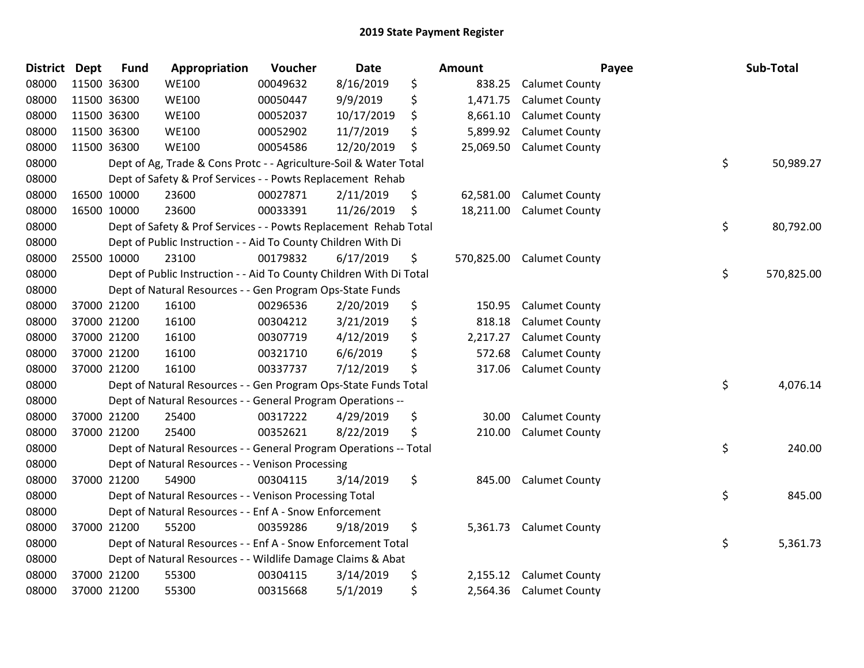| <b>District</b> | <b>Dept</b> | <b>Fund</b> | Appropriation                                                       | Voucher  | Date       | Amount          |                           | Payee | Sub-Total  |
|-----------------|-------------|-------------|---------------------------------------------------------------------|----------|------------|-----------------|---------------------------|-------|------------|
| 08000           |             | 11500 36300 | <b>WE100</b>                                                        | 00049632 | 8/16/2019  | \$<br>838.25    | <b>Calumet County</b>     |       |            |
| 08000           |             | 11500 36300 | <b>WE100</b>                                                        | 00050447 | 9/9/2019   | \$<br>1,471.75  | <b>Calumet County</b>     |       |            |
| 08000           |             | 11500 36300 | <b>WE100</b>                                                        | 00052037 | 10/17/2019 | \$<br>8,661.10  | <b>Calumet County</b>     |       |            |
| 08000           |             | 11500 36300 | <b>WE100</b>                                                        | 00052902 | 11/7/2019  | \$<br>5,899.92  | <b>Calumet County</b>     |       |            |
| 08000           |             | 11500 36300 | <b>WE100</b>                                                        | 00054586 | 12/20/2019 | \$<br>25,069.50 | <b>Calumet County</b>     |       |            |
| 08000           |             |             | Dept of Ag, Trade & Cons Protc - - Agriculture-Soil & Water Total   |          |            |                 |                           | \$    | 50,989.27  |
| 08000           |             |             | Dept of Safety & Prof Services - - Powts Replacement Rehab          |          |            |                 |                           |       |            |
| 08000           |             | 16500 10000 | 23600                                                               | 00027871 | 2/11/2019  | \$<br>62,581.00 | <b>Calumet County</b>     |       |            |
| 08000           |             | 16500 10000 | 23600                                                               | 00033391 | 11/26/2019 | \$<br>18,211.00 | <b>Calumet County</b>     |       |            |
| 08000           |             |             | Dept of Safety & Prof Services - - Powts Replacement Rehab Total    |          |            |                 |                           | \$    | 80,792.00  |
| 08000           |             |             | Dept of Public Instruction - - Aid To County Children With Di       |          |            |                 |                           |       |            |
| 08000           |             | 25500 10000 | 23100                                                               | 00179832 | 6/17/2019  | \$              | 570,825.00 Calumet County |       |            |
| 08000           |             |             | Dept of Public Instruction - - Aid To County Children With Di Total |          |            |                 |                           | \$    | 570,825.00 |
| 08000           |             |             | Dept of Natural Resources - - Gen Program Ops-State Funds           |          |            |                 |                           |       |            |
| 08000           |             | 37000 21200 | 16100                                                               | 00296536 | 2/20/2019  | \$<br>150.95    | <b>Calumet County</b>     |       |            |
| 08000           |             | 37000 21200 | 16100                                                               | 00304212 | 3/21/2019  | \$<br>818.18    | <b>Calumet County</b>     |       |            |
| 08000           |             | 37000 21200 | 16100                                                               | 00307719 | 4/12/2019  | \$<br>2,217.27  | <b>Calumet County</b>     |       |            |
| 08000           |             | 37000 21200 | 16100                                                               | 00321710 | 6/6/2019   | \$<br>572.68    | <b>Calumet County</b>     |       |            |
| 08000           |             | 37000 21200 | 16100                                                               | 00337737 | 7/12/2019  | \$<br>317.06    | <b>Calumet County</b>     |       |            |
| 08000           |             |             | Dept of Natural Resources - - Gen Program Ops-State Funds Total     |          |            |                 |                           | \$    | 4,076.14   |
| 08000           |             |             | Dept of Natural Resources - - General Program Operations --         |          |            |                 |                           |       |            |
| 08000           |             | 37000 21200 | 25400                                                               | 00317222 | 4/29/2019  | \$<br>30.00     | <b>Calumet County</b>     |       |            |
| 08000           |             | 37000 21200 | 25400                                                               | 00352621 | 8/22/2019  | \$<br>210.00    | <b>Calumet County</b>     |       |            |
| 08000           |             |             | Dept of Natural Resources - - General Program Operations -- Total   |          |            |                 |                           | \$    | 240.00     |
| 08000           |             |             | Dept of Natural Resources - - Venison Processing                    |          |            |                 |                           |       |            |
| 08000           |             | 37000 21200 | 54900                                                               | 00304115 | 3/14/2019  | \$<br>845.00    | <b>Calumet County</b>     |       |            |
| 08000           |             |             | Dept of Natural Resources - - Venison Processing Total              |          |            |                 |                           | \$    | 845.00     |
| 08000           |             |             | Dept of Natural Resources - - Enf A - Snow Enforcement              |          |            |                 |                           |       |            |
| 08000           |             | 37000 21200 | 55200                                                               | 00359286 | 9/18/2019  | \$<br>5,361.73  | <b>Calumet County</b>     |       |            |
| 08000           |             |             | Dept of Natural Resources - - Enf A - Snow Enforcement Total        |          |            |                 |                           | \$    | 5,361.73   |
| 08000           |             |             | Dept of Natural Resources - - Wildlife Damage Claims & Abat         |          |            |                 |                           |       |            |
| 08000           |             | 37000 21200 | 55300                                                               | 00304115 | 3/14/2019  | \$<br>2,155.12  | <b>Calumet County</b>     |       |            |
| 08000           |             | 37000 21200 | 55300                                                               | 00315668 | 5/1/2019   | \$              | 2,564.36 Calumet County   |       |            |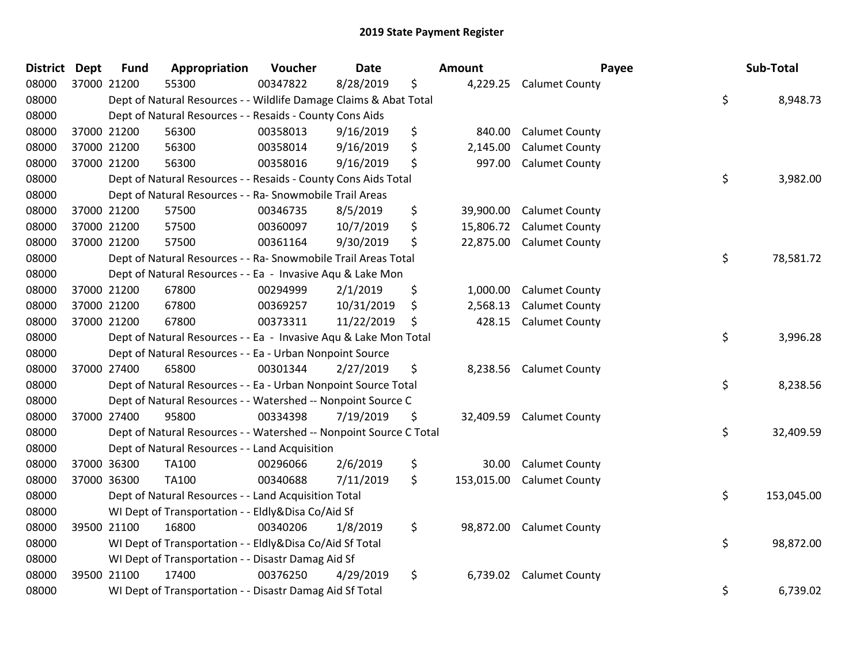| <b>District</b> | <b>Dept</b> | <b>Fund</b> | Appropriation                                                      | Voucher  | <b>Date</b> | Amount           | Payee                   | Sub-Total        |
|-----------------|-------------|-------------|--------------------------------------------------------------------|----------|-------------|------------------|-------------------------|------------------|
| 08000           | 37000 21200 |             | 55300                                                              | 00347822 | 8/28/2019   | \$               | 4,229.25 Calumet County |                  |
| 08000           |             |             | Dept of Natural Resources - - Wildlife Damage Claims & Abat Total  |          |             |                  |                         | \$<br>8,948.73   |
| 08000           |             |             | Dept of Natural Resources - - Resaids - County Cons Aids           |          |             |                  |                         |                  |
| 08000           | 37000 21200 |             | 56300                                                              | 00358013 | 9/16/2019   | \$<br>840.00     | <b>Calumet County</b>   |                  |
| 08000           | 37000 21200 |             | 56300                                                              | 00358014 | 9/16/2019   | \$<br>2,145.00   | <b>Calumet County</b>   |                  |
| 08000           | 37000 21200 |             | 56300                                                              | 00358016 | 9/16/2019   | \$<br>997.00     | <b>Calumet County</b>   |                  |
| 08000           |             |             | Dept of Natural Resources - - Resaids - County Cons Aids Total     |          |             |                  |                         | \$<br>3,982.00   |
| 08000           |             |             | Dept of Natural Resources - - Ra- Snowmobile Trail Areas           |          |             |                  |                         |                  |
| 08000           | 37000 21200 |             | 57500                                                              | 00346735 | 8/5/2019    | \$<br>39,900.00  | <b>Calumet County</b>   |                  |
| 08000           | 37000 21200 |             | 57500                                                              | 00360097 | 10/7/2019   | \$<br>15,806.72  | <b>Calumet County</b>   |                  |
| 08000           | 37000 21200 |             | 57500                                                              | 00361164 | 9/30/2019   | \$<br>22,875.00  | <b>Calumet County</b>   |                  |
| 08000           |             |             | Dept of Natural Resources - - Ra- Snowmobile Trail Areas Total     |          |             |                  |                         | \$<br>78,581.72  |
| 08000           |             |             | Dept of Natural Resources - - Ea - Invasive Aqu & Lake Mon         |          |             |                  |                         |                  |
| 08000           |             | 37000 21200 | 67800                                                              | 00294999 | 2/1/2019    | \$<br>1,000.00   | <b>Calumet County</b>   |                  |
| 08000           | 37000 21200 |             | 67800                                                              | 00369257 | 10/31/2019  | \$<br>2,568.13   | <b>Calumet County</b>   |                  |
| 08000           | 37000 21200 |             | 67800                                                              | 00373311 | 11/22/2019  | \$<br>428.15     | <b>Calumet County</b>   |                  |
| 08000           |             |             | Dept of Natural Resources - - Ea - Invasive Aqu & Lake Mon Total   |          |             |                  |                         | \$<br>3,996.28   |
| 08000           |             |             | Dept of Natural Resources - - Ea - Urban Nonpoint Source           |          |             |                  |                         |                  |
| 08000           | 37000 27400 |             | 65800                                                              | 00301344 | 2/27/2019   | \$<br>8,238.56   | <b>Calumet County</b>   |                  |
| 08000           |             |             | Dept of Natural Resources - - Ea - Urban Nonpoint Source Total     |          |             |                  |                         | \$<br>8,238.56   |
| 08000           |             |             | Dept of Natural Resources - - Watershed -- Nonpoint Source C       |          |             |                  |                         |                  |
| 08000           | 37000 27400 |             | 95800                                                              | 00334398 | 7/19/2019   | \$<br>32,409.59  | <b>Calumet County</b>   |                  |
| 08000           |             |             | Dept of Natural Resources - - Watershed -- Nonpoint Source C Total |          |             |                  |                         | \$<br>32,409.59  |
| 08000           |             |             | Dept of Natural Resources - - Land Acquisition                     |          |             |                  |                         |                  |
| 08000           | 37000 36300 |             | <b>TA100</b>                                                       | 00296066 | 2/6/2019    | \$<br>30.00      | <b>Calumet County</b>   |                  |
| 08000           | 37000 36300 |             | TA100                                                              | 00340688 | 7/11/2019   | \$<br>153,015.00 | <b>Calumet County</b>   |                  |
| 08000           |             |             | Dept of Natural Resources - - Land Acquisition Total               |          |             |                  |                         | \$<br>153,045.00 |
| 08000           |             |             | WI Dept of Transportation - - Eldly&Disa Co/Aid Sf                 |          |             |                  |                         |                  |
| 08000           | 39500 21100 |             | 16800                                                              | 00340206 | 1/8/2019    | \$<br>98,872.00  | <b>Calumet County</b>   |                  |
| 08000           |             |             | WI Dept of Transportation - - Eldly&Disa Co/Aid Sf Total           |          |             |                  |                         | \$<br>98,872.00  |
| 08000           |             |             | WI Dept of Transportation - - Disastr Damag Aid Sf                 |          |             |                  |                         |                  |
| 08000           | 39500 21100 |             | 17400                                                              | 00376250 | 4/29/2019   | \$<br>6,739.02   | <b>Calumet County</b>   |                  |
| 08000           |             |             | WI Dept of Transportation - - Disastr Damag Aid Sf Total           |          |             |                  |                         | \$<br>6,739.02   |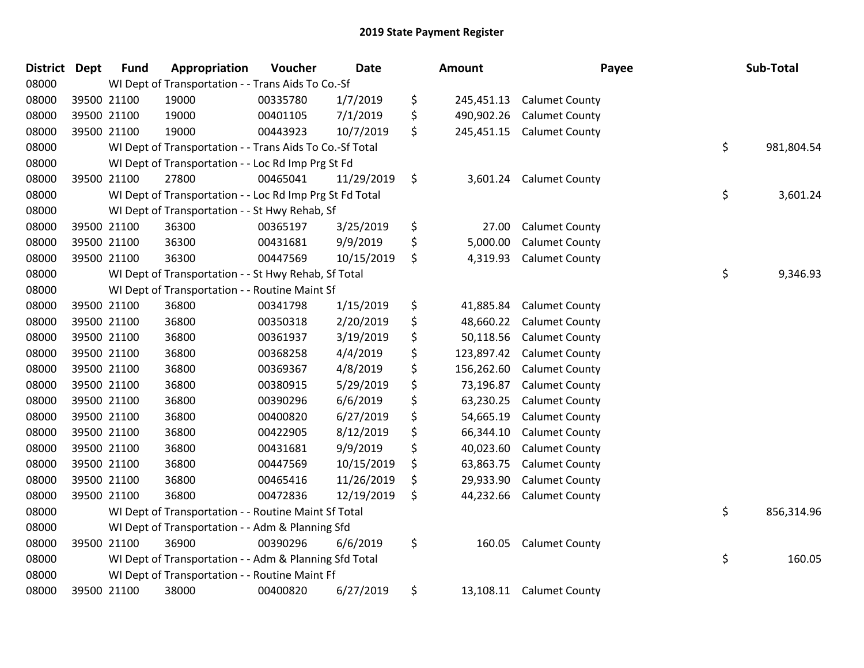| <b>District Dept</b> | <b>Fund</b> | Appropriation                                            | Voucher  | <b>Date</b> | Amount           | Payee                 | Sub-Total        |
|----------------------|-------------|----------------------------------------------------------|----------|-------------|------------------|-----------------------|------------------|
| 08000                |             | WI Dept of Transportation - - Trans Aids To Co.-Sf       |          |             |                  |                       |                  |
| 08000                | 39500 21100 | 19000                                                    | 00335780 | 1/7/2019    | \$<br>245,451.13 | <b>Calumet County</b> |                  |
| 08000                | 39500 21100 | 19000                                                    | 00401105 | 7/1/2019    | \$<br>490,902.26 | <b>Calumet County</b> |                  |
| 08000                | 39500 21100 | 19000                                                    | 00443923 | 10/7/2019   | \$<br>245,451.15 | <b>Calumet County</b> |                  |
| 08000                |             | WI Dept of Transportation - - Trans Aids To Co.-Sf Total |          |             |                  |                       | \$<br>981,804.54 |
| 08000                |             | WI Dept of Transportation - - Loc Rd Imp Prg St Fd       |          |             |                  |                       |                  |
| 08000                | 39500 21100 | 27800                                                    | 00465041 | 11/29/2019  | \$<br>3,601.24   | <b>Calumet County</b> |                  |
| 08000                |             | WI Dept of Transportation - - Loc Rd Imp Prg St Fd Total |          |             |                  |                       | \$<br>3,601.24   |
| 08000                |             | WI Dept of Transportation - - St Hwy Rehab, Sf           |          |             |                  |                       |                  |
| 08000                | 39500 21100 | 36300                                                    | 00365197 | 3/25/2019   | \$<br>27.00      | <b>Calumet County</b> |                  |
| 08000                | 39500 21100 | 36300                                                    | 00431681 | 9/9/2019    | \$<br>5,000.00   | <b>Calumet County</b> |                  |
| 08000                | 39500 21100 | 36300                                                    | 00447569 | 10/15/2019  | \$<br>4,319.93   | <b>Calumet County</b> |                  |
| 08000                |             | WI Dept of Transportation - - St Hwy Rehab, Sf Total     |          |             |                  |                       | \$<br>9,346.93   |
| 08000                |             | WI Dept of Transportation - - Routine Maint Sf           |          |             |                  |                       |                  |
| 08000                | 39500 21100 | 36800                                                    | 00341798 | 1/15/2019   | \$<br>41,885.84  | <b>Calumet County</b> |                  |
| 08000                | 39500 21100 | 36800                                                    | 00350318 | 2/20/2019   | \$<br>48,660.22  | <b>Calumet County</b> |                  |
| 08000                | 39500 21100 | 36800                                                    | 00361937 | 3/19/2019   | \$<br>50,118.56  | <b>Calumet County</b> |                  |
| 08000                | 39500 21100 | 36800                                                    | 00368258 | 4/4/2019    | \$<br>123,897.42 | <b>Calumet County</b> |                  |
| 08000                | 39500 21100 | 36800                                                    | 00369367 | 4/8/2019    | \$<br>156,262.60 | <b>Calumet County</b> |                  |
| 08000                | 39500 21100 | 36800                                                    | 00380915 | 5/29/2019   | \$<br>73,196.87  | <b>Calumet County</b> |                  |
| 08000                | 39500 21100 | 36800                                                    | 00390296 | 6/6/2019    | \$<br>63,230.25  | <b>Calumet County</b> |                  |
| 08000                | 39500 21100 | 36800                                                    | 00400820 | 6/27/2019   | \$<br>54,665.19  | <b>Calumet County</b> |                  |
| 08000                | 39500 21100 | 36800                                                    | 00422905 | 8/12/2019   | \$<br>66,344.10  | <b>Calumet County</b> |                  |
| 08000                | 39500 21100 | 36800                                                    | 00431681 | 9/9/2019    | \$<br>40,023.60  | <b>Calumet County</b> |                  |
| 08000                | 39500 21100 | 36800                                                    | 00447569 | 10/15/2019  | \$<br>63,863.75  | <b>Calumet County</b> |                  |
| 08000                | 39500 21100 | 36800                                                    | 00465416 | 11/26/2019  | \$<br>29,933.90  | <b>Calumet County</b> |                  |
| 08000                | 39500 21100 | 36800                                                    | 00472836 | 12/19/2019  | \$<br>44,232.66  | <b>Calumet County</b> |                  |
| 08000                |             | WI Dept of Transportation - - Routine Maint Sf Total     |          |             |                  |                       | \$<br>856,314.96 |
| 08000                |             | WI Dept of Transportation - - Adm & Planning Sfd         |          |             |                  |                       |                  |
| 08000                | 39500 21100 | 36900                                                    | 00390296 | 6/6/2019    | \$<br>160.05     | <b>Calumet County</b> |                  |
| 08000                |             | WI Dept of Transportation - - Adm & Planning Sfd Total   |          |             |                  |                       | \$<br>160.05     |
| 08000                |             | WI Dept of Transportation - - Routine Maint Ff           |          |             |                  |                       |                  |
| 08000                | 39500 21100 | 38000                                                    | 00400820 | 6/27/2019   | \$<br>13,108.11  | <b>Calumet County</b> |                  |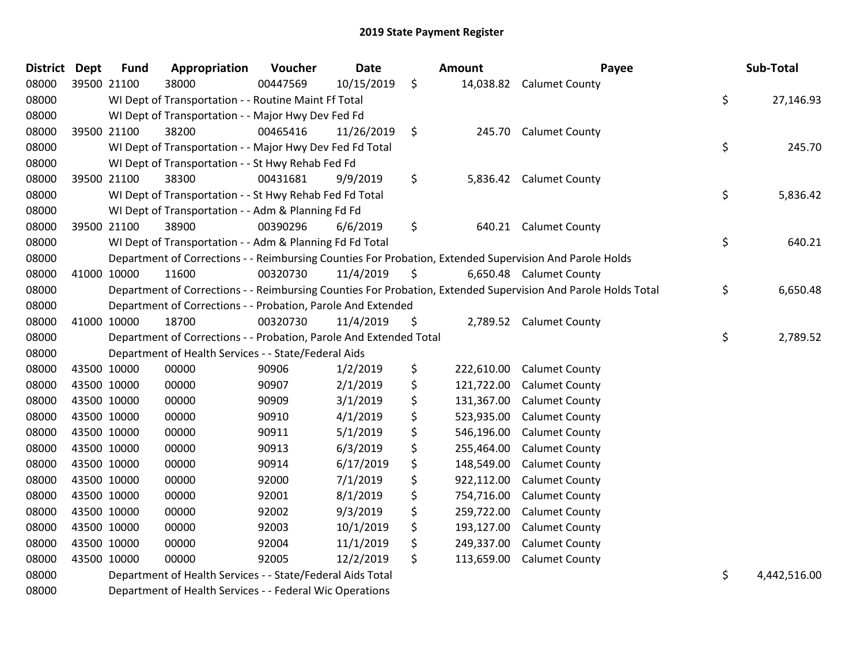| <b>District</b> | <b>Dept</b> | <b>Fund</b> | Appropriation                                                      | Voucher  | <b>Date</b> |     | <b>Amount</b> | Payee                                                                                                         | Sub-Total          |
|-----------------|-------------|-------------|--------------------------------------------------------------------|----------|-------------|-----|---------------|---------------------------------------------------------------------------------------------------------------|--------------------|
| 08000           | 39500 21100 |             | 38000                                                              | 00447569 | 10/15/2019  | \$  | 14,038.82     | <b>Calumet County</b>                                                                                         |                    |
| 08000           |             |             | WI Dept of Transportation - - Routine Maint Ff Total               |          |             |     |               |                                                                                                               | \$<br>27,146.93    |
| 08000           |             |             | WI Dept of Transportation - - Major Hwy Dev Fed Fd                 |          |             |     |               |                                                                                                               |                    |
| 08000           | 39500 21100 |             | 38200                                                              | 00465416 | 11/26/2019  | \$  | 245.70        | <b>Calumet County</b>                                                                                         |                    |
| 08000           |             |             | WI Dept of Transportation - - Major Hwy Dev Fed Fd Total           |          |             |     |               |                                                                                                               | \$<br>245.70       |
| 08000           |             |             | WI Dept of Transportation - - St Hwy Rehab Fed Fd                  |          |             |     |               |                                                                                                               |                    |
| 08000           | 39500 21100 |             | 38300                                                              | 00431681 | 9/9/2019    | \$  | 5,836.42      | <b>Calumet County</b>                                                                                         |                    |
| 08000           |             |             | WI Dept of Transportation - - St Hwy Rehab Fed Fd Total            |          |             |     |               |                                                                                                               | \$<br>5,836.42     |
| 08000           |             |             | WI Dept of Transportation - - Adm & Planning Fd Fd                 |          |             |     |               |                                                                                                               |                    |
| 08000           | 39500 21100 |             | 38900                                                              | 00390296 | 6/6/2019    | \$  | 640.21        | <b>Calumet County</b>                                                                                         |                    |
| 08000           |             |             | WI Dept of Transportation - - Adm & Planning Fd Fd Total           |          |             |     |               |                                                                                                               | \$<br>640.21       |
| 08000           |             |             |                                                                    |          |             |     |               | Department of Corrections - - Reimbursing Counties For Probation, Extended Supervision And Parole Holds       |                    |
| 08000           | 41000 10000 |             | 11600                                                              | 00320730 | 11/4/2019   | \$  |               | 6,650.48 Calumet County                                                                                       |                    |
| 08000           |             |             |                                                                    |          |             |     |               | Department of Corrections - - Reimbursing Counties For Probation, Extended Supervision And Parole Holds Total | \$<br>6,650.48     |
| 08000           |             |             | Department of Corrections - - Probation, Parole And Extended       |          |             |     |               |                                                                                                               |                    |
| 08000           | 41000 10000 |             | 18700                                                              | 00320730 | 11/4/2019   | \$. |               | 2,789.52 Calumet County                                                                                       |                    |
| 08000           |             |             | Department of Corrections - - Probation, Parole And Extended Total |          |             |     |               |                                                                                                               | \$<br>2,789.52     |
| 08000           |             |             | Department of Health Services - - State/Federal Aids               |          |             |     |               |                                                                                                               |                    |
| 08000           | 43500 10000 |             | 00000                                                              | 90906    | 1/2/2019    | \$  | 222,610.00    | <b>Calumet County</b>                                                                                         |                    |
| 08000           | 43500 10000 |             | 00000                                                              | 90907    | 2/1/2019    | \$  | 121,722.00    | <b>Calumet County</b>                                                                                         |                    |
| 08000           | 43500 10000 |             | 00000                                                              | 90909    | 3/1/2019    | \$  | 131,367.00    | <b>Calumet County</b>                                                                                         |                    |
| 08000           | 43500 10000 |             | 00000                                                              | 90910    | 4/1/2019    | \$  | 523,935.00    | <b>Calumet County</b>                                                                                         |                    |
| 08000           | 43500 10000 |             | 00000                                                              | 90911    | 5/1/2019    | \$  | 546,196.00    | <b>Calumet County</b>                                                                                         |                    |
| 08000           | 43500 10000 |             | 00000                                                              | 90913    | 6/3/2019    | \$  | 255,464.00    | <b>Calumet County</b>                                                                                         |                    |
| 08000           | 43500 10000 |             | 00000                                                              | 90914    | 6/17/2019   | \$  | 148,549.00    | <b>Calumet County</b>                                                                                         |                    |
| 08000           | 43500 10000 |             | 00000                                                              | 92000    | 7/1/2019    | \$  | 922,112.00    | <b>Calumet County</b>                                                                                         |                    |
| 08000           | 43500 10000 |             | 00000                                                              | 92001    | 8/1/2019    | \$  | 754,716.00    | <b>Calumet County</b>                                                                                         |                    |
| 08000           | 43500 10000 |             | 00000                                                              | 92002    | 9/3/2019    | \$  | 259,722.00    | <b>Calumet County</b>                                                                                         |                    |
| 08000           | 43500 10000 |             | 00000                                                              | 92003    | 10/1/2019   | \$  | 193,127.00    | <b>Calumet County</b>                                                                                         |                    |
| 08000           | 43500 10000 |             | 00000                                                              | 92004    | 11/1/2019   | \$  | 249,337.00    | <b>Calumet County</b>                                                                                         |                    |
| 08000           | 43500 10000 |             | 00000                                                              | 92005    | 12/2/2019   | \$  | 113,659.00    | <b>Calumet County</b>                                                                                         |                    |
| 08000           |             |             | Department of Health Services - - State/Federal Aids Total         |          |             |     |               |                                                                                                               | \$<br>4,442,516.00 |

Department of Health Services - - Federal Wic Operations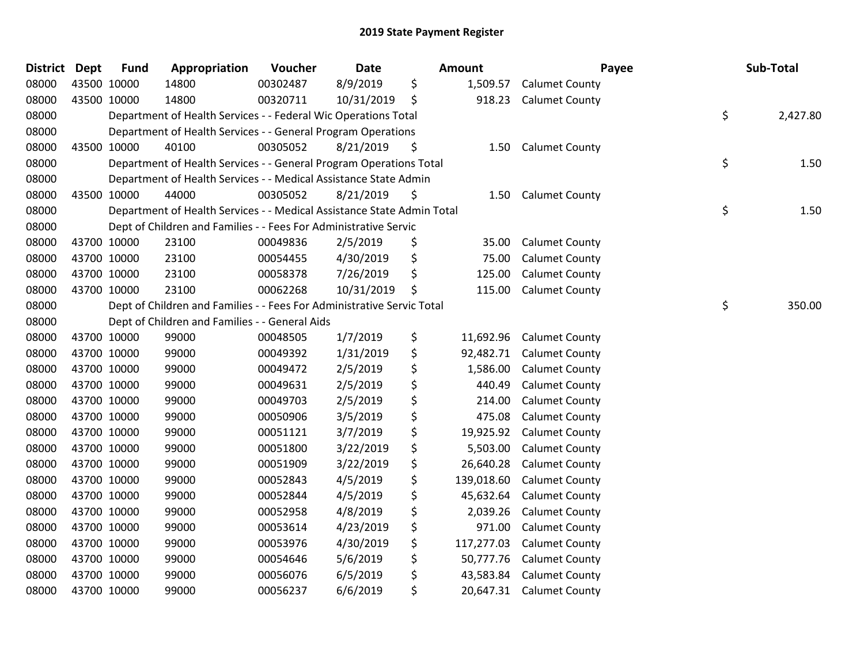| <b>District</b> | Dept | <b>Fund</b> | Appropriation                                                          | Voucher  | <b>Date</b> | Amount           | Payee                    | Sub-Total      |
|-----------------|------|-------------|------------------------------------------------------------------------|----------|-------------|------------------|--------------------------|----------------|
| 08000           |      | 43500 10000 | 14800                                                                  | 00302487 | 8/9/2019    | \$<br>1,509.57   | <b>Calumet County</b>    |                |
| 08000           |      | 43500 10000 | 14800                                                                  | 00320711 | 10/31/2019  | \$<br>918.23     | <b>Calumet County</b>    |                |
| 08000           |      |             | Department of Health Services - - Federal Wic Operations Total         |          |             |                  |                          | \$<br>2,427.80 |
| 08000           |      |             | Department of Health Services - - General Program Operations           |          |             |                  |                          |                |
| 08000           |      | 43500 10000 | 40100                                                                  | 00305052 | 8/21/2019   | \$<br>1.50       | <b>Calumet County</b>    |                |
| 08000           |      |             | Department of Health Services - - General Program Operations Total     |          |             |                  |                          | \$<br>1.50     |
| 08000           |      |             | Department of Health Services - - Medical Assistance State Admin       |          |             |                  |                          |                |
| 08000           |      | 43500 10000 | 44000                                                                  | 00305052 | 8/21/2019   | \$<br>1.50       | <b>Calumet County</b>    |                |
| 08000           |      |             | Department of Health Services - - Medical Assistance State Admin Total |          |             |                  |                          | \$<br>1.50     |
| 08000           |      |             | Dept of Children and Families - - Fees For Administrative Servic       |          |             |                  |                          |                |
| 08000           |      | 43700 10000 | 23100                                                                  | 00049836 | 2/5/2019    | \$<br>35.00      | <b>Calumet County</b>    |                |
| 08000           |      | 43700 10000 | 23100                                                                  | 00054455 | 4/30/2019   | \$<br>75.00      | <b>Calumet County</b>    |                |
| 08000           |      | 43700 10000 | 23100                                                                  | 00058378 | 7/26/2019   | \$<br>125.00     | <b>Calumet County</b>    |                |
| 08000           |      | 43700 10000 | 23100                                                                  | 00062268 | 10/31/2019  | \$<br>115.00     | <b>Calumet County</b>    |                |
| 08000           |      |             | Dept of Children and Families - - Fees For Administrative Servic Total |          |             |                  |                          | \$<br>350.00   |
| 08000           |      |             | Dept of Children and Families - - General Aids                         |          |             |                  |                          |                |
| 08000           |      | 43700 10000 | 99000                                                                  | 00048505 | 1/7/2019    | \$<br>11,692.96  | <b>Calumet County</b>    |                |
| 08000           |      | 43700 10000 | 99000                                                                  | 00049392 | 1/31/2019   | \$<br>92,482.71  | <b>Calumet County</b>    |                |
| 08000           |      | 43700 10000 | 99000                                                                  | 00049472 | 2/5/2019    | \$<br>1,586.00   | <b>Calumet County</b>    |                |
| 08000           |      | 43700 10000 | 99000                                                                  | 00049631 | 2/5/2019    | \$<br>440.49     | <b>Calumet County</b>    |                |
| 08000           |      | 43700 10000 | 99000                                                                  | 00049703 | 2/5/2019    | \$<br>214.00     | <b>Calumet County</b>    |                |
| 08000           |      | 43700 10000 | 99000                                                                  | 00050906 | 3/5/2019    | \$<br>475.08     | <b>Calumet County</b>    |                |
| 08000           |      | 43700 10000 | 99000                                                                  | 00051121 | 3/7/2019    | \$<br>19,925.92  | <b>Calumet County</b>    |                |
| 08000           |      | 43700 10000 | 99000                                                                  | 00051800 | 3/22/2019   | \$<br>5,503.00   | <b>Calumet County</b>    |                |
| 08000           |      | 43700 10000 | 99000                                                                  | 00051909 | 3/22/2019   | \$<br>26,640.28  | <b>Calumet County</b>    |                |
| 08000           |      | 43700 10000 | 99000                                                                  | 00052843 | 4/5/2019    | \$<br>139,018.60 | <b>Calumet County</b>    |                |
| 08000           |      | 43700 10000 | 99000                                                                  | 00052844 | 4/5/2019    | \$<br>45,632.64  | <b>Calumet County</b>    |                |
| 08000           |      | 43700 10000 | 99000                                                                  | 00052958 | 4/8/2019    | \$<br>2,039.26   | <b>Calumet County</b>    |                |
| 08000           |      | 43700 10000 | 99000                                                                  | 00053614 | 4/23/2019   | \$<br>971.00     | <b>Calumet County</b>    |                |
| 08000           |      | 43700 10000 | 99000                                                                  | 00053976 | 4/30/2019   | \$<br>117,277.03 | <b>Calumet County</b>    |                |
| 08000           |      | 43700 10000 | 99000                                                                  | 00054646 | 5/6/2019    | \$<br>50,777.76  | <b>Calumet County</b>    |                |
| 08000           |      | 43700 10000 | 99000                                                                  | 00056076 | 6/5/2019    | \$<br>43,583.84  | <b>Calumet County</b>    |                |
| 08000           |      | 43700 10000 | 99000                                                                  | 00056237 | 6/6/2019    | \$               | 20,647.31 Calumet County |                |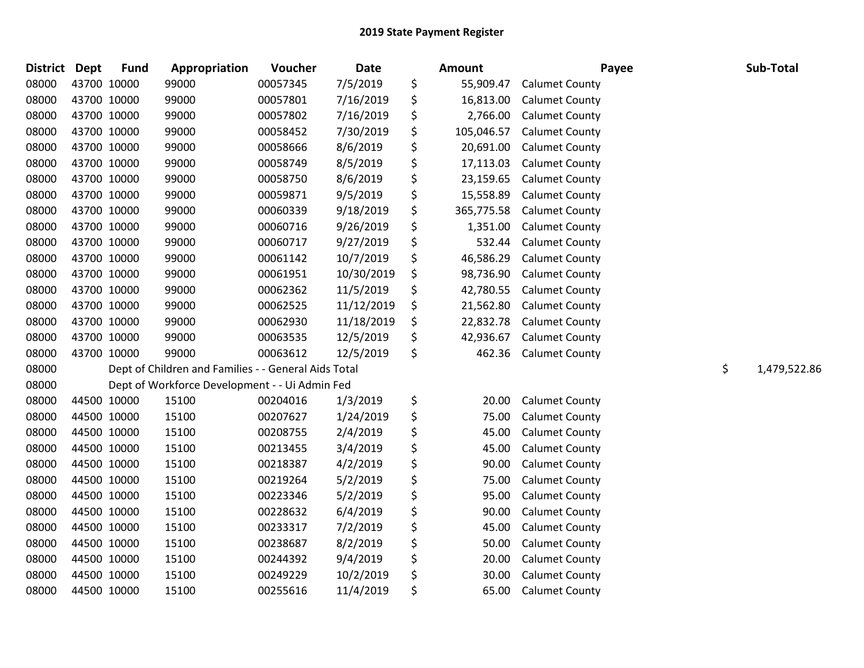| <b>District Dept</b> |             | <b>Fund</b> | Appropriation                                        | Voucher  | <b>Date</b> | <b>Amount</b>    | Payee                 | Sub-Total          |
|----------------------|-------------|-------------|------------------------------------------------------|----------|-------------|------------------|-----------------------|--------------------|
| 08000                |             | 43700 10000 | 99000                                                | 00057345 | 7/5/2019    | \$<br>55,909.47  | <b>Calumet County</b> |                    |
| 08000                |             | 43700 10000 | 99000                                                | 00057801 | 7/16/2019   | \$<br>16,813.00  | <b>Calumet County</b> |                    |
| 08000                |             | 43700 10000 | 99000                                                | 00057802 | 7/16/2019   | \$<br>2,766.00   | <b>Calumet County</b> |                    |
| 08000                | 43700 10000 |             | 99000                                                | 00058452 | 7/30/2019   | \$<br>105,046.57 | <b>Calumet County</b> |                    |
| 08000                |             | 43700 10000 | 99000                                                | 00058666 | 8/6/2019    | \$<br>20,691.00  | <b>Calumet County</b> |                    |
| 08000                |             | 43700 10000 | 99000                                                | 00058749 | 8/5/2019    | \$<br>17,113.03  | <b>Calumet County</b> |                    |
| 08000                |             | 43700 10000 | 99000                                                | 00058750 | 8/6/2019    | \$<br>23,159.65  | <b>Calumet County</b> |                    |
| 08000                |             | 43700 10000 | 99000                                                | 00059871 | 9/5/2019    | \$<br>15,558.89  | <b>Calumet County</b> |                    |
| 08000                |             | 43700 10000 | 99000                                                | 00060339 | 9/18/2019   | \$<br>365,775.58 | <b>Calumet County</b> |                    |
| 08000                |             | 43700 10000 | 99000                                                | 00060716 | 9/26/2019   | \$<br>1,351.00   | <b>Calumet County</b> |                    |
| 08000                |             | 43700 10000 | 99000                                                | 00060717 | 9/27/2019   | \$<br>532.44     | <b>Calumet County</b> |                    |
| 08000                |             | 43700 10000 | 99000                                                | 00061142 | 10/7/2019   | \$<br>46,586.29  | <b>Calumet County</b> |                    |
| 08000                |             | 43700 10000 | 99000                                                | 00061951 | 10/30/2019  | \$<br>98,736.90  | <b>Calumet County</b> |                    |
| 08000                |             | 43700 10000 | 99000                                                | 00062362 | 11/5/2019   | \$<br>42,780.55  | <b>Calumet County</b> |                    |
| 08000                |             | 43700 10000 | 99000                                                | 00062525 | 11/12/2019  | \$<br>21,562.80  | <b>Calumet County</b> |                    |
| 08000                |             | 43700 10000 | 99000                                                | 00062930 | 11/18/2019  | \$<br>22,832.78  | <b>Calumet County</b> |                    |
| 08000                |             | 43700 10000 | 99000                                                | 00063535 | 12/5/2019   | \$<br>42,936.67  | <b>Calumet County</b> |                    |
| 08000                |             | 43700 10000 | 99000                                                | 00063612 | 12/5/2019   | \$<br>462.36     | <b>Calumet County</b> |                    |
| 08000                |             |             | Dept of Children and Families - - General Aids Total |          |             |                  |                       | \$<br>1,479,522.86 |
| 08000                |             |             | Dept of Workforce Development - - Ui Admin Fed       |          |             |                  |                       |                    |
| 08000                |             | 44500 10000 | 15100                                                | 00204016 | 1/3/2019    | \$<br>20.00      | <b>Calumet County</b> |                    |
| 08000                |             | 44500 10000 | 15100                                                | 00207627 | 1/24/2019   | \$<br>75.00      | <b>Calumet County</b> |                    |
| 08000                |             | 44500 10000 | 15100                                                | 00208755 | 2/4/2019    | \$<br>45.00      | <b>Calumet County</b> |                    |
| 08000                |             | 44500 10000 | 15100                                                | 00213455 | 3/4/2019    | \$<br>45.00      | <b>Calumet County</b> |                    |
| 08000                |             | 44500 10000 | 15100                                                | 00218387 | 4/2/2019    | \$<br>90.00      | <b>Calumet County</b> |                    |
| 08000                |             | 44500 10000 | 15100                                                | 00219264 | 5/2/2019    | \$<br>75.00      | <b>Calumet County</b> |                    |
| 08000                |             | 44500 10000 | 15100                                                | 00223346 | 5/2/2019    | \$<br>95.00      | <b>Calumet County</b> |                    |
| 08000                |             | 44500 10000 | 15100                                                | 00228632 | 6/4/2019    | \$<br>90.00      | <b>Calumet County</b> |                    |
| 08000                |             | 44500 10000 | 15100                                                | 00233317 | 7/2/2019    | \$<br>45.00      | <b>Calumet County</b> |                    |
| 08000                |             | 44500 10000 | 15100                                                | 00238687 | 8/2/2019    | \$<br>50.00      | <b>Calumet County</b> |                    |
| 08000                |             | 44500 10000 | 15100                                                | 00244392 | 9/4/2019    | \$<br>20.00      | <b>Calumet County</b> |                    |
| 08000                |             | 44500 10000 | 15100                                                | 00249229 | 10/2/2019   | \$<br>30.00      | <b>Calumet County</b> |                    |
| 08000                |             | 44500 10000 | 15100                                                | 00255616 | 11/4/2019   | \$<br>65.00      | <b>Calumet County</b> |                    |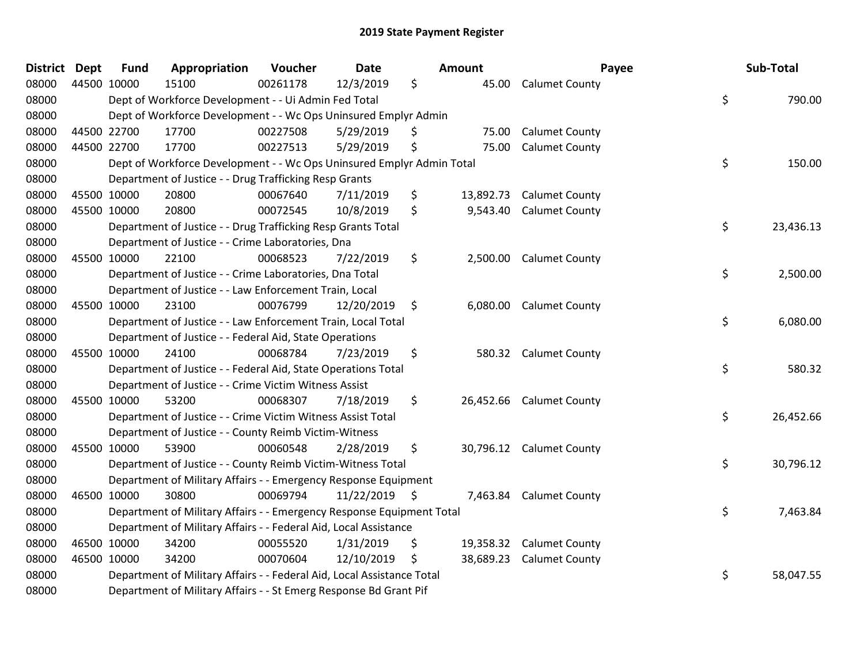| <b>District</b> | <b>Dept</b> | <b>Fund</b> | Appropriation                                                          | Voucher  | Date            |    | Amount    | Payee                    | Sub-Total       |
|-----------------|-------------|-------------|------------------------------------------------------------------------|----------|-----------------|----|-----------|--------------------------|-----------------|
| 08000           | 44500 10000 |             | 15100                                                                  | 00261178 | 12/3/2019       | \$ | 45.00     | <b>Calumet County</b>    |                 |
| 08000           |             |             | Dept of Workforce Development - - Ui Admin Fed Total                   |          |                 |    |           |                          | \$<br>790.00    |
| 08000           |             |             | Dept of Workforce Development - - Wc Ops Uninsured Emplyr Admin        |          |                 |    |           |                          |                 |
| 08000           |             | 44500 22700 | 17700                                                                  | 00227508 | 5/29/2019       | \$ | 75.00     | <b>Calumet County</b>    |                 |
| 08000           |             | 44500 22700 | 17700                                                                  | 00227513 | 5/29/2019       | \$ | 75.00     | <b>Calumet County</b>    |                 |
| 08000           |             |             | Dept of Workforce Development - - Wc Ops Uninsured Emplyr Admin Total  |          |                 |    |           |                          | \$<br>150.00    |
| 08000           |             |             | Department of Justice - - Drug Trafficking Resp Grants                 |          |                 |    |           |                          |                 |
| 08000           |             | 45500 10000 | 20800                                                                  | 00067640 | 7/11/2019       | \$ | 13,892.73 | <b>Calumet County</b>    |                 |
| 08000           |             | 45500 10000 | 20800                                                                  | 00072545 | 10/8/2019       | \$ | 9,543.40  | <b>Calumet County</b>    |                 |
| 08000           |             |             | Department of Justice - - Drug Trafficking Resp Grants Total           |          |                 |    |           |                          | \$<br>23,436.13 |
| 08000           |             |             | Department of Justice - - Crime Laboratories, Dna                      |          |                 |    |           |                          |                 |
| 08000           |             | 45500 10000 | 22100                                                                  | 00068523 | 7/22/2019       | \$ | 2,500.00  | <b>Calumet County</b>    |                 |
| 08000           |             |             | Department of Justice - - Crime Laboratories, Dna Total                |          |                 |    |           |                          | \$<br>2,500.00  |
| 08000           |             |             | Department of Justice - - Law Enforcement Train, Local                 |          |                 |    |           |                          |                 |
| 08000           |             | 45500 10000 | 23100                                                                  | 00076799 | 12/20/2019      | \$ | 6,080.00  | <b>Calumet County</b>    |                 |
| 08000           |             |             | Department of Justice - - Law Enforcement Train, Local Total           |          |                 |    |           |                          | \$<br>6,080.00  |
| 08000           |             |             | Department of Justice - - Federal Aid, State Operations                |          |                 |    |           |                          |                 |
| 08000           |             | 45500 10000 | 24100                                                                  | 00068784 | 7/23/2019       | \$ |           | 580.32 Calumet County    |                 |
| 08000           |             |             | Department of Justice - - Federal Aid, State Operations Total          |          |                 |    |           |                          | \$<br>580.32    |
| 08000           |             |             | Department of Justice - - Crime Victim Witness Assist                  |          |                 |    |           |                          |                 |
| 08000           |             | 45500 10000 | 53200                                                                  | 00068307 | 7/18/2019       | \$ |           | 26,452.66 Calumet County |                 |
| 08000           |             |             | Department of Justice - - Crime Victim Witness Assist Total            |          |                 |    |           |                          | \$<br>26,452.66 |
| 08000           |             |             | Department of Justice - - County Reimb Victim-Witness                  |          |                 |    |           |                          |                 |
| 08000           |             | 45500 10000 | 53900                                                                  | 00060548 | 2/28/2019       | \$ | 30,796.12 | <b>Calumet County</b>    |                 |
| 08000           |             |             | Department of Justice - - County Reimb Victim-Witness Total            |          |                 |    |           |                          | \$<br>30,796.12 |
| 08000           |             |             | Department of Military Affairs - - Emergency Response Equipment        |          |                 |    |           |                          |                 |
| 08000           |             | 46500 10000 | 30800                                                                  | 00069794 | $11/22/2019$ \$ |    |           | 7,463.84 Calumet County  |                 |
| 08000           |             |             | Department of Military Affairs - - Emergency Response Equipment Total  |          |                 |    |           |                          | \$<br>7,463.84  |
| 08000           |             |             | Department of Military Affairs - - Federal Aid, Local Assistance       |          |                 |    |           |                          |                 |
| 08000           |             | 46500 10000 | 34200                                                                  | 00055520 | 1/31/2019       | \$ |           | 19,358.32 Calumet County |                 |
| 08000           |             | 46500 10000 | 34200                                                                  | 00070604 | 12/10/2019      | S  |           | 38,689.23 Calumet County |                 |
| 08000           |             |             | Department of Military Affairs - - Federal Aid, Local Assistance Total |          |                 |    |           |                          | \$<br>58,047.55 |
| 08000           |             |             | Department of Military Affairs - - St Emerg Response Bd Grant Pif      |          |                 |    |           |                          |                 |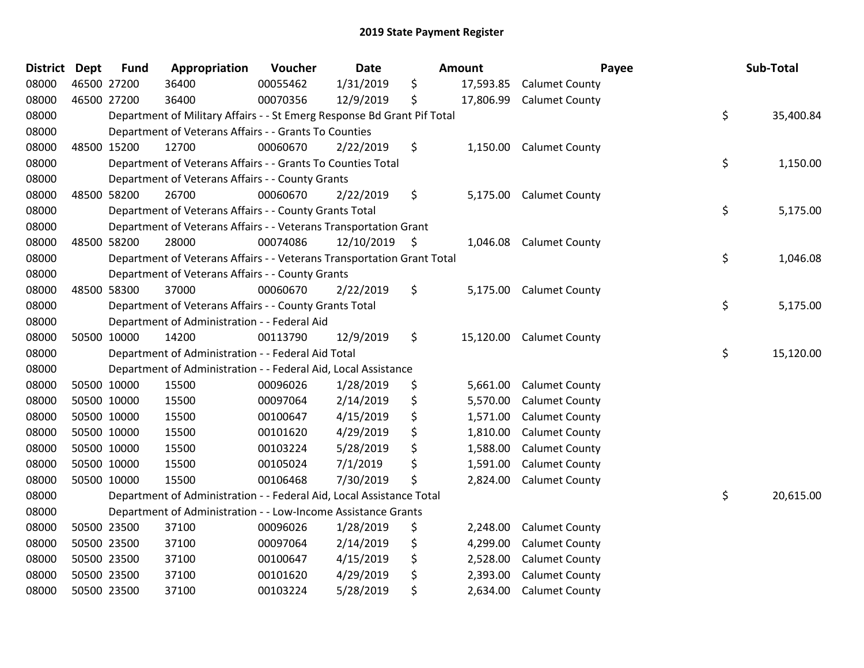| <b>District Dept</b> | <b>Fund</b> | Appropriation                                                           | Voucher  | <b>Date</b> |     | <b>Amount</b> | Payee                   | Sub-Total       |
|----------------------|-------------|-------------------------------------------------------------------------|----------|-------------|-----|---------------|-------------------------|-----------------|
| 08000                | 46500 27200 | 36400                                                                   | 00055462 | 1/31/2019   | \$  | 17,593.85     | <b>Calumet County</b>   |                 |
| 08000                | 46500 27200 | 36400                                                                   | 00070356 | 12/9/2019   | \$  | 17,806.99     | <b>Calumet County</b>   |                 |
| 08000                |             | Department of Military Affairs - - St Emerg Response Bd Grant Pif Total |          |             |     |               |                         | \$<br>35,400.84 |
| 08000                |             | Department of Veterans Affairs - - Grants To Counties                   |          |             |     |               |                         |                 |
| 08000                | 48500 15200 | 12700                                                                   | 00060670 | 2/22/2019   | \$  | 1,150.00      | <b>Calumet County</b>   |                 |
| 08000                |             | Department of Veterans Affairs - - Grants To Counties Total             |          |             |     |               |                         | \$<br>1,150.00  |
| 08000                |             | Department of Veterans Affairs - - County Grants                        |          |             |     |               |                         |                 |
| 08000                | 48500 58200 | 26700                                                                   | 00060670 | 2/22/2019   | \$  | 5,175.00      | <b>Calumet County</b>   |                 |
| 08000                |             | Department of Veterans Affairs - - County Grants Total                  |          |             |     |               |                         | \$<br>5,175.00  |
| 08000                |             | Department of Veterans Affairs - - Veterans Transportation Grant        |          |             |     |               |                         |                 |
| 08000                | 48500 58200 | 28000                                                                   | 00074086 | 12/10/2019  | -\$ | 1,046.08      | <b>Calumet County</b>   |                 |
| 08000                |             | Department of Veterans Affairs - - Veterans Transportation Grant Total  |          |             |     |               |                         | \$<br>1,046.08  |
| 08000                |             | Department of Veterans Affairs - - County Grants                        |          |             |     |               |                         |                 |
| 08000                | 48500 58300 | 37000                                                                   | 00060670 | 2/22/2019   | \$  |               | 5,175.00 Calumet County |                 |
| 08000                |             | Department of Veterans Affairs - - County Grants Total                  |          |             |     |               |                         | \$<br>5,175.00  |
| 08000                |             | Department of Administration - - Federal Aid                            |          |             |     |               |                         |                 |
| 08000                | 50500 10000 | 14200                                                                   | 00113790 | 12/9/2019   | \$  | 15,120.00     | <b>Calumet County</b>   |                 |
| 08000                |             | Department of Administration - - Federal Aid Total                      |          |             |     |               |                         | \$<br>15,120.00 |
| 08000                |             | Department of Administration - - Federal Aid, Local Assistance          |          |             |     |               |                         |                 |
| 08000                | 50500 10000 | 15500                                                                   | 00096026 | 1/28/2019   | \$  | 5,661.00      | <b>Calumet County</b>   |                 |
| 08000                | 50500 10000 | 15500                                                                   | 00097064 | 2/14/2019   | \$  | 5,570.00      | <b>Calumet County</b>   |                 |
| 08000                | 50500 10000 | 15500                                                                   | 00100647 | 4/15/2019   | \$  | 1,571.00      | <b>Calumet County</b>   |                 |
| 08000                | 50500 10000 | 15500                                                                   | 00101620 | 4/29/2019   | \$  | 1,810.00      | <b>Calumet County</b>   |                 |
| 08000                | 50500 10000 | 15500                                                                   | 00103224 | 5/28/2019   | \$  | 1,588.00      | <b>Calumet County</b>   |                 |
| 08000                | 50500 10000 | 15500                                                                   | 00105024 | 7/1/2019    | \$  | 1,591.00      | <b>Calumet County</b>   |                 |
| 08000                | 50500 10000 | 15500                                                                   | 00106468 | 7/30/2019   | \$  | 2,824.00      | <b>Calumet County</b>   |                 |
| 08000                |             | Department of Administration - - Federal Aid, Local Assistance Total    |          |             |     |               |                         | \$<br>20,615.00 |
| 08000                |             | Department of Administration - - Low-Income Assistance Grants           |          |             |     |               |                         |                 |
| 08000                | 50500 23500 | 37100                                                                   | 00096026 | 1/28/2019   | \$  | 2,248.00      | <b>Calumet County</b>   |                 |
| 08000                | 50500 23500 | 37100                                                                   | 00097064 | 2/14/2019   | \$  | 4,299.00      | <b>Calumet County</b>   |                 |
| 08000                | 50500 23500 | 37100                                                                   | 00100647 | 4/15/2019   | \$  | 2,528.00      | <b>Calumet County</b>   |                 |
| 08000                | 50500 23500 | 37100                                                                   | 00101620 | 4/29/2019   | \$  | 2,393.00      | <b>Calumet County</b>   |                 |
| 08000                | 50500 23500 | 37100                                                                   | 00103224 | 5/28/2019   | \$  | 2,634.00      | <b>Calumet County</b>   |                 |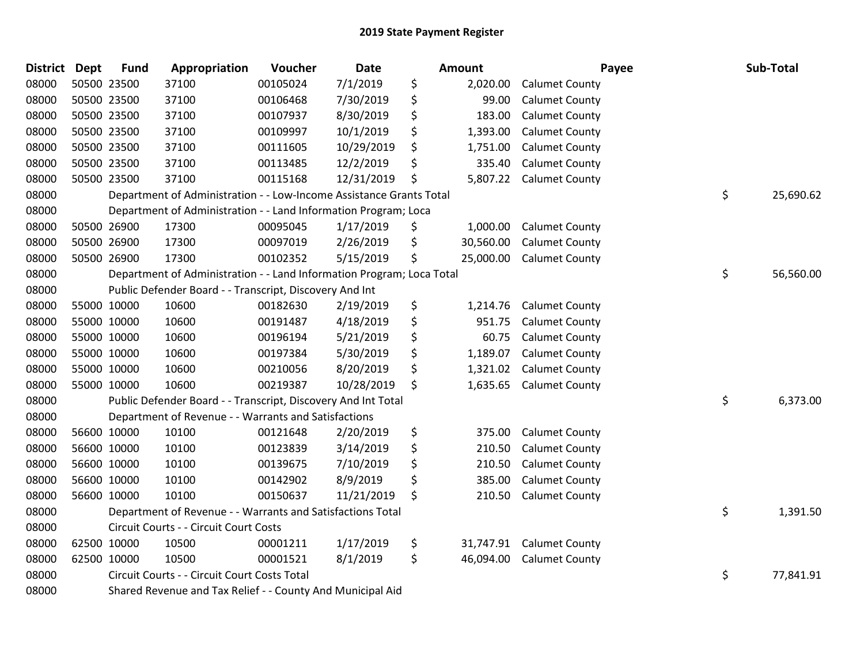| <b>District Dept</b> | <b>Fund</b> | Appropriation                                                         | Voucher  | Date       | Amount          |                       | Payee | Sub-Total |
|----------------------|-------------|-----------------------------------------------------------------------|----------|------------|-----------------|-----------------------|-------|-----------|
| 08000                | 50500 23500 | 37100                                                                 | 00105024 | 7/1/2019   | \$<br>2,020.00  | <b>Calumet County</b> |       |           |
| 08000                | 50500 23500 | 37100                                                                 | 00106468 | 7/30/2019  | \$<br>99.00     | <b>Calumet County</b> |       |           |
| 08000                | 50500 23500 | 37100                                                                 | 00107937 | 8/30/2019  | \$<br>183.00    | <b>Calumet County</b> |       |           |
| 08000                | 50500 23500 | 37100                                                                 | 00109997 | 10/1/2019  | \$<br>1,393.00  | <b>Calumet County</b> |       |           |
| 08000                | 50500 23500 | 37100                                                                 | 00111605 | 10/29/2019 | \$<br>1,751.00  | <b>Calumet County</b> |       |           |
| 08000                | 50500 23500 | 37100                                                                 | 00113485 | 12/2/2019  | \$<br>335.40    | <b>Calumet County</b> |       |           |
| 08000                | 50500 23500 | 37100                                                                 | 00115168 | 12/31/2019 | \$<br>5,807.22  | <b>Calumet County</b> |       |           |
| 08000                |             | Department of Administration - - Low-Income Assistance Grants Total   |          |            |                 |                       | \$    | 25,690.62 |
| 08000                |             | Department of Administration - - Land Information Program; Loca       |          |            |                 |                       |       |           |
| 08000                | 50500 26900 | 17300                                                                 | 00095045 | 1/17/2019  | \$<br>1,000.00  | <b>Calumet County</b> |       |           |
| 08000                | 50500 26900 | 17300                                                                 | 00097019 | 2/26/2019  | \$<br>30,560.00 | <b>Calumet County</b> |       |           |
| 08000                | 50500 26900 | 17300                                                                 | 00102352 | 5/15/2019  | \$<br>25,000.00 | <b>Calumet County</b> |       |           |
| 08000                |             | Department of Administration - - Land Information Program; Loca Total |          |            |                 |                       | \$    | 56,560.00 |
| 08000                |             | Public Defender Board - - Transcript, Discovery And Int               |          |            |                 |                       |       |           |
| 08000                | 55000 10000 | 10600                                                                 | 00182630 | 2/19/2019  | \$<br>1,214.76  | <b>Calumet County</b> |       |           |
| 08000                | 55000 10000 | 10600                                                                 | 00191487 | 4/18/2019  | \$<br>951.75    | <b>Calumet County</b> |       |           |
| 08000                | 55000 10000 | 10600                                                                 | 00196194 | 5/21/2019  | \$<br>60.75     | <b>Calumet County</b> |       |           |
| 08000                | 55000 10000 | 10600                                                                 | 00197384 | 5/30/2019  | \$<br>1,189.07  | <b>Calumet County</b> |       |           |
| 08000                | 55000 10000 | 10600                                                                 | 00210056 | 8/20/2019  | \$<br>1,321.02  | <b>Calumet County</b> |       |           |
| 08000                | 55000 10000 | 10600                                                                 | 00219387 | 10/28/2019 | \$<br>1,635.65  | <b>Calumet County</b> |       |           |
| 08000                |             | Public Defender Board - - Transcript, Discovery And Int Total         |          |            |                 |                       | \$    | 6,373.00  |
| 08000                |             | Department of Revenue - - Warrants and Satisfactions                  |          |            |                 |                       |       |           |
| 08000                | 56600 10000 | 10100                                                                 | 00121648 | 2/20/2019  | \$<br>375.00    | <b>Calumet County</b> |       |           |
| 08000                | 56600 10000 | 10100                                                                 | 00123839 | 3/14/2019  | \$<br>210.50    | <b>Calumet County</b> |       |           |
| 08000                | 56600 10000 | 10100                                                                 | 00139675 | 7/10/2019  | \$<br>210.50    | <b>Calumet County</b> |       |           |
| 08000                | 56600 10000 | 10100                                                                 | 00142902 | 8/9/2019   | \$<br>385.00    | <b>Calumet County</b> |       |           |
| 08000                | 56600 10000 | 10100                                                                 | 00150637 | 11/21/2019 | \$<br>210.50    | <b>Calumet County</b> |       |           |
| 08000                |             | Department of Revenue - - Warrants and Satisfactions Total            |          |            |                 |                       | \$    | 1,391.50  |
| 08000                |             | Circuit Courts - - Circuit Court Costs                                |          |            |                 |                       |       |           |
| 08000                | 62500 10000 | 10500                                                                 | 00001211 | 1/17/2019  | \$<br>31,747.91 | <b>Calumet County</b> |       |           |
| 08000                | 62500 10000 | 10500                                                                 | 00001521 | 8/1/2019   | \$<br>46,094.00 | <b>Calumet County</b> |       |           |
| 08000                |             | Circuit Courts - - Circuit Court Costs Total                          |          |            |                 |                       | \$    | 77,841.91 |
| 08000                |             | Shared Revenue and Tax Relief - - County And Municipal Aid            |          |            |                 |                       |       |           |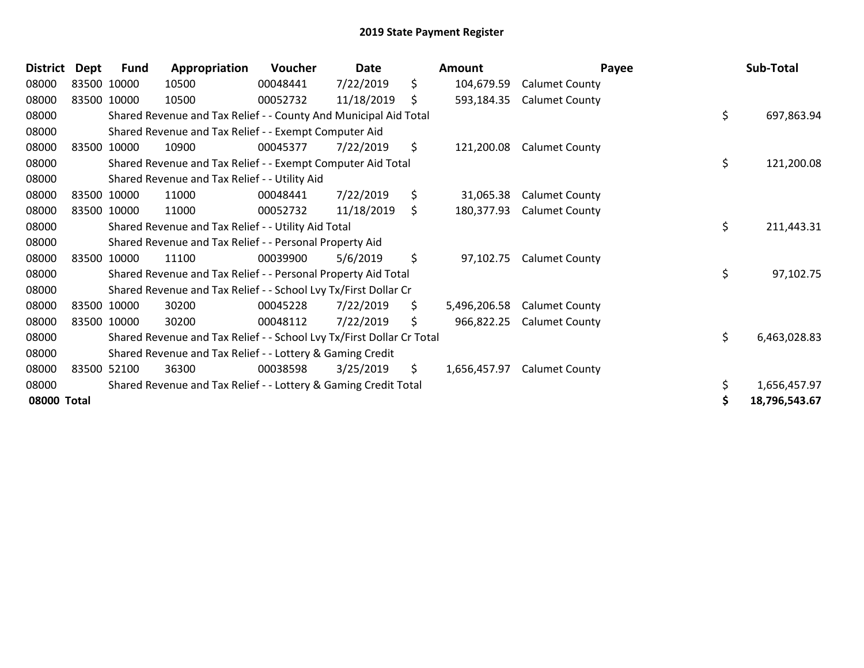| <b>District</b> | Dept | <b>Fund</b> | Appropriation                                                         | Voucher  | Date       |     | <b>Amount</b> | Payee                 | Sub-Total           |
|-----------------|------|-------------|-----------------------------------------------------------------------|----------|------------|-----|---------------|-----------------------|---------------------|
| 08000           |      | 83500 10000 | 10500                                                                 | 00048441 | 7/22/2019  | \$  | 104,679.59    | <b>Calumet County</b> |                     |
| 08000           |      | 83500 10000 | 10500                                                                 | 00052732 | 11/18/2019 | \$  | 593,184.35    | <b>Calumet County</b> |                     |
| 08000           |      |             | Shared Revenue and Tax Relief - - County And Municipal Aid Total      |          |            |     |               |                       | \$<br>697,863.94    |
| 08000           |      |             | Shared Revenue and Tax Relief - - Exempt Computer Aid                 |          |            |     |               |                       |                     |
| 08000           |      | 83500 10000 | 10900                                                                 | 00045377 | 7/22/2019  | \$  | 121,200.08    | <b>Calumet County</b> |                     |
| 08000           |      |             | Shared Revenue and Tax Relief - - Exempt Computer Aid Total           |          |            |     |               |                       | \$<br>121,200.08    |
| 08000           |      |             | Shared Revenue and Tax Relief - - Utility Aid                         |          |            |     |               |                       |                     |
| 08000           |      | 83500 10000 | 11000                                                                 | 00048441 | 7/22/2019  | \$  | 31,065.38     | <b>Calumet County</b> |                     |
| 08000           |      | 83500 10000 | 11000                                                                 | 00052732 | 11/18/2019 | \$  | 180,377.93    | <b>Calumet County</b> |                     |
| 08000           |      |             | Shared Revenue and Tax Relief - - Utility Aid Total                   |          |            |     |               |                       | \$<br>211,443.31    |
| 08000           |      |             | Shared Revenue and Tax Relief - - Personal Property Aid               |          |            |     |               |                       |                     |
| 08000           |      | 83500 10000 | 11100                                                                 | 00039900 | 5/6/2019   | \$  | 97,102.75     | <b>Calumet County</b> |                     |
| 08000           |      |             | Shared Revenue and Tax Relief - - Personal Property Aid Total         |          |            |     |               |                       | \$<br>97,102.75     |
| 08000           |      |             | Shared Revenue and Tax Relief - - School Lvy Tx/First Dollar Cr       |          |            |     |               |                       |                     |
| 08000           |      | 83500 10000 | 30200                                                                 | 00045228 | 7/22/2019  | \$  | 5,496,206.58  | <b>Calumet County</b> |                     |
| 08000           |      | 83500 10000 | 30200                                                                 | 00048112 | 7/22/2019  | \$  | 966,822.25    | <b>Calumet County</b> |                     |
| 08000           |      |             | Shared Revenue and Tax Relief - - School Lvy Tx/First Dollar Cr Total |          |            |     |               |                       | \$<br>6,463,028.83  |
| 08000           |      |             | Shared Revenue and Tax Relief - - Lottery & Gaming Credit             |          |            |     |               |                       |                     |
| 08000           |      | 83500 52100 | 36300                                                                 | 00038598 | 3/25/2019  | \$. | 1,656,457.97  | <b>Calumet County</b> |                     |
| 08000           |      |             | Shared Revenue and Tax Relief - - Lottery & Gaming Credit Total       |          |            |     |               |                       | \$<br>1,656,457.97  |
| 08000 Total     |      |             |                                                                       |          |            |     |               |                       | \$<br>18,796,543.67 |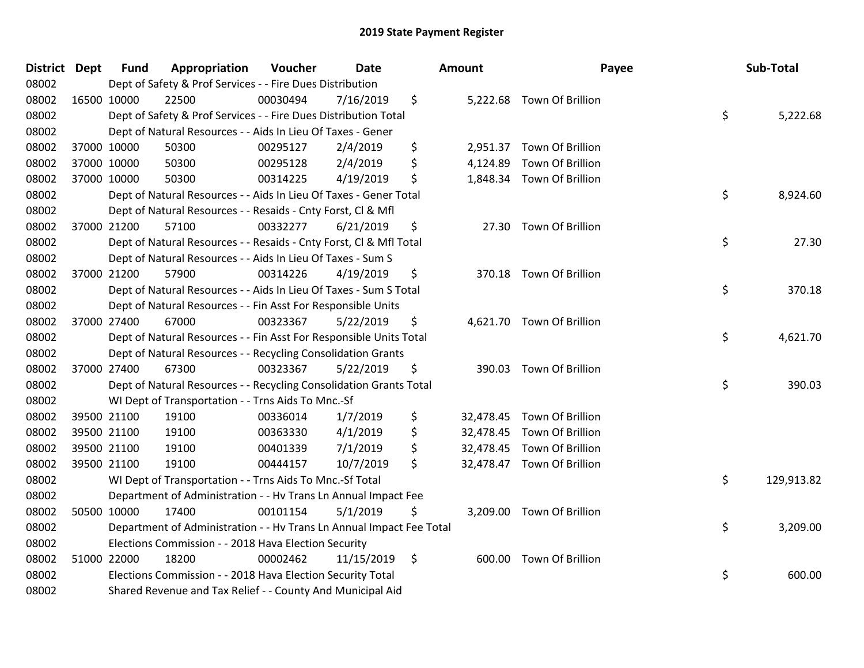| <b>District Dept</b> | <b>Fund</b> | Appropriation                                                        | Voucher  | <b>Date</b> | <b>Amount</b> | Payee                      | Sub-Total        |
|----------------------|-------------|----------------------------------------------------------------------|----------|-------------|---------------|----------------------------|------------------|
| 08002                |             | Dept of Safety & Prof Services - - Fire Dues Distribution            |          |             |               |                            |                  |
| 08002                | 16500 10000 | 22500                                                                | 00030494 | 7/16/2019   | \$            | 5,222.68 Town Of Brillion  |                  |
| 08002                |             | Dept of Safety & Prof Services - - Fire Dues Distribution Total      |          |             |               |                            | \$<br>5,222.68   |
| 08002                |             | Dept of Natural Resources - - Aids In Lieu Of Taxes - Gener          |          |             |               |                            |                  |
| 08002                | 37000 10000 | 50300                                                                | 00295127 | 2/4/2019    | \$            | 2,951.37 Town Of Brillion  |                  |
| 08002                | 37000 10000 | 50300                                                                | 00295128 | 2/4/2019    | \$            | 4,124.89 Town Of Brillion  |                  |
| 08002                | 37000 10000 | 50300                                                                | 00314225 | 4/19/2019   | \$            | 1,848.34 Town Of Brillion  |                  |
| 08002                |             | Dept of Natural Resources - - Aids In Lieu Of Taxes - Gener Total    |          |             |               |                            | \$<br>8,924.60   |
| 08002                |             | Dept of Natural Resources - - Resaids - Cnty Forst, CI & Mfl         |          |             |               |                            |                  |
| 08002                | 37000 21200 | 57100                                                                | 00332277 | 6/21/2019   | \$            | 27.30 Town Of Brillion     |                  |
| 08002                |             | Dept of Natural Resources - - Resaids - Cnty Forst, Cl & Mfl Total   |          |             |               |                            | \$<br>27.30      |
| 08002                |             | Dept of Natural Resources - - Aids In Lieu Of Taxes - Sum S          |          |             |               |                            |                  |
| 08002                | 37000 21200 | 57900                                                                | 00314226 | 4/19/2019   | \$            | 370.18 Town Of Brillion    |                  |
| 08002                |             | Dept of Natural Resources - - Aids In Lieu Of Taxes - Sum S Total    |          |             |               |                            | \$<br>370.18     |
| 08002                |             | Dept of Natural Resources - - Fin Asst For Responsible Units         |          |             |               |                            |                  |
| 08002                | 37000 27400 | 67000                                                                | 00323367 | 5/22/2019   | \$            | 4,621.70 Town Of Brillion  |                  |
| 08002                |             | Dept of Natural Resources - - Fin Asst For Responsible Units Total   |          |             |               |                            | \$<br>4,621.70   |
| 08002                |             | Dept of Natural Resources - - Recycling Consolidation Grants         |          |             |               |                            |                  |
| 08002                | 37000 27400 | 67300                                                                | 00323367 | 5/22/2019   | \$            | 390.03 Town Of Brillion    |                  |
| 08002                |             | Dept of Natural Resources - - Recycling Consolidation Grants Total   |          |             |               |                            | \$<br>390.03     |
| 08002                |             | WI Dept of Transportation - - Trns Aids To Mnc.-Sf                   |          |             |               |                            |                  |
| 08002                | 39500 21100 | 19100                                                                | 00336014 | 1/7/2019    | \$            | 32,478.45 Town Of Brillion |                  |
| 08002                | 39500 21100 | 19100                                                                | 00363330 | 4/1/2019    | \$            | 32,478.45 Town Of Brillion |                  |
| 08002                | 39500 21100 | 19100                                                                | 00401339 | 7/1/2019    | \$            | 32,478.45 Town Of Brillion |                  |
| 08002                | 39500 21100 | 19100                                                                | 00444157 | 10/7/2019   | \$            | 32,478.47 Town Of Brillion |                  |
| 08002                |             | WI Dept of Transportation - - Trns Aids To Mnc.-Sf Total             |          |             |               |                            | \$<br>129,913.82 |
| 08002                |             | Department of Administration - - Hv Trans Ln Annual Impact Fee       |          |             |               |                            |                  |
| 08002                | 50500 10000 | 17400                                                                | 00101154 | 5/1/2019    | \$            | 3,209.00 Town Of Brillion  |                  |
| 08002                |             | Department of Administration - - Hv Trans Ln Annual Impact Fee Total |          |             |               |                            | \$<br>3,209.00   |
| 08002                |             | Elections Commission - - 2018 Hava Election Security                 |          |             |               |                            |                  |
| 08002                | 51000 22000 | 18200                                                                | 00002462 | 11/15/2019  | \$            | 600.00 Town Of Brillion    |                  |
| 08002                |             | Elections Commission - - 2018 Hava Election Security Total           |          |             |               |                            | \$<br>600.00     |
| 08002                |             | Shared Revenue and Tax Relief - - County And Municipal Aid           |          |             |               |                            |                  |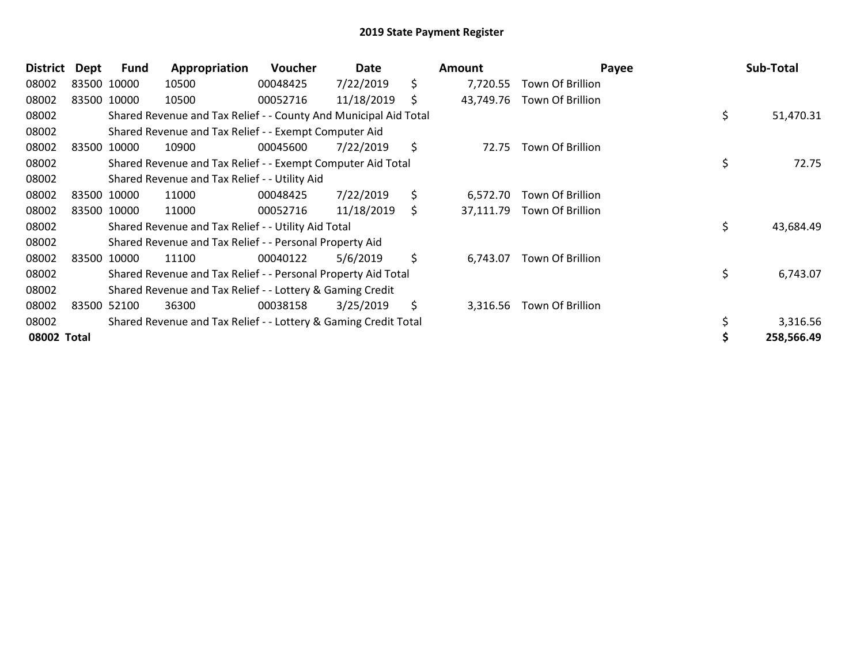| <b>District</b> | Dept | <b>Fund</b> | Appropriation                                                    | Voucher  | Date       |     | <b>Amount</b> | Payee                   | Sub-Total       |
|-----------------|------|-------------|------------------------------------------------------------------|----------|------------|-----|---------------|-------------------------|-----------------|
| 08002           |      | 83500 10000 | 10500                                                            | 00048425 | 7/22/2019  | \$  | 7,720.55      | Town Of Brillion        |                 |
| 08002           |      | 83500 10000 | 10500                                                            | 00052716 | 11/18/2019 | \$  | 43,749.76     | Town Of Brillion        |                 |
| 08002           |      |             | Shared Revenue and Tax Relief - - County And Municipal Aid Total |          |            |     |               |                         | \$<br>51,470.31 |
| 08002           |      |             | Shared Revenue and Tax Relief - - Exempt Computer Aid            |          |            |     |               |                         |                 |
| 08002           |      | 83500 10000 | 10900                                                            | 00045600 | 7/22/2019  | \$  | 72.75         | Town Of Brillion        |                 |
| 08002           |      |             | Shared Revenue and Tax Relief - - Exempt Computer Aid Total      |          |            |     |               |                         | \$<br>72.75     |
| 08002           |      |             | Shared Revenue and Tax Relief - - Utility Aid                    |          |            |     |               |                         |                 |
| 08002           |      | 83500 10000 | 11000                                                            | 00048425 | 7/22/2019  | \$  | 6,572.70      | Town Of Brillion        |                 |
| 08002           |      | 83500 10000 | 11000                                                            | 00052716 | 11/18/2019 | \$. | 37,111.79     | <b>Town Of Brillion</b> |                 |
| 08002           |      |             | Shared Revenue and Tax Relief - - Utility Aid Total              |          |            |     |               |                         | \$<br>43,684.49 |
| 08002           |      |             | Shared Revenue and Tax Relief - - Personal Property Aid          |          |            |     |               |                         |                 |
| 08002           |      | 83500 10000 | 11100                                                            | 00040122 | 5/6/2019   | \$  | 6,743.07      | Town Of Brillion        |                 |
| 08002           |      |             | Shared Revenue and Tax Relief - - Personal Property Aid Total    |          |            |     |               |                         | \$<br>6,743.07  |
| 08002           |      |             | Shared Revenue and Tax Relief - - Lottery & Gaming Credit        |          |            |     |               |                         |                 |
| 08002           |      | 83500 52100 | 36300                                                            | 00038158 | 3/25/2019  | \$  | 3,316.56      | Town Of Brillion        |                 |
| 08002           |      |             | Shared Revenue and Tax Relief - - Lottery & Gaming Credit Total  |          |            |     |               |                         | 3,316.56        |
| 08002 Total     |      |             |                                                                  |          |            |     |               |                         | 258,566.49      |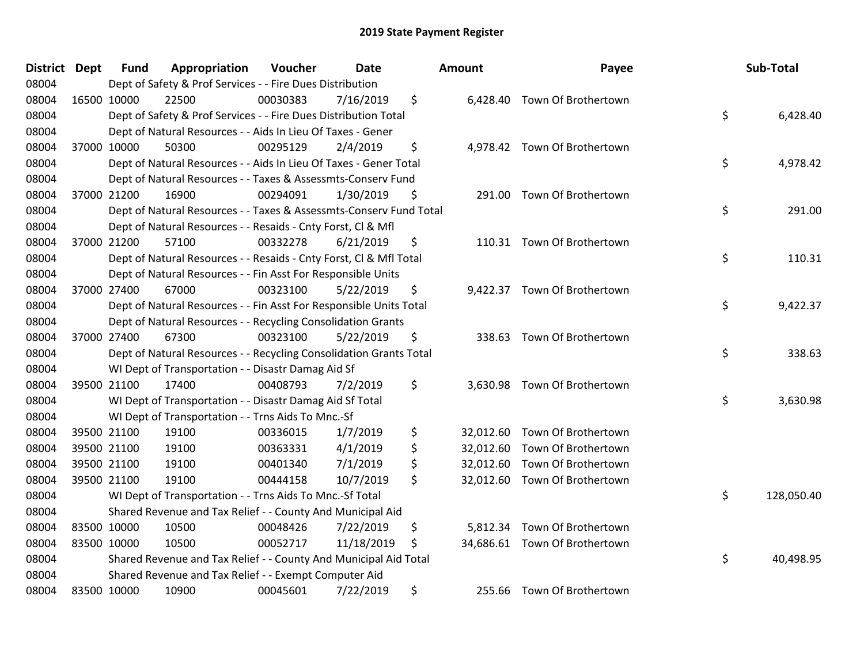| District Dept | <b>Fund</b> | Appropriation                                                      | Voucher  | <b>Date</b> | <b>Amount</b>   | Payee                         | Sub-Total        |
|---------------|-------------|--------------------------------------------------------------------|----------|-------------|-----------------|-------------------------------|------------------|
| 08004         |             | Dept of Safety & Prof Services - - Fire Dues Distribution          |          |             |                 |                               |                  |
| 08004         | 16500 10000 | 22500                                                              | 00030383 | 7/16/2019   | \$              | 6,428.40 Town Of Brothertown  |                  |
| 08004         |             | Dept of Safety & Prof Services - - Fire Dues Distribution Total    |          |             |                 |                               | \$<br>6,428.40   |
| 08004         |             | Dept of Natural Resources - - Aids In Lieu Of Taxes - Gener        |          |             |                 |                               |                  |
| 08004         | 37000 10000 | 50300                                                              | 00295129 | 2/4/2019    | \$              | 4,978.42 Town Of Brothertown  |                  |
| 08004         |             | Dept of Natural Resources - - Aids In Lieu Of Taxes - Gener Total  |          |             |                 |                               | \$<br>4,978.42   |
| 08004         |             | Dept of Natural Resources - - Taxes & Assessmts-Conserv Fund       |          |             |                 |                               |                  |
| 08004         | 37000 21200 | 16900                                                              | 00294091 | 1/30/2019   | \$              | 291.00 Town Of Brothertown    |                  |
| 08004         |             | Dept of Natural Resources - - Taxes & Assessmts-Conserv Fund Total |          |             |                 |                               | \$<br>291.00     |
| 08004         |             | Dept of Natural Resources - - Resaids - Cnty Forst, Cl & Mfl       |          |             |                 |                               |                  |
| 08004         | 37000 21200 | 57100                                                              | 00332278 | 6/21/2019   | \$              | 110.31 Town Of Brothertown    |                  |
| 08004         |             | Dept of Natural Resources - - Resaids - Cnty Forst, CI & Mfl Total |          |             |                 |                               | \$<br>110.31     |
| 08004         |             | Dept of Natural Resources - - Fin Asst For Responsible Units       |          |             |                 |                               |                  |
| 08004         | 37000 27400 | 67000                                                              | 00323100 | 5/22/2019   | \$              | 9,422.37 Town Of Brothertown  |                  |
| 08004         |             | Dept of Natural Resources - - Fin Asst For Responsible Units Total |          |             |                 |                               | \$<br>9,422.37   |
| 08004         |             | Dept of Natural Resources - - Recycling Consolidation Grants       |          |             |                 |                               |                  |
| 08004         | 37000 27400 | 67300                                                              | 00323100 | 5/22/2019   | \$<br>338.63    | Town Of Brothertown           |                  |
| 08004         |             | Dept of Natural Resources - - Recycling Consolidation Grants Total |          |             |                 |                               | \$<br>338.63     |
| 08004         |             | WI Dept of Transportation - - Disastr Damag Aid Sf                 |          |             |                 |                               |                  |
| 08004         | 39500 21100 | 17400                                                              | 00408793 | 7/2/2019    | \$              | 3,630.98 Town Of Brothertown  |                  |
| 08004         |             | WI Dept of Transportation - - Disastr Damag Aid Sf Total           |          |             |                 |                               | \$<br>3,630.98   |
| 08004         |             | WI Dept of Transportation - - Trns Aids To Mnc.-Sf                 |          |             |                 |                               |                  |
| 08004         | 39500 21100 | 19100                                                              | 00336015 | 1/7/2019    | \$              | 32,012.60 Town Of Brothertown |                  |
| 08004         | 39500 21100 | 19100                                                              | 00363331 | 4/1/2019    | \$              | 32,012.60 Town Of Brothertown |                  |
| 08004         | 39500 21100 | 19100                                                              | 00401340 | 7/1/2019    | \$<br>32,012.60 | Town Of Brothertown           |                  |
| 08004         | 39500 21100 | 19100                                                              | 00444158 | 10/7/2019   | \$              | 32,012.60 Town Of Brothertown |                  |
| 08004         |             | WI Dept of Transportation - - Trns Aids To Mnc.-Sf Total           |          |             |                 |                               | \$<br>128,050.40 |
| 08004         |             | Shared Revenue and Tax Relief - - County And Municipal Aid         |          |             |                 |                               |                  |
| 08004         | 83500 10000 | 10500                                                              | 00048426 | 7/22/2019   | \$              | 5,812.34 Town Of Brothertown  |                  |
| 08004         | 83500 10000 | 10500                                                              | 00052717 | 11/18/2019  | \$              | 34,686.61 Town Of Brothertown |                  |
| 08004         |             | Shared Revenue and Tax Relief - - County And Municipal Aid Total   |          |             |                 |                               | \$<br>40,498.95  |
| 08004         |             | Shared Revenue and Tax Relief - - Exempt Computer Aid              |          |             |                 |                               |                  |
| 08004         | 83500 10000 | 10900                                                              | 00045601 | 7/22/2019   | \$              | 255.66 Town Of Brothertown    |                  |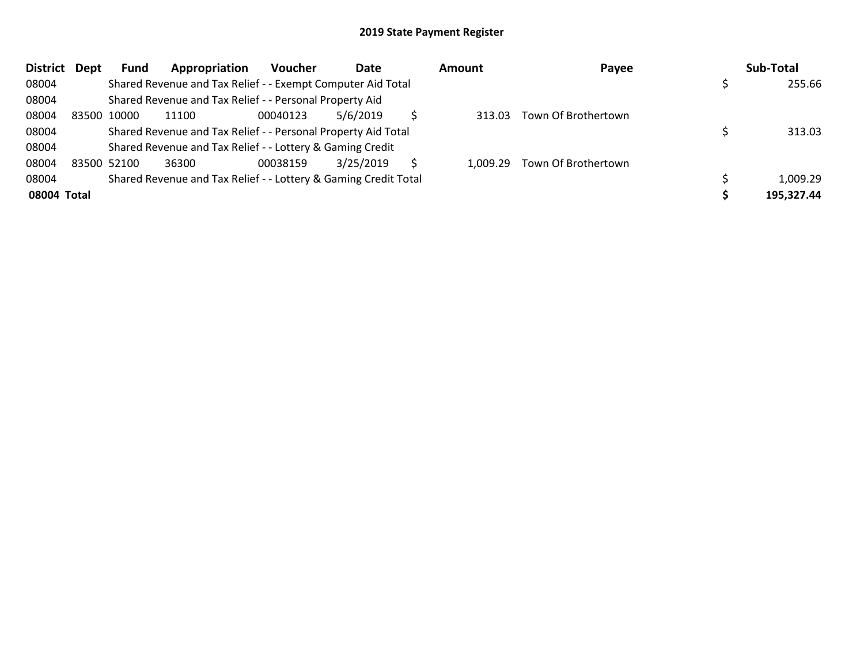| <b>District</b> | Dept | <b>Fund</b> | Appropriation                                                   | <b>Voucher</b> | Date      | <b>Amount</b> | Payee               | Sub-Total  |
|-----------------|------|-------------|-----------------------------------------------------------------|----------------|-----------|---------------|---------------------|------------|
| 08004           |      |             | Shared Revenue and Tax Relief - - Exempt Computer Aid Total     |                |           |               |                     | 255.66     |
| 08004           |      |             | Shared Revenue and Tax Relief - - Personal Property Aid         |                |           |               |                     |            |
| 08004           |      | 83500 10000 | 11100                                                           | 00040123       | 5/6/2019  | 313.03        | Town Of Brothertown |            |
| 08004           |      |             | Shared Revenue and Tax Relief - - Personal Property Aid Total   |                |           |               |                     | 313.03     |
| 08004           |      |             | Shared Revenue and Tax Relief - - Lottery & Gaming Credit       |                |           |               |                     |            |
| 08004           |      | 83500 52100 | 36300                                                           | 00038159       | 3/25/2019 | 1.009.29      | Town Of Brothertown |            |
| 08004           |      |             | Shared Revenue and Tax Relief - - Lottery & Gaming Credit Total |                |           |               |                     | 1,009.29   |
| 08004 Total     |      |             |                                                                 |                |           |               |                     | 195,327.44 |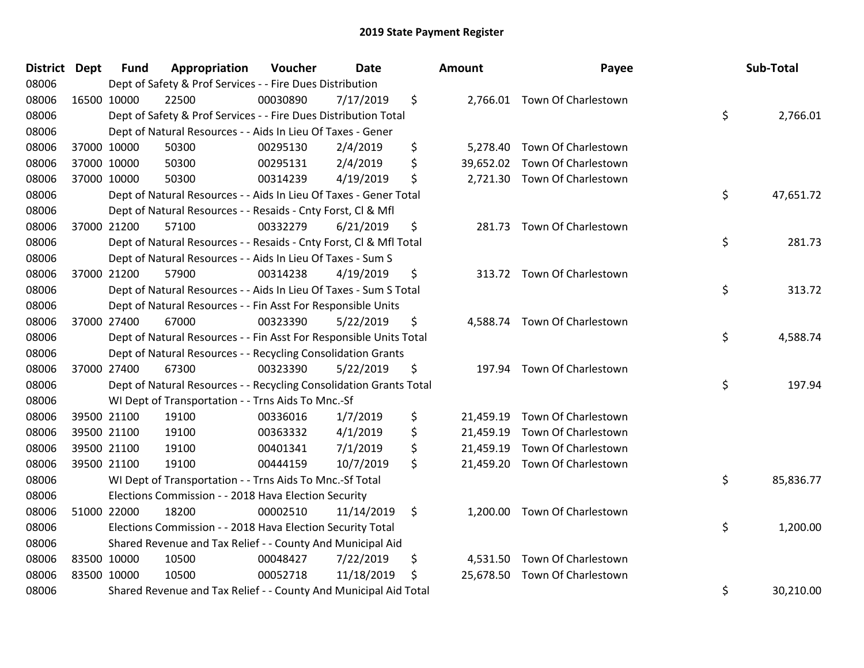| District Dept | Fund        | Appropriation                                                      | Voucher  | <b>Date</b> | Amount          | Payee                        | Sub-Total       |
|---------------|-------------|--------------------------------------------------------------------|----------|-------------|-----------------|------------------------------|-----------------|
| 08006         |             | Dept of Safety & Prof Services - - Fire Dues Distribution          |          |             |                 |                              |                 |
| 08006         | 16500 10000 | 22500                                                              | 00030890 | 7/17/2019   | \$              | 2,766.01 Town Of Charlestown |                 |
| 08006         |             | Dept of Safety & Prof Services - - Fire Dues Distribution Total    |          |             |                 |                              | \$<br>2,766.01  |
| 08006         |             | Dept of Natural Resources - - Aids In Lieu Of Taxes - Gener        |          |             |                 |                              |                 |
| 08006         | 37000 10000 | 50300                                                              | 00295130 | 2/4/2019    | \$<br>5,278.40  | Town Of Charlestown          |                 |
| 08006         | 37000 10000 | 50300                                                              | 00295131 | 2/4/2019    | \$<br>39,652.02 | Town Of Charlestown          |                 |
| 08006         | 37000 10000 | 50300                                                              | 00314239 | 4/19/2019   | \$              | 2,721.30 Town Of Charlestown |                 |
| 08006         |             | Dept of Natural Resources - - Aids In Lieu Of Taxes - Gener Total  |          |             |                 |                              | \$<br>47,651.72 |
| 08006         |             | Dept of Natural Resources - - Resaids - Cnty Forst, CI & Mfl       |          |             |                 |                              |                 |
| 08006         | 37000 21200 | 57100                                                              | 00332279 | 6/21/2019   | \$<br>281.73    | Town Of Charlestown          |                 |
| 08006         |             | Dept of Natural Resources - - Resaids - Cnty Forst, Cl & Mfl Total |          |             |                 |                              | \$<br>281.73    |
| 08006         |             | Dept of Natural Resources - - Aids In Lieu Of Taxes - Sum S        |          |             |                 |                              |                 |
| 08006         | 37000 21200 | 57900                                                              | 00314238 | 4/19/2019   | \$              | 313.72 Town Of Charlestown   |                 |
| 08006         |             | Dept of Natural Resources - - Aids In Lieu Of Taxes - Sum S Total  |          |             |                 |                              | \$<br>313.72    |
| 08006         |             | Dept of Natural Resources - - Fin Asst For Responsible Units       |          |             |                 |                              |                 |
| 08006         | 37000 27400 | 67000                                                              | 00323390 | 5/22/2019   | \$<br>4,588.74  | Town Of Charlestown          |                 |
| 08006         |             | Dept of Natural Resources - - Fin Asst For Responsible Units Total |          |             |                 |                              | \$<br>4,588.74  |
| 08006         |             | Dept of Natural Resources - - Recycling Consolidation Grants       |          |             |                 |                              |                 |
| 08006         | 37000 27400 | 67300                                                              | 00323390 | 5/22/2019   | \$              | 197.94 Town Of Charlestown   |                 |
| 08006         |             | Dept of Natural Resources - - Recycling Consolidation Grants Total |          |             |                 |                              | \$<br>197.94    |
| 08006         |             | WI Dept of Transportation - - Trns Aids To Mnc.-Sf                 |          |             |                 |                              |                 |
| 08006         | 39500 21100 | 19100                                                              | 00336016 | 1/7/2019    | \$<br>21,459.19 | Town Of Charlestown          |                 |
| 08006         | 39500 21100 | 19100                                                              | 00363332 | 4/1/2019    | \$<br>21,459.19 | Town Of Charlestown          |                 |
| 08006         | 39500 21100 | 19100                                                              | 00401341 | 7/1/2019    | \$<br>21,459.19 | Town Of Charlestown          |                 |
| 08006         | 39500 21100 | 19100                                                              | 00444159 | 10/7/2019   | \$<br>21,459.20 | Town Of Charlestown          |                 |
| 08006         |             | WI Dept of Transportation - - Trns Aids To Mnc.-Sf Total           |          |             |                 |                              | \$<br>85,836.77 |
| 08006         |             | Elections Commission - - 2018 Hava Election Security               |          |             |                 |                              |                 |
| 08006         | 51000 22000 | 18200                                                              | 00002510 | 11/14/2019  | \$              | 1,200.00 Town Of Charlestown |                 |
| 08006         |             | Elections Commission - - 2018 Hava Election Security Total         |          |             |                 |                              | \$<br>1,200.00  |
| 08006         |             | Shared Revenue and Tax Relief - - County And Municipal Aid         |          |             |                 |                              |                 |
| 08006         | 83500 10000 | 10500                                                              | 00048427 | 7/22/2019   | \$<br>4,531.50  | Town Of Charlestown          |                 |
| 08006         | 83500 10000 | 10500                                                              | 00052718 | 11/18/2019  | \$<br>25,678.50 | Town Of Charlestown          |                 |
| 08006         |             | Shared Revenue and Tax Relief - - County And Municipal Aid Total   |          |             |                 |                              | \$<br>30,210.00 |

| າount     | Payee                         | Sub-Total       |
|-----------|-------------------------------|-----------------|
| 2,766.01  | Town Of Charlestown           | \$<br>2,766.01  |
| 5,278.40  | Town Of Charlestown           |                 |
|           | 39,652.02 Town Of Charlestown |                 |
| 2,721.30  | Town Of Charlestown           | \$<br>47,651.72 |
| 281.73    | Town Of Charlestown           | \$<br>281.73    |
| 313.72    | Town Of Charlestown           | \$<br>313.72    |
| 4,588.74  | Town Of Charlestown           | \$<br>4,588.74  |
| 197.94    | Town Of Charlestown           | \$<br>197.94    |
| 21,459.19 | Town Of Charlestown           |                 |
|           | 21,459.19 Town Of Charlestown |                 |
|           | 21,459.19 Town Of Charlestown |                 |
| 21,459.20 | Town Of Charlestown           | \$<br>85,836.77 |
| 1,200.00  | Town Of Charlestown           | \$<br>1,200.00  |
|           | 4,531.50 Town Of Charlestown  |                 |
| 25,678.50 | Town Of Charlestown           | \$<br>30,210.00 |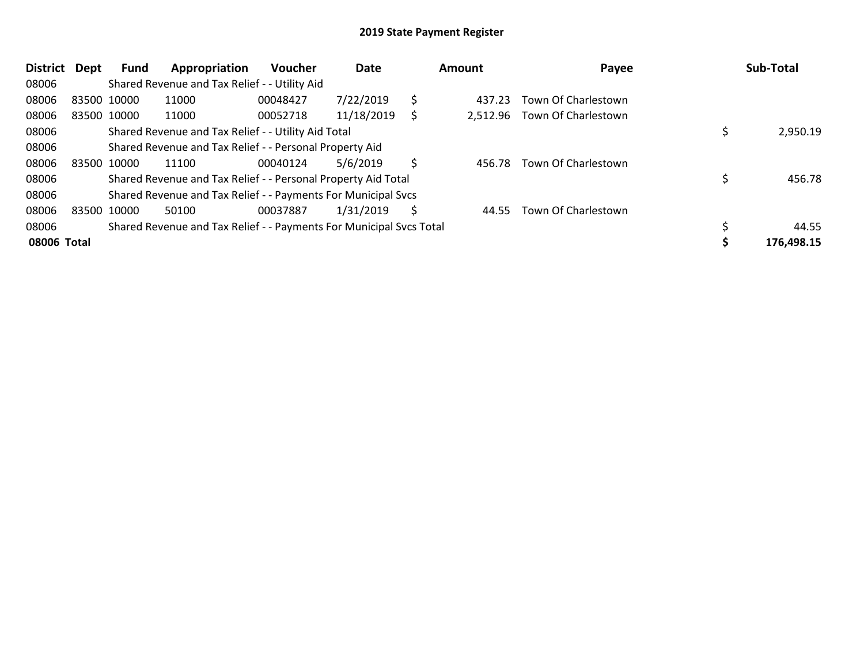| District    | Dept | <b>Fund</b> | Appropriation                                                       | <b>Voucher</b> | Date       |    | Amount   | Payee               |  | Sub-Total  |  |
|-------------|------|-------------|---------------------------------------------------------------------|----------------|------------|----|----------|---------------------|--|------------|--|
| 08006       |      |             | Shared Revenue and Tax Relief - - Utility Aid                       |                |            |    |          |                     |  |            |  |
| 08006       |      | 83500 10000 | 11000                                                               | 00048427       | 7/22/2019  | \$ | 437.23   | Town Of Charlestown |  |            |  |
| 08006       |      | 83500 10000 | 11000                                                               | 00052718       | 11/18/2019 | S  | 2,512.96 | Town Of Charlestown |  |            |  |
| 08006       |      |             | Shared Revenue and Tax Relief - - Utility Aid Total                 |                |            |    |          |                     |  | 2,950.19   |  |
| 08006       |      |             | Shared Revenue and Tax Relief - - Personal Property Aid             |                |            |    |          |                     |  |            |  |
| 08006       |      | 83500 10000 | 11100                                                               | 00040124       | 5/6/2019   | Ś  | 456.78   | Town Of Charlestown |  |            |  |
| 08006       |      |             | Shared Revenue and Tax Relief - - Personal Property Aid Total       |                |            |    |          |                     |  | 456.78     |  |
| 08006       |      |             | Shared Revenue and Tax Relief - - Payments For Municipal Svcs       |                |            |    |          |                     |  |            |  |
| 08006       |      | 83500 10000 | 50100                                                               | 00037887       | 1/31/2019  | Ś  | 44.55    | Town Of Charlestown |  |            |  |
| 08006       |      |             | Shared Revenue and Tax Relief - - Payments For Municipal Svcs Total |                |            |    |          |                     |  | 44.55      |  |
| 08006 Total |      |             |                                                                     |                |            |    |          |                     |  | 176,498.15 |  |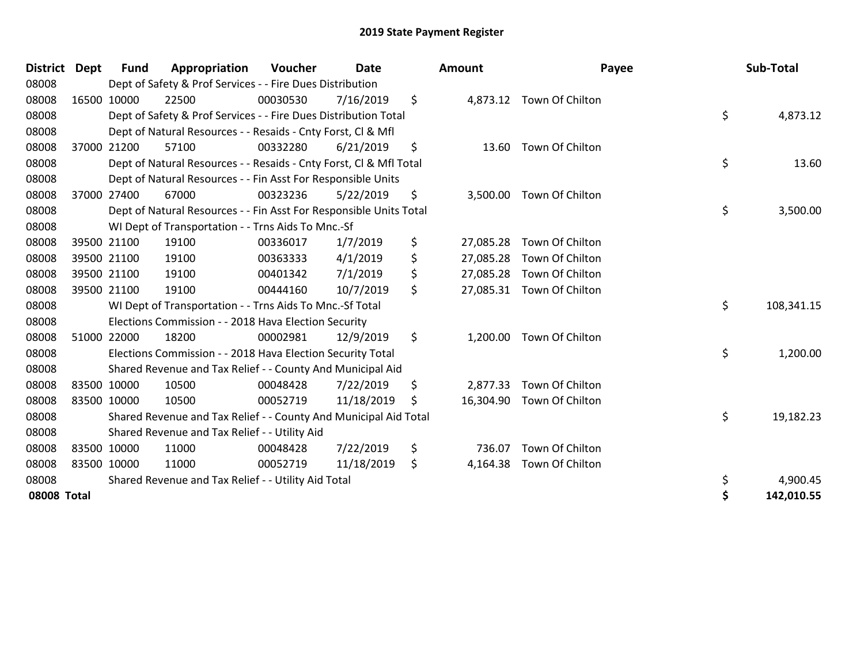| District    | Dept        | <b>Fund</b> | Appropriation                                                      | Voucher  | Date       | <b>Amount</b>   | Payee                     | Sub-Total        |
|-------------|-------------|-------------|--------------------------------------------------------------------|----------|------------|-----------------|---------------------------|------------------|
| 08008       |             |             | Dept of Safety & Prof Services - - Fire Dues Distribution          |          |            |                 |                           |                  |
| 08008       |             | 16500 10000 | 22500                                                              | 00030530 | 7/16/2019  | \$              | 4,873.12 Town Of Chilton  |                  |
| 08008       |             |             | Dept of Safety & Prof Services - - Fire Dues Distribution Total    |          |            |                 |                           | \$<br>4,873.12   |
| 08008       |             |             | Dept of Natural Resources - - Resaids - Cnty Forst, CI & Mfl       |          |            |                 |                           |                  |
| 08008       |             | 37000 21200 | 57100                                                              | 00332280 | 6/21/2019  | \$<br>13.60     | Town Of Chilton           |                  |
| 08008       |             |             | Dept of Natural Resources - - Resaids - Cnty Forst, Cl & Mfl Total |          |            |                 |                           | \$<br>13.60      |
| 08008       |             |             | Dept of Natural Resources - - Fin Asst For Responsible Units       |          |            |                 |                           |                  |
| 08008       |             | 37000 27400 | 67000                                                              | 00323236 | 5/22/2019  | \$<br>3,500.00  | Town Of Chilton           |                  |
| 08008       |             |             | Dept of Natural Resources - - Fin Asst For Responsible Units Total |          |            |                 |                           | \$<br>3,500.00   |
| 08008       |             |             | WI Dept of Transportation - - Trns Aids To Mnc.-Sf                 |          |            |                 |                           |                  |
| 08008       |             | 39500 21100 | 19100                                                              | 00336017 | 1/7/2019   | \$<br>27,085.28 | Town Of Chilton           |                  |
| 08008       |             | 39500 21100 | 19100                                                              | 00363333 | 4/1/2019   | \$<br>27,085.28 | Town Of Chilton           |                  |
| 08008       | 39500 21100 |             | 19100                                                              | 00401342 | 7/1/2019   | \$<br>27,085.28 | Town Of Chilton           |                  |
| 08008       | 39500 21100 |             | 19100                                                              | 00444160 | 10/7/2019  | \$              | 27,085.31 Town Of Chilton |                  |
| 08008       |             |             | WI Dept of Transportation - - Trns Aids To Mnc.-Sf Total           |          |            |                 |                           | \$<br>108,341.15 |
| 08008       |             |             | Elections Commission - - 2018 Hava Election Security               |          |            |                 |                           |                  |
| 08008       |             | 51000 22000 | 18200                                                              | 00002981 | 12/9/2019  | \$<br>1,200.00  | Town Of Chilton           |                  |
| 08008       |             |             | Elections Commission - - 2018 Hava Election Security Total         |          |            |                 |                           | \$<br>1,200.00   |
| 08008       |             |             | Shared Revenue and Tax Relief - - County And Municipal Aid         |          |            |                 |                           |                  |
| 08008       | 83500 10000 |             | 10500                                                              | 00048428 | 7/22/2019  | \$<br>2,877.33  | Town Of Chilton           |                  |
| 08008       |             | 83500 10000 | 10500                                                              | 00052719 | 11/18/2019 | \$<br>16,304.90 | Town Of Chilton           |                  |
| 08008       |             |             | Shared Revenue and Tax Relief - - County And Municipal Aid Total   |          |            |                 |                           | \$<br>19,182.23  |
| 08008       |             |             | Shared Revenue and Tax Relief - - Utility Aid                      |          |            |                 |                           |                  |
| 08008       |             | 83500 10000 | 11000                                                              | 00048428 | 7/22/2019  | \$<br>736.07    | Town Of Chilton           |                  |
| 08008       | 83500 10000 |             | 11000                                                              | 00052719 | 11/18/2019 | \$<br>4,164.38  | Town Of Chilton           |                  |
| 08008       |             |             | Shared Revenue and Tax Relief - - Utility Aid Total                |          |            |                 |                           | \$<br>4,900.45   |
| 08008 Total |             |             |                                                                    |          |            |                 |                           | \$<br>142,010.55 |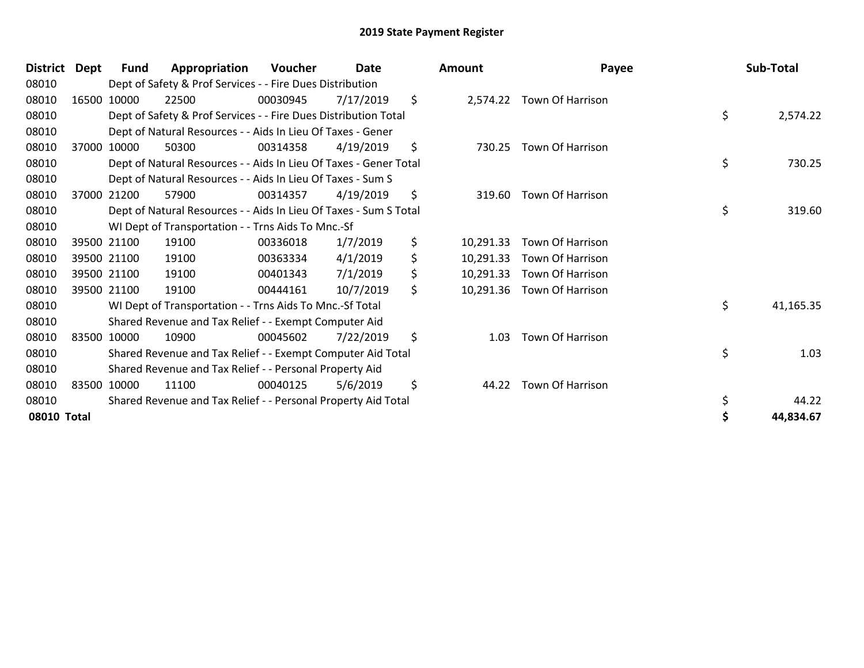| District    | Dept | Fund        | Appropriation                                                     | <b>Voucher</b> | Date      | <b>Amount</b>   | Payee                      | Sub-Total       |
|-------------|------|-------------|-------------------------------------------------------------------|----------------|-----------|-----------------|----------------------------|-----------------|
| 08010       |      |             | Dept of Safety & Prof Services - - Fire Dues Distribution         |                |           |                 |                            |                 |
| 08010       |      | 16500 10000 | 22500                                                             | 00030945       | 7/17/2019 | \$              | 2,574.22 Town Of Harrison  |                 |
| 08010       |      |             | Dept of Safety & Prof Services - - Fire Dues Distribution Total   |                |           |                 |                            | \$<br>2,574.22  |
| 08010       |      |             | Dept of Natural Resources - - Aids In Lieu Of Taxes - Gener       |                |           |                 |                            |                 |
| 08010       |      | 37000 10000 | 50300                                                             | 00314358       | 4/19/2019 | \$<br>730.25    | <b>Town Of Harrison</b>    |                 |
| 08010       |      |             | Dept of Natural Resources - - Aids In Lieu Of Taxes - Gener Total |                |           |                 |                            | \$<br>730.25    |
| 08010       |      |             | Dept of Natural Resources - - Aids In Lieu Of Taxes - Sum S       |                |           |                 |                            |                 |
| 08010       |      | 37000 21200 | 57900                                                             | 00314357       | 4/19/2019 | \$<br>319.60    | Town Of Harrison           |                 |
| 08010       |      |             | Dept of Natural Resources - - Aids In Lieu Of Taxes - Sum S Total |                |           |                 |                            | \$<br>319.60    |
| 08010       |      |             | WI Dept of Transportation - - Trns Aids To Mnc.-Sf                |                |           |                 |                            |                 |
| 08010       |      | 39500 21100 | 19100                                                             | 00336018       | 1/7/2019  | \$<br>10,291.33 | Town Of Harrison           |                 |
| 08010       |      | 39500 21100 | 19100                                                             | 00363334       | 4/1/2019  | \$<br>10,291.33 | Town Of Harrison           |                 |
| 08010       |      | 39500 21100 | 19100                                                             | 00401343       | 7/1/2019  | \$<br>10,291.33 | Town Of Harrison           |                 |
| 08010       |      | 39500 21100 | 19100                                                             | 00444161       | 10/7/2019 | \$              | 10,291.36 Town Of Harrison |                 |
| 08010       |      |             | WI Dept of Transportation - - Trns Aids To Mnc.-Sf Total          |                |           |                 |                            | \$<br>41,165.35 |
| 08010       |      |             | Shared Revenue and Tax Relief - - Exempt Computer Aid             |                |           |                 |                            |                 |
| 08010       |      | 83500 10000 | 10900                                                             | 00045602       | 7/22/2019 | \$<br>1.03      | Town Of Harrison           |                 |
| 08010       |      |             | Shared Revenue and Tax Relief - - Exempt Computer Aid Total       |                |           |                 |                            | \$<br>1.03      |
| 08010       |      |             | Shared Revenue and Tax Relief - - Personal Property Aid           |                |           |                 |                            |                 |
| 08010       |      | 83500 10000 | 11100                                                             | 00040125       | 5/6/2019  | \$<br>44.22     | Town Of Harrison           |                 |
| 08010       |      |             | Shared Revenue and Tax Relief - - Personal Property Aid Total     |                |           |                 |                            | \$<br>44.22     |
| 08010 Total |      |             |                                                                   |                |           |                 |                            | 44,834.67       |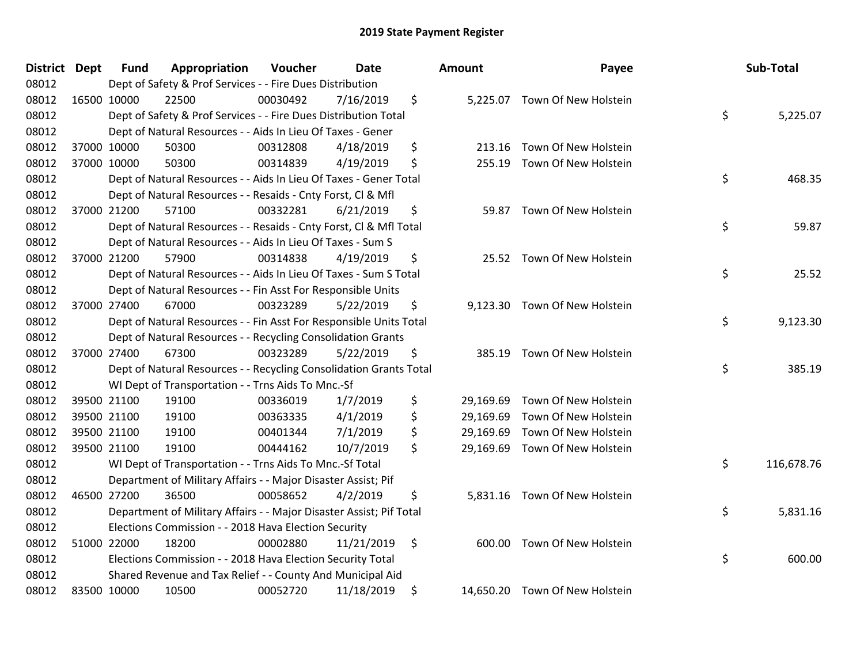| District Dept | <b>Fund</b> | Appropriation                                                       | Voucher  | <b>Date</b> | <b>Amount</b>   | Payee                          | Sub-Total        |
|---------------|-------------|---------------------------------------------------------------------|----------|-------------|-----------------|--------------------------------|------------------|
| 08012         |             | Dept of Safety & Prof Services - - Fire Dues Distribution           |          |             |                 |                                |                  |
| 08012         | 16500 10000 | 22500                                                               | 00030492 | 7/16/2019   | \$              | 5,225.07 Town Of New Holstein  |                  |
| 08012         |             | Dept of Safety & Prof Services - - Fire Dues Distribution Total     |          |             |                 |                                | \$<br>5,225.07   |
| 08012         |             | Dept of Natural Resources - - Aids In Lieu Of Taxes - Gener         |          |             |                 |                                |                  |
| 08012         | 37000 10000 | 50300                                                               | 00312808 | 4/18/2019   | \$<br>213.16    | Town Of New Holstein           |                  |
| 08012         | 37000 10000 | 50300                                                               | 00314839 | 4/19/2019   | \$<br>255.19    | Town Of New Holstein           |                  |
| 08012         |             | Dept of Natural Resources - - Aids In Lieu Of Taxes - Gener Total   |          |             |                 |                                | \$<br>468.35     |
| 08012         |             | Dept of Natural Resources - - Resaids - Cnty Forst, Cl & Mfl        |          |             |                 |                                |                  |
| 08012         | 37000 21200 | 57100                                                               | 00332281 | 6/21/2019   | \$<br>59.87     | Town Of New Holstein           |                  |
| 08012         |             | Dept of Natural Resources - - Resaids - Cnty Forst, Cl & Mfl Total  |          |             |                 |                                | \$<br>59.87      |
| 08012         |             | Dept of Natural Resources - - Aids In Lieu Of Taxes - Sum S         |          |             |                 |                                |                  |
| 08012         | 37000 21200 | 57900                                                               | 00314838 | 4/19/2019   | \$              | 25.52 Town Of New Holstein     |                  |
| 08012         |             | Dept of Natural Resources - - Aids In Lieu Of Taxes - Sum S Total   |          |             |                 |                                | \$<br>25.52      |
| 08012         |             | Dept of Natural Resources - - Fin Asst For Responsible Units        |          |             |                 |                                |                  |
| 08012         | 37000 27400 | 67000                                                               | 00323289 | 5/22/2019   | \$<br>9,123.30  | Town Of New Holstein           |                  |
| 08012         |             | Dept of Natural Resources - - Fin Asst For Responsible Units Total  |          |             |                 |                                | \$<br>9,123.30   |
| 08012         |             | Dept of Natural Resources - - Recycling Consolidation Grants        |          |             |                 |                                |                  |
| 08012         | 37000 27400 | 67300                                                               | 00323289 | 5/22/2019   | \$<br>385.19    | Town Of New Holstein           |                  |
| 08012         |             | Dept of Natural Resources - - Recycling Consolidation Grants Total  |          |             |                 |                                | \$<br>385.19     |
| 08012         |             | WI Dept of Transportation - - Trns Aids To Mnc.-Sf                  |          |             |                 |                                |                  |
| 08012         | 39500 21100 | 19100                                                               | 00336019 | 1/7/2019    | \$              | 29,169.69 Town Of New Holstein |                  |
| 08012         | 39500 21100 | 19100                                                               | 00363335 | 4/1/2019    | \$<br>29,169.69 | Town Of New Holstein           |                  |
| 08012         | 39500 21100 | 19100                                                               | 00401344 | 7/1/2019    | \$              | 29,169.69 Town Of New Holstein |                  |
| 08012         | 39500 21100 | 19100                                                               | 00444162 | 10/7/2019   | \$              | 29,169.69 Town Of New Holstein |                  |
| 08012         |             | WI Dept of Transportation - - Trns Aids To Mnc.-Sf Total            |          |             |                 |                                | \$<br>116,678.76 |
| 08012         |             | Department of Military Affairs - - Major Disaster Assist; Pif       |          |             |                 |                                |                  |
| 08012         | 46500 27200 | 36500                                                               | 00058652 | 4/2/2019    | \$              | 5,831.16 Town Of New Holstein  |                  |
| 08012         |             | Department of Military Affairs - - Major Disaster Assist; Pif Total |          |             |                 |                                | \$<br>5,831.16   |
| 08012         |             | Elections Commission - - 2018 Hava Election Security                |          |             |                 |                                |                  |
| 08012         | 51000 22000 | 18200                                                               | 00002880 | 11/21/2019  | \$<br>600.00    | Town Of New Holstein           |                  |
| 08012         |             | Elections Commission - - 2018 Hava Election Security Total          |          |             |                 |                                | \$<br>600.00     |
| 08012         |             | Shared Revenue and Tax Relief - - County And Municipal Aid          |          |             |                 |                                |                  |
| 08012         | 83500 10000 | 10500                                                               | 00052720 | 11/18/2019  | \$              | 14,650.20 Town Of New Holstein |                  |

| Sub-Total  | Payee                               | วนทt      |
|------------|-------------------------------------|-----------|
| 5,225.07   | \$<br>Town Of New Holstein          | 5,225.07  |
|            | 213.16 Town Of New Holstein         |           |
| 468.35     | \$<br>Town Of New Holstein          | 255.19    |
| 59.87      | \$<br>59.87 Town Of New Holstein    |           |
| 25.52      | \$<br>Town Of New Holstein          | 25.52     |
| 9,123.30   | \$<br>Town Of New Holstein          | 9,123.30  |
| 385.19     | \$<br>385.19 Town Of New Holstein   |           |
|            | Town Of New Holstein                | 29,169.69 |
|            | Town Of New Holstein                | 29,169.69 |
|            | Town Of New Holstein                | 29,169.69 |
|            | Town Of New Holstein                | 29,169.69 |
| 116,678.76 | \$                                  |           |
| 5,831.16   | \$<br>5,831.16 Town Of New Holstein |           |
| 600.00     | \$<br>Town Of New Holstein          | 600.00    |
|            | Town Of New Holstein                | 14,650.20 |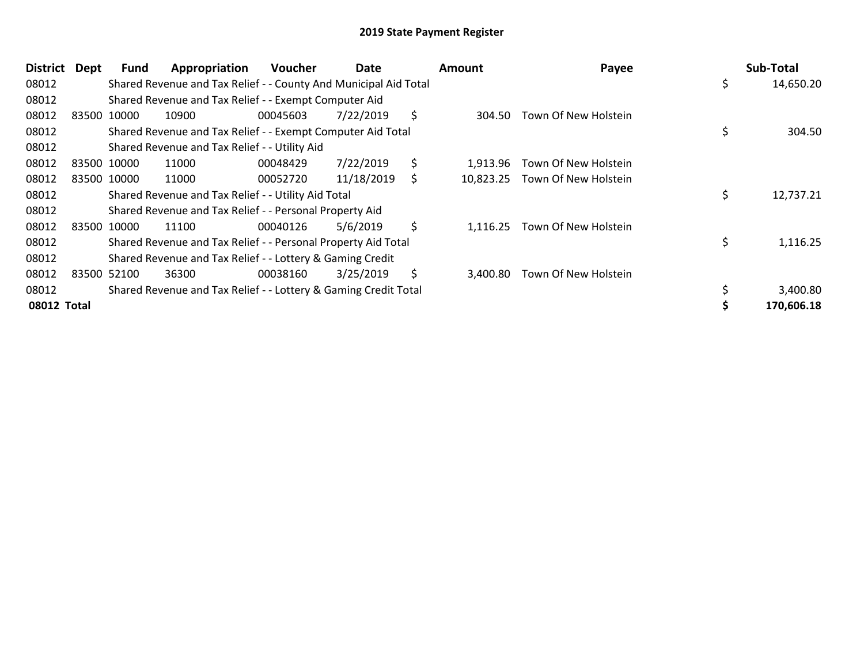| <b>District</b> | Dept | <b>Fund</b> | Appropriation                                                    | <b>Voucher</b> | Date       | <b>Amount</b>  | Payee                          | Sub-Total       |
|-----------------|------|-------------|------------------------------------------------------------------|----------------|------------|----------------|--------------------------------|-----------------|
| 08012           |      |             | Shared Revenue and Tax Relief - - County And Municipal Aid Total |                |            |                |                                | \$<br>14,650.20 |
| 08012           |      |             | Shared Revenue and Tax Relief - - Exempt Computer Aid            |                |            |                |                                |                 |
| 08012           |      | 83500 10000 | 10900                                                            | 00045603       | 7/22/2019  | \$<br>304.50   | Town Of New Holstein           |                 |
| 08012           |      |             | Shared Revenue and Tax Relief - - Exempt Computer Aid Total      |                |            |                |                                | \$<br>304.50    |
| 08012           |      |             | Shared Revenue and Tax Relief - - Utility Aid                    |                |            |                |                                |                 |
| 08012           |      | 83500 10000 | 11000                                                            | 00048429       | 7/22/2019  | \$<br>1.913.96 | Town Of New Holstein           |                 |
| 08012           |      | 83500 10000 | 11000                                                            | 00052720       | 11/18/2019 | \$             | 10,823.25 Town Of New Holstein |                 |
| 08012           |      |             | Shared Revenue and Tax Relief - - Utility Aid Total              |                |            |                |                                | \$<br>12,737.21 |
| 08012           |      |             | Shared Revenue and Tax Relief - - Personal Property Aid          |                |            |                |                                |                 |
| 08012           |      | 83500 10000 | 11100                                                            | 00040126       | 5/6/2019   | \$<br>1,116.25 | Town Of New Holstein           |                 |
| 08012           |      |             | Shared Revenue and Tax Relief - - Personal Property Aid Total    |                |            |                |                                | \$<br>1,116.25  |
| 08012           |      |             | Shared Revenue and Tax Relief - - Lottery & Gaming Credit        |                |            |                |                                |                 |
| 08012           |      | 83500 52100 | 36300                                                            | 00038160       | 3/25/2019  | \$<br>3,400.80 | Town Of New Holstein           |                 |
| 08012           |      |             | Shared Revenue and Tax Relief - - Lottery & Gaming Credit Total  |                |            |                |                                | 3,400.80        |
| 08012 Total     |      |             |                                                                  |                |            |                |                                | 170,606.18      |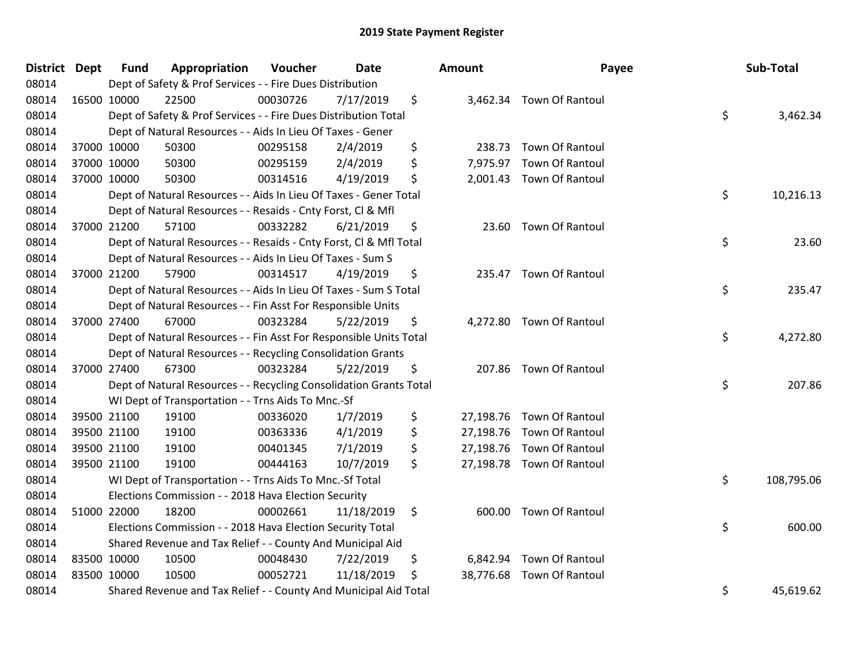| <b>District Dept</b> | <b>Fund</b> | Appropriation                                                      | Voucher  | <b>Date</b> |    | Amount    | Payee                     |    | Sub-Total  |
|----------------------|-------------|--------------------------------------------------------------------|----------|-------------|----|-----------|---------------------------|----|------------|
| 08014                |             | Dept of Safety & Prof Services - - Fire Dues Distribution          |          |             |    |           |                           |    |            |
| 08014                | 16500 10000 | 22500                                                              | 00030726 | 7/17/2019   | \$ |           | 3,462.34 Town Of Rantoul  |    |            |
| 08014                |             | Dept of Safety & Prof Services - - Fire Dues Distribution Total    |          |             |    |           |                           | \$ | 3,462.34   |
| 08014                |             | Dept of Natural Resources - - Aids In Lieu Of Taxes - Gener        |          |             |    |           |                           |    |            |
| 08014                | 37000 10000 | 50300                                                              | 00295158 | 2/4/2019    | \$ | 238.73    | <b>Town Of Rantoul</b>    |    |            |
| 08014                | 37000 10000 | 50300                                                              | 00295159 | 2/4/2019    | \$ | 7,975.97  | Town Of Rantoul           |    |            |
| 08014                | 37000 10000 | 50300                                                              | 00314516 | 4/19/2019   | \$ |           | 2,001.43 Town Of Rantoul  |    |            |
| 08014                |             | Dept of Natural Resources - - Aids In Lieu Of Taxes - Gener Total  |          |             |    |           |                           | \$ | 10,216.13  |
| 08014                |             | Dept of Natural Resources - - Resaids - Cnty Forst, Cl & Mfl       |          |             |    |           |                           |    |            |
| 08014                | 37000 21200 | 57100                                                              | 00332282 | 6/21/2019   | \$ |           | 23.60 Town Of Rantoul     |    |            |
| 08014                |             | Dept of Natural Resources - - Resaids - Cnty Forst, CI & Mfl Total |          |             |    |           |                           | \$ | 23.60      |
| 08014                |             | Dept of Natural Resources - - Aids In Lieu Of Taxes - Sum S        |          |             |    |           |                           |    |            |
| 08014                | 37000 21200 | 57900                                                              | 00314517 | 4/19/2019   | \$ |           | 235.47 Town Of Rantoul    |    |            |
| 08014                |             | Dept of Natural Resources - - Aids In Lieu Of Taxes - Sum S Total  |          |             |    |           |                           | \$ | 235.47     |
| 08014                |             | Dept of Natural Resources - - Fin Asst For Responsible Units       |          |             |    |           |                           |    |            |
| 08014                | 37000 27400 | 67000                                                              | 00323284 | 5/22/2019   | \$ |           | 4,272.80 Town Of Rantoul  |    |            |
| 08014                |             | Dept of Natural Resources - - Fin Asst For Responsible Units Total |          |             |    |           |                           | \$ | 4,272.80   |
| 08014                |             | Dept of Natural Resources - - Recycling Consolidation Grants       |          |             |    |           |                           |    |            |
| 08014                | 37000 27400 | 67300                                                              | 00323284 | 5/22/2019   | \$ |           | 207.86 Town Of Rantoul    |    |            |
| 08014                |             | Dept of Natural Resources - - Recycling Consolidation Grants Total |          |             |    |           |                           | \$ | 207.86     |
| 08014                |             | WI Dept of Transportation - - Trns Aids To Mnc.-Sf                 |          |             |    |           |                           |    |            |
| 08014                | 39500 21100 | 19100                                                              | 00336020 | 1/7/2019    | \$ |           | 27,198.76 Town Of Rantoul |    |            |
| 08014                | 39500 21100 | 19100                                                              | 00363336 | 4/1/2019    | \$ |           | 27,198.76 Town Of Rantoul |    |            |
| 08014                | 39500 21100 | 19100                                                              | 00401345 | 7/1/2019    | \$ |           | 27,198.76 Town Of Rantoul |    |            |
| 08014                | 39500 21100 | 19100                                                              | 00444163 | 10/7/2019   | \$ |           | 27,198.78 Town Of Rantoul |    |            |
| 08014                |             | WI Dept of Transportation - - Trns Aids To Mnc.-Sf Total           |          |             |    |           |                           | \$ | 108,795.06 |
| 08014                |             | Elections Commission - - 2018 Hava Election Security               |          |             |    |           |                           |    |            |
| 08014                | 51000 22000 | 18200                                                              | 00002661 | 11/18/2019  | \$ |           | 600.00 Town Of Rantoul    |    |            |
| 08014                |             | Elections Commission - - 2018 Hava Election Security Total         |          |             |    |           |                           | \$ | 600.00     |
| 08014                |             | Shared Revenue and Tax Relief - - County And Municipal Aid         |          |             |    |           |                           |    |            |
| 08014                | 83500 10000 | 10500                                                              | 00048430 | 7/22/2019   | \$ | 6,842.94  | Town Of Rantoul           |    |            |
| 08014                | 83500 10000 | 10500                                                              | 00052721 | 11/18/2019  | \$ | 38,776.68 | Town Of Rantoul           |    |            |
| 08014                |             | Shared Revenue and Tax Relief - - County And Municipal Aid Total   |          |             |    |           |                           | \$ | 45,619.62  |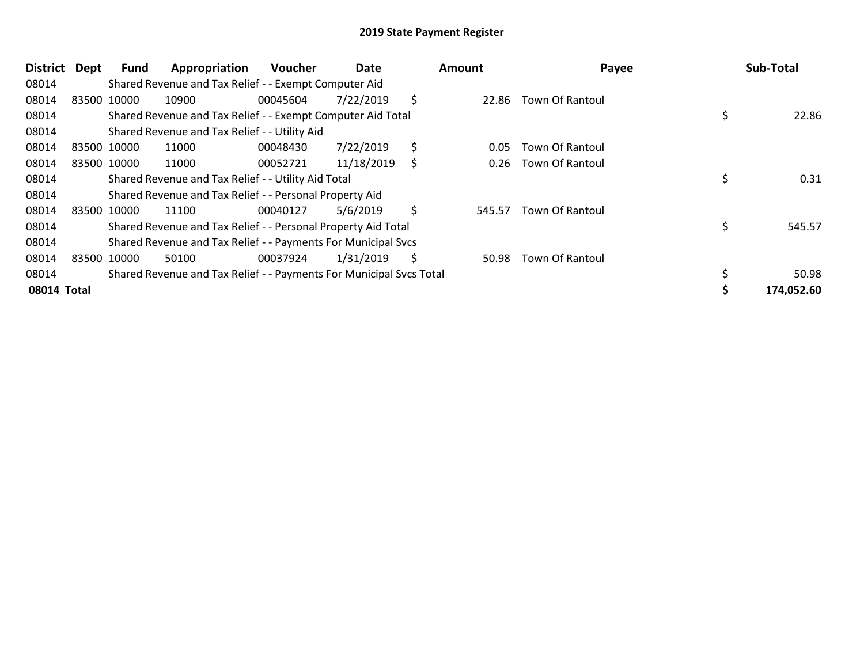| District    | Dept | <b>Fund</b> | Appropriation                                                       | <b>Voucher</b> | Date       |     | <b>Amount</b> | Payee                  | Sub-Total    |
|-------------|------|-------------|---------------------------------------------------------------------|----------------|------------|-----|---------------|------------------------|--------------|
| 08014       |      |             | Shared Revenue and Tax Relief - - Exempt Computer Aid               |                |            |     |               |                        |              |
| 08014       |      | 83500 10000 | 10900                                                               | 00045604       | 7/22/2019  | \$  | 22.86         | Town Of Rantoul        |              |
| 08014       |      |             | Shared Revenue and Tax Relief - - Exempt Computer Aid Total         |                |            |     |               |                        | 22.86        |
| 08014       |      |             | Shared Revenue and Tax Relief - - Utility Aid                       |                |            |     |               |                        |              |
| 08014       |      | 83500 10000 | 11000                                                               | 00048430       | 7/22/2019  | \$  | 0.05          | Town Of Rantoul        |              |
| 08014       |      | 83500 10000 | 11000                                                               | 00052721       | 11/18/2019 | \$  | 0.26          | Town Of Rantoul        |              |
| 08014       |      |             | Shared Revenue and Tax Relief - - Utility Aid Total                 |                |            |     |               |                        | \$<br>0.31   |
| 08014       |      |             | Shared Revenue and Tax Relief - - Personal Property Aid             |                |            |     |               |                        |              |
| 08014       |      | 83500 10000 | 11100                                                               | 00040127       | 5/6/2019   | \$  | 545.57        | Town Of Rantoul        |              |
| 08014       |      |             | Shared Revenue and Tax Relief - - Personal Property Aid Total       |                |            |     |               |                        | \$<br>545.57 |
| 08014       |      |             | Shared Revenue and Tax Relief - - Payments For Municipal Svcs       |                |            |     |               |                        |              |
| 08014       |      | 83500 10000 | 50100                                                               | 00037924       | 1/31/2019  | \$. | 50.98         | <b>Town Of Rantoul</b> |              |
| 08014       |      |             | Shared Revenue and Tax Relief - - Payments For Municipal Svcs Total |                |            |     |               |                        | 50.98        |
| 08014 Total |      |             |                                                                     |                |            |     |               |                        | 174,052.60   |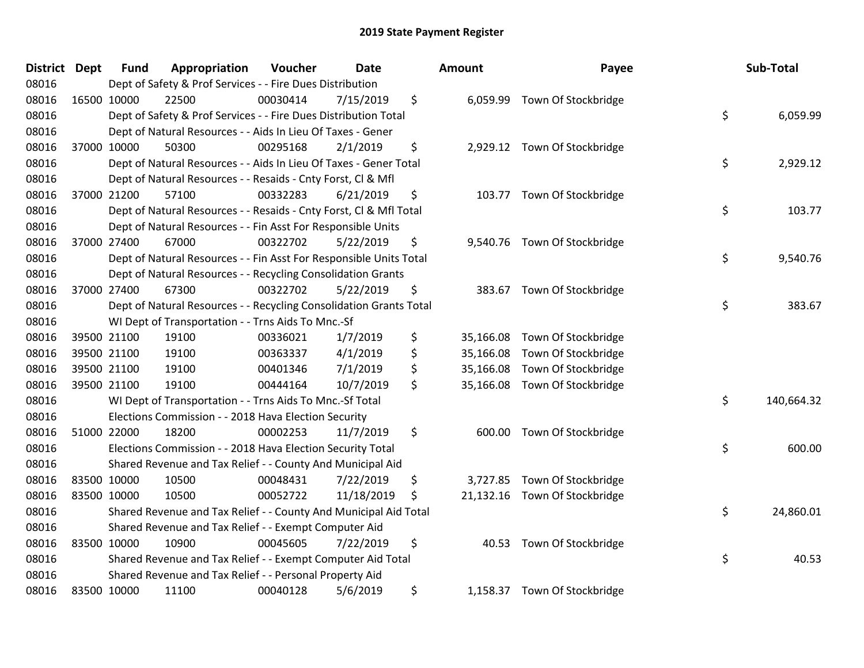| <b>District</b> | <b>Dept</b> | <b>Fund</b> | Appropriation                                                      | Voucher  | Date       | Amount          | Payee                         | Sub-Total        |
|-----------------|-------------|-------------|--------------------------------------------------------------------|----------|------------|-----------------|-------------------------------|------------------|
| 08016           |             |             | Dept of Safety & Prof Services - - Fire Dues Distribution          |          |            |                 |                               |                  |
| 08016           |             | 16500 10000 | 22500                                                              | 00030414 | 7/15/2019  | \$<br>6,059.99  | Town Of Stockbridge           |                  |
| 08016           |             |             | Dept of Safety & Prof Services - - Fire Dues Distribution Total    |          |            |                 |                               | \$<br>6,059.99   |
| 08016           |             |             | Dept of Natural Resources - - Aids In Lieu Of Taxes - Gener        |          |            |                 |                               |                  |
| 08016           |             | 37000 10000 | 50300                                                              | 00295168 | 2/1/2019   | \$              | 2,929.12 Town Of Stockbridge  |                  |
| 08016           |             |             | Dept of Natural Resources - - Aids In Lieu Of Taxes - Gener Total  |          |            |                 |                               | \$<br>2,929.12   |
| 08016           |             |             | Dept of Natural Resources - - Resaids - Cnty Forst, Cl & Mfl       |          |            |                 |                               |                  |
| 08016           |             | 37000 21200 | 57100                                                              | 00332283 | 6/21/2019  | \$<br>103.77    | Town Of Stockbridge           |                  |
| 08016           |             |             | Dept of Natural Resources - - Resaids - Cnty Forst, Cl & Mfl Total |          |            |                 |                               | \$<br>103.77     |
| 08016           |             |             | Dept of Natural Resources - - Fin Asst For Responsible Units       |          |            |                 |                               |                  |
| 08016           |             | 37000 27400 | 67000                                                              | 00322702 | 5/22/2019  | \$              | 9,540.76 Town Of Stockbridge  |                  |
| 08016           |             |             | Dept of Natural Resources - - Fin Asst For Responsible Units Total |          |            |                 |                               | \$<br>9,540.76   |
| 08016           |             |             | Dept of Natural Resources - - Recycling Consolidation Grants       |          |            |                 |                               |                  |
| 08016           |             | 37000 27400 | 67300                                                              | 00322702 | 5/22/2019  | \$              | 383.67 Town Of Stockbridge    |                  |
| 08016           |             |             | Dept of Natural Resources - - Recycling Consolidation Grants Total |          |            |                 |                               | \$<br>383.67     |
| 08016           |             |             | WI Dept of Transportation - - Trns Aids To Mnc.-Sf                 |          |            |                 |                               |                  |
| 08016           |             | 39500 21100 | 19100                                                              | 00336021 | 1/7/2019   | \$<br>35,166.08 | Town Of Stockbridge           |                  |
| 08016           |             | 39500 21100 | 19100                                                              | 00363337 | 4/1/2019   | \$<br>35,166.08 | Town Of Stockbridge           |                  |
| 08016           |             | 39500 21100 | 19100                                                              | 00401346 | 7/1/2019   | \$<br>35,166.08 | Town Of Stockbridge           |                  |
| 08016           |             | 39500 21100 | 19100                                                              | 00444164 | 10/7/2019  | \$<br>35,166.08 | Town Of Stockbridge           |                  |
| 08016           |             |             | WI Dept of Transportation - - Trns Aids To Mnc.-Sf Total           |          |            |                 |                               | \$<br>140,664.32 |
| 08016           |             |             | Elections Commission - - 2018 Hava Election Security               |          |            |                 |                               |                  |
| 08016           |             | 51000 22000 | 18200                                                              | 00002253 | 11/7/2019  | \$<br>600.00    | Town Of Stockbridge           |                  |
| 08016           |             |             | Elections Commission - - 2018 Hava Election Security Total         |          |            |                 |                               | \$<br>600.00     |
| 08016           |             |             | Shared Revenue and Tax Relief - - County And Municipal Aid         |          |            |                 |                               |                  |
| 08016           |             | 83500 10000 | 10500                                                              | 00048431 | 7/22/2019  | \$<br>3,727.85  | Town Of Stockbridge           |                  |
| 08016           |             | 83500 10000 | 10500                                                              | 00052722 | 11/18/2019 | \$              | 21,132.16 Town Of Stockbridge |                  |
| 08016           |             |             | Shared Revenue and Tax Relief - - County And Municipal Aid Total   |          |            |                 |                               | \$<br>24,860.01  |
| 08016           |             |             | Shared Revenue and Tax Relief - - Exempt Computer Aid              |          |            |                 |                               |                  |
| 08016           |             | 83500 10000 | 10900                                                              | 00045605 | 7/22/2019  | \$              | 40.53 Town Of Stockbridge     |                  |
| 08016           |             |             | Shared Revenue and Tax Relief - - Exempt Computer Aid Total        |          |            |                 |                               | \$<br>40.53      |
| 08016           |             |             | Shared Revenue and Tax Relief - - Personal Property Aid            |          |            |                 |                               |                  |
| 08016           |             | 83500 10000 | 11100                                                              | 00040128 | 5/6/2019   | \$              | 1,158.37 Town Of Stockbridge  |                  |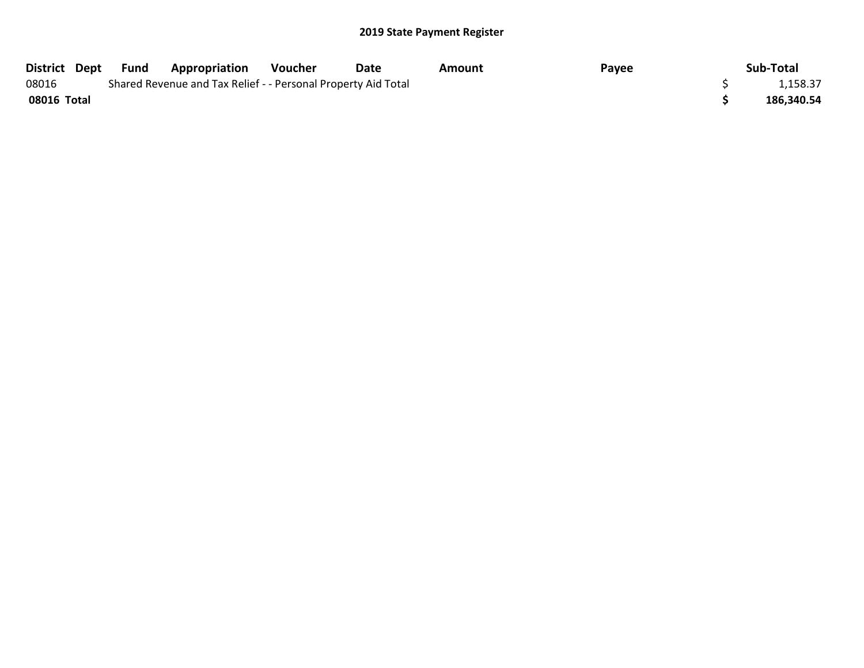| District Dept | Fund | <b>Appropriation</b>                                          | Voucher | Date | Amount | Payee | Sub-Total  |
|---------------|------|---------------------------------------------------------------|---------|------|--------|-------|------------|
| 08016         |      | Shared Revenue and Tax Relief - - Personal Property Aid Total |         |      |        |       | 1,158.37   |
| 08016 Total   |      |                                                               |         |      |        |       | 186.340.54 |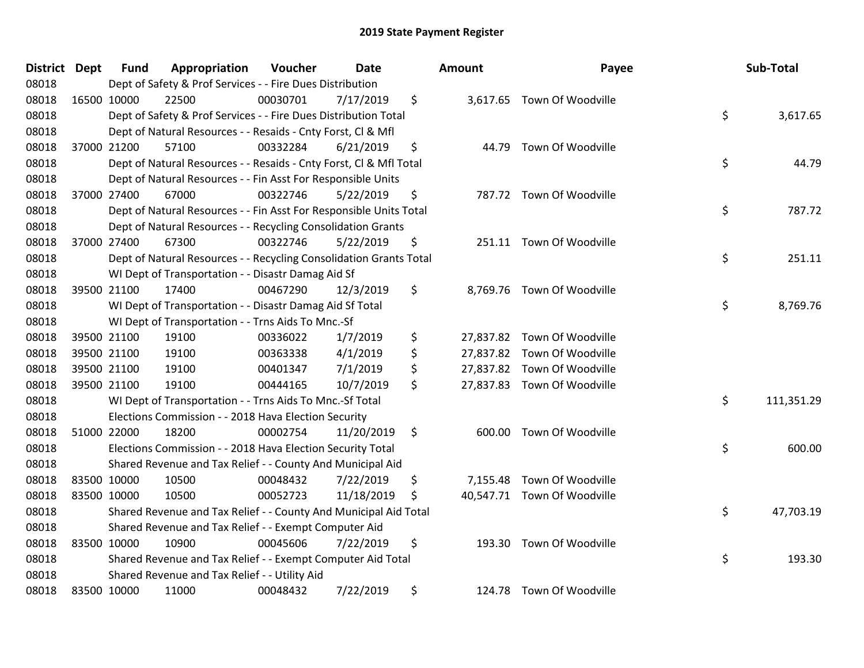| <b>District Dept</b> |             | <b>Fund</b> | Appropriation                                                      | Voucher  | Date       | <b>Amount</b>   | Payee                       | Sub-Total        |
|----------------------|-------------|-------------|--------------------------------------------------------------------|----------|------------|-----------------|-----------------------------|------------------|
| 08018                |             |             | Dept of Safety & Prof Services - - Fire Dues Distribution          |          |            |                 |                             |                  |
| 08018                | 16500 10000 |             | 22500                                                              | 00030701 | 7/17/2019  | \$              | 3,617.65 Town Of Woodville  |                  |
| 08018                |             |             | Dept of Safety & Prof Services - - Fire Dues Distribution Total    |          |            |                 |                             | \$<br>3,617.65   |
| 08018                |             |             | Dept of Natural Resources - - Resaids - Cnty Forst, CI & Mfl       |          |            |                 |                             |                  |
| 08018                |             | 37000 21200 | 57100                                                              | 00332284 | 6/21/2019  | \$<br>44.79     | Town Of Woodville           |                  |
| 08018                |             |             | Dept of Natural Resources - - Resaids - Cnty Forst, CI & Mfl Total |          |            |                 |                             | \$<br>44.79      |
| 08018                |             |             | Dept of Natural Resources - - Fin Asst For Responsible Units       |          |            |                 |                             |                  |
| 08018                |             | 37000 27400 | 67000                                                              | 00322746 | 5/22/2019  | \$              | 787.72 Town Of Woodville    |                  |
| 08018                |             |             | Dept of Natural Resources - - Fin Asst For Responsible Units Total |          |            |                 |                             | \$<br>787.72     |
| 08018                |             |             | Dept of Natural Resources - - Recycling Consolidation Grants       |          |            |                 |                             |                  |
| 08018                |             | 37000 27400 | 67300                                                              | 00322746 | 5/22/2019  | \$              | 251.11 Town Of Woodville    |                  |
| 08018                |             |             | Dept of Natural Resources - - Recycling Consolidation Grants Total |          |            |                 |                             | \$<br>251.11     |
| 08018                |             |             | WI Dept of Transportation - - Disastr Damag Aid Sf                 |          |            |                 |                             |                  |
| 08018                |             | 39500 21100 | 17400                                                              | 00467290 | 12/3/2019  | \$              | 8,769.76 Town Of Woodville  |                  |
| 08018                |             |             | WI Dept of Transportation - - Disastr Damag Aid Sf Total           |          |            |                 |                             | \$<br>8,769.76   |
| 08018                |             |             | WI Dept of Transportation - - Trns Aids To Mnc.-Sf                 |          |            |                 |                             |                  |
| 08018                |             | 39500 21100 | 19100                                                              | 00336022 | 1/7/2019   | \$<br>27,837.82 | Town Of Woodville           |                  |
| 08018                | 39500 21100 |             | 19100                                                              | 00363338 | 4/1/2019   | \$              | 27,837.82 Town Of Woodville |                  |
| 08018                | 39500 21100 |             | 19100                                                              | 00401347 | 7/1/2019   | \$              | 27,837.82 Town Of Woodville |                  |
| 08018                | 39500 21100 |             | 19100                                                              | 00444165 | 10/7/2019  | \$              | 27,837.83 Town Of Woodville |                  |
| 08018                |             |             | WI Dept of Transportation - - Trns Aids To Mnc.-Sf Total           |          |            |                 |                             | \$<br>111,351.29 |
| 08018                |             |             | Elections Commission - - 2018 Hava Election Security               |          |            |                 |                             |                  |
| 08018                | 51000 22000 |             | 18200                                                              | 00002754 | 11/20/2019 | \$              | 600.00 Town Of Woodville    |                  |
| 08018                |             |             | Elections Commission - - 2018 Hava Election Security Total         |          |            |                 |                             | \$<br>600.00     |
| 08018                |             |             | Shared Revenue and Tax Relief - - County And Municipal Aid         |          |            |                 |                             |                  |
| 08018                | 83500 10000 |             | 10500                                                              | 00048432 | 7/22/2019  | \$<br>7,155.48  | Town Of Woodville           |                  |
| 08018                | 83500 10000 |             | 10500                                                              | 00052723 | 11/18/2019 | \$              | 40,547.71 Town Of Woodville |                  |
| 08018                |             |             | Shared Revenue and Tax Relief - - County And Municipal Aid Total   |          |            |                 |                             | \$<br>47,703.19  |
| 08018                |             |             | Shared Revenue and Tax Relief - - Exempt Computer Aid              |          |            |                 |                             |                  |
| 08018                | 83500 10000 |             | 10900                                                              | 00045606 | 7/22/2019  | \$<br>193.30    | Town Of Woodville           |                  |
| 08018                |             |             | Shared Revenue and Tax Relief - - Exempt Computer Aid Total        |          |            |                 |                             | \$<br>193.30     |
| 08018                |             |             | Shared Revenue and Tax Relief - - Utility Aid                      |          |            |                 |                             |                  |
| 08018                | 83500 10000 |             | 11000                                                              | 00048432 | 7/22/2019  | \$              | 124.78 Town Of Woodville    |                  |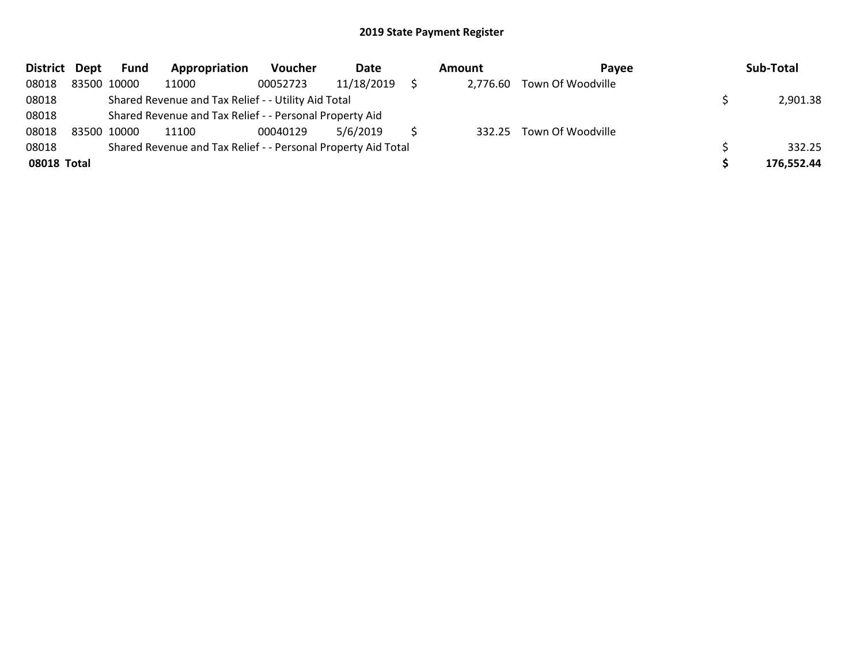| District Dept | <b>Fund</b> | Appropriation                                                 | Voucher  | Date       | Amount   | <b>Pavee</b>             | Sub-Total  |
|---------------|-------------|---------------------------------------------------------------|----------|------------|----------|--------------------------|------------|
| 08018         | 83500 10000 | 11000                                                         | 00052723 | 11/18/2019 | 2,776.60 | Town Of Woodville        |            |
| 08018         |             | Shared Revenue and Tax Relief - - Utility Aid Total           |          |            |          |                          | 2,901.38   |
| 08018         |             | Shared Revenue and Tax Relief - - Personal Property Aid       |          |            |          |                          |            |
| 08018         | 83500 10000 | 11100                                                         | 00040129 | 5/6/2019   |          | 332.25 Town Of Woodville |            |
| 08018         |             | Shared Revenue and Tax Relief - - Personal Property Aid Total |          |            |          |                          | 332.25     |
| 08018 Total   |             |                                                               |          |            |          |                          | 176,552.44 |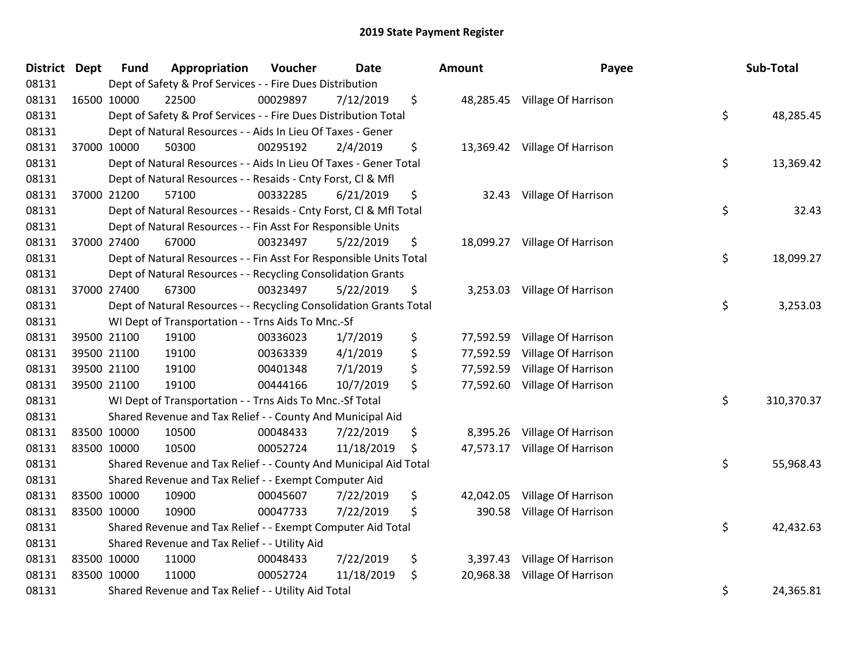| District Dept | <b>Fund</b> | Appropriation                                                      | Voucher  | <b>Date</b> | <b>Amount</b>   | Payee                         | Sub-Total        |
|---------------|-------------|--------------------------------------------------------------------|----------|-------------|-----------------|-------------------------------|------------------|
| 08131         |             | Dept of Safety & Prof Services - - Fire Dues Distribution          |          |             |                 |                               |                  |
| 08131         | 16500 10000 | 22500                                                              | 00029897 | 7/12/2019   | \$              | 48,285.45 Village Of Harrison |                  |
| 08131         |             | Dept of Safety & Prof Services - - Fire Dues Distribution Total    |          |             |                 |                               | \$<br>48,285.45  |
| 08131         |             | Dept of Natural Resources - - Aids In Lieu Of Taxes - Gener        |          |             |                 |                               |                  |
| 08131         | 37000 10000 | 50300                                                              | 00295192 | 2/4/2019    | \$              | 13,369.42 Village Of Harrison |                  |
| 08131         |             | Dept of Natural Resources - - Aids In Lieu Of Taxes - Gener Total  |          |             |                 |                               | \$<br>13,369.42  |
| 08131         |             | Dept of Natural Resources - - Resaids - Cnty Forst, Cl & Mfl       |          |             |                 |                               |                  |
| 08131         | 37000 21200 | 57100                                                              | 00332285 | 6/21/2019   | \$<br>32.43     | Village Of Harrison           |                  |
| 08131         |             | Dept of Natural Resources - - Resaids - Cnty Forst, Cl & Mfl Total |          |             |                 |                               | \$<br>32.43      |
| 08131         |             | Dept of Natural Resources - - Fin Asst For Responsible Units       |          |             |                 |                               |                  |
| 08131         | 37000 27400 | 67000                                                              | 00323497 | 5/22/2019   | \$<br>18,099.27 | Village Of Harrison           |                  |
| 08131         |             | Dept of Natural Resources - - Fin Asst For Responsible Units Total |          |             |                 |                               | \$<br>18,099.27  |
| 08131         |             | Dept of Natural Resources - - Recycling Consolidation Grants       |          |             |                 |                               |                  |
| 08131         | 37000 27400 | 67300                                                              | 00323497 | 5/22/2019   | \$              | 3,253.03 Village Of Harrison  |                  |
| 08131         |             | Dept of Natural Resources - - Recycling Consolidation Grants Total |          |             |                 |                               | \$<br>3,253.03   |
| 08131         |             | WI Dept of Transportation - - Trns Aids To Mnc.-Sf                 |          |             |                 |                               |                  |
| 08131         | 39500 21100 | 19100                                                              | 00336023 | 1/7/2019    | \$<br>77,592.59 | Village Of Harrison           |                  |
| 08131         | 39500 21100 | 19100                                                              | 00363339 | 4/1/2019    | \$<br>77,592.59 | Village Of Harrison           |                  |
| 08131         | 39500 21100 | 19100                                                              | 00401348 | 7/1/2019    | \$<br>77,592.59 | Village Of Harrison           |                  |
| 08131         | 39500 21100 | 19100                                                              | 00444166 | 10/7/2019   | \$<br>77,592.60 | Village Of Harrison           |                  |
| 08131         |             | WI Dept of Transportation - - Trns Aids To Mnc.-Sf Total           |          |             |                 |                               | \$<br>310,370.37 |
| 08131         |             | Shared Revenue and Tax Relief - - County And Municipal Aid         |          |             |                 |                               |                  |
| 08131         | 83500 10000 | 10500                                                              | 00048433 | 7/22/2019   | \$<br>8,395.26  | Village Of Harrison           |                  |
| 08131         | 83500 10000 | 10500                                                              | 00052724 | 11/18/2019  | \$<br>47,573.17 | Village Of Harrison           |                  |
| 08131         |             | Shared Revenue and Tax Relief - - County And Municipal Aid Total   |          |             |                 |                               | \$<br>55,968.43  |
| 08131         |             | Shared Revenue and Tax Relief - - Exempt Computer Aid              |          |             |                 |                               |                  |
| 08131         | 83500 10000 | 10900                                                              | 00045607 | 7/22/2019   | \$<br>42,042.05 | Village Of Harrison           |                  |
| 08131         | 83500 10000 | 10900                                                              | 00047733 | 7/22/2019   | \$<br>390.58    | Village Of Harrison           |                  |
| 08131         |             | Shared Revenue and Tax Relief - - Exempt Computer Aid Total        |          |             |                 |                               | \$<br>42,432.63  |
| 08131         |             | Shared Revenue and Tax Relief - - Utility Aid                      |          |             |                 |                               |                  |
| 08131         | 83500 10000 | 11000                                                              | 00048433 | 7/22/2019   | \$<br>3,397.43  | Village Of Harrison           |                  |
| 08131         | 83500 10000 | 11000                                                              | 00052724 | 11/18/2019  | \$<br>20,968.38 | Village Of Harrison           |                  |
| 08131         |             | Shared Revenue and Tax Relief - - Utility Aid Total                |          |             |                 |                               | \$<br>24,365.81  |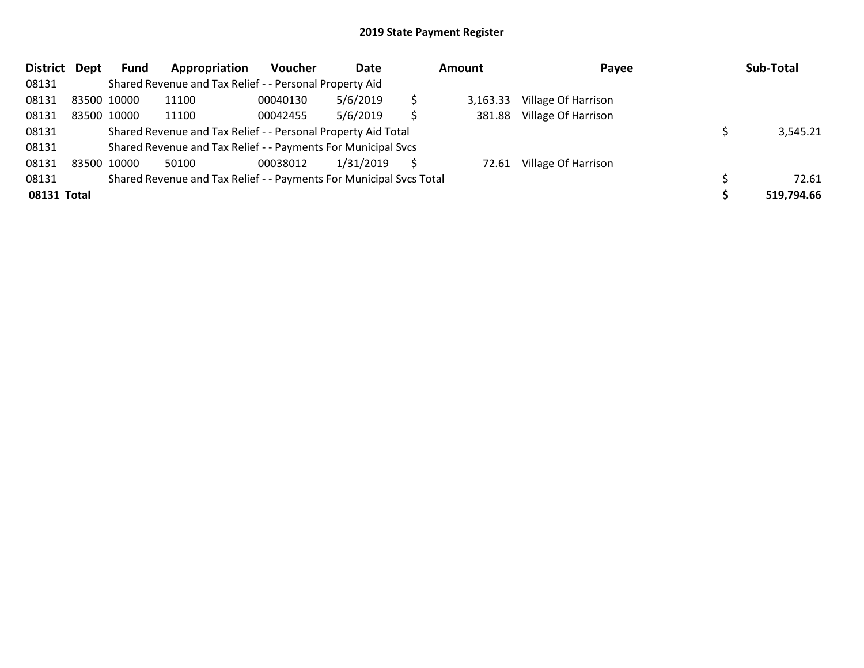| <b>District</b> | Dept | Fund        | Appropriation                                                       | <b>Voucher</b> | Date      |   | <b>Amount</b> | Payee               | Sub-Total  |
|-----------------|------|-------------|---------------------------------------------------------------------|----------------|-----------|---|---------------|---------------------|------------|
| 08131           |      |             | Shared Revenue and Tax Relief - - Personal Property Aid             |                |           |   |               |                     |            |
| 08131           |      | 83500 10000 | 11100                                                               | 00040130       | 5/6/2019  | S | 3.163.33      | Village Of Harrison |            |
| 08131           |      | 83500 10000 | 11100                                                               | 00042455       | 5/6/2019  | Ś | 381.88        | Village Of Harrison |            |
| 08131           |      |             | Shared Revenue and Tax Relief - - Personal Property Aid Total       |                |           |   |               |                     | 3,545.21   |
| 08131           |      |             | Shared Revenue and Tax Relief - - Payments For Municipal Svcs       |                |           |   |               |                     |            |
| 08131           |      | 83500 10000 | 50100                                                               | 00038012       | 1/31/2019 |   | 72.61         | Village Of Harrison |            |
| 08131           |      |             | Shared Revenue and Tax Relief - - Payments For Municipal Svcs Total |                |           |   |               |                     | 72.61      |
| 08131 Total     |      |             |                                                                     |                |           |   |               |                     | 519,794.66 |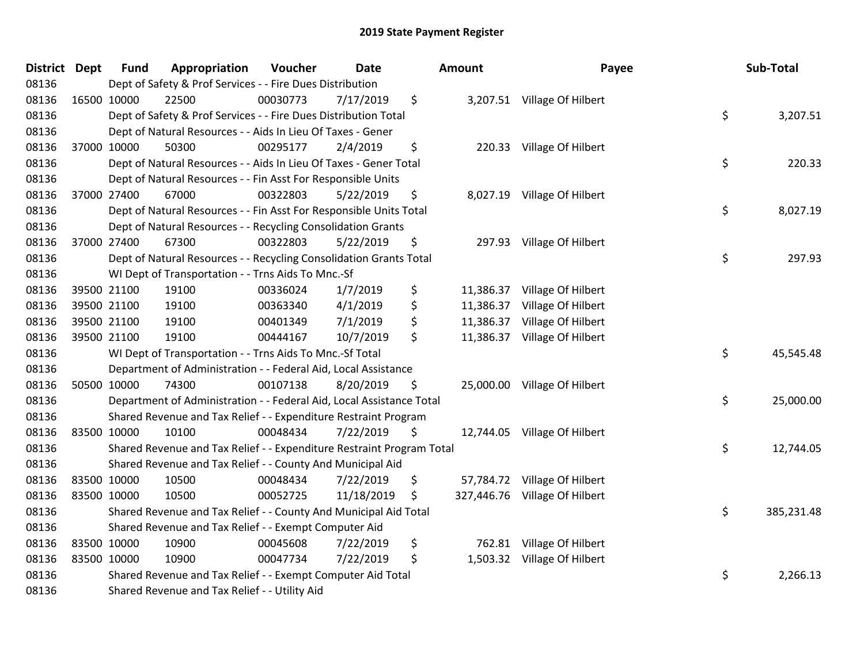| <b>District Dept</b> |             | <b>Fund</b> | Appropriation                                                         | Voucher  | <b>Date</b> | <b>Amount</b>   | Payee                         | Sub-Total        |
|----------------------|-------------|-------------|-----------------------------------------------------------------------|----------|-------------|-----------------|-------------------------------|------------------|
| 08136                |             |             | Dept of Safety & Prof Services - - Fire Dues Distribution             |          |             |                 |                               |                  |
| 08136                |             | 16500 10000 | 22500                                                                 | 00030773 | 7/17/2019   | \$              | 3,207.51 Village Of Hilbert   |                  |
| 08136                |             |             | Dept of Safety & Prof Services - - Fire Dues Distribution Total       |          |             |                 |                               | \$<br>3,207.51   |
| 08136                |             |             | Dept of Natural Resources - - Aids In Lieu Of Taxes - Gener           |          |             |                 |                               |                  |
| 08136                |             | 37000 10000 | 50300                                                                 | 00295177 | 2/4/2019    | \$              | 220.33 Village Of Hilbert     |                  |
| 08136                |             |             | Dept of Natural Resources - - Aids In Lieu Of Taxes - Gener Total     |          |             |                 |                               | \$<br>220.33     |
| 08136                |             |             | Dept of Natural Resources - - Fin Asst For Responsible Units          |          |             |                 |                               |                  |
| 08136                |             | 37000 27400 | 67000                                                                 | 00322803 | 5/22/2019   | \$              | 8,027.19 Village Of Hilbert   |                  |
| 08136                |             |             | Dept of Natural Resources - - Fin Asst For Responsible Units Total    |          |             |                 |                               | \$<br>8,027.19   |
| 08136                |             |             | Dept of Natural Resources - - Recycling Consolidation Grants          |          |             |                 |                               |                  |
| 08136                |             | 37000 27400 | 67300                                                                 | 00322803 | 5/22/2019   | \$              | 297.93 Village Of Hilbert     |                  |
| 08136                |             |             | Dept of Natural Resources - - Recycling Consolidation Grants Total    |          |             |                 |                               | \$<br>297.93     |
| 08136                |             |             | WI Dept of Transportation - - Trns Aids To Mnc.-Sf                    |          |             |                 |                               |                  |
| 08136                |             | 39500 21100 | 19100                                                                 | 00336024 | 1/7/2019    | \$<br>11,386.37 | Village Of Hilbert            |                  |
| 08136                |             | 39500 21100 | 19100                                                                 | 00363340 | 4/1/2019    | \$              | 11,386.37 Village Of Hilbert  |                  |
| 08136                |             | 39500 21100 | 19100                                                                 | 00401349 | 7/1/2019    | \$              | 11,386.37 Village Of Hilbert  |                  |
| 08136                |             | 39500 21100 | 19100                                                                 | 00444167 | 10/7/2019   | \$              | 11,386.37 Village Of Hilbert  |                  |
| 08136                |             |             | WI Dept of Transportation - - Trns Aids To Mnc.-Sf Total              |          |             |                 |                               | \$<br>45,545.48  |
| 08136                |             |             | Department of Administration - - Federal Aid, Local Assistance        |          |             |                 |                               |                  |
| 08136                |             | 50500 10000 | 74300                                                                 | 00107138 | 8/20/2019   | \$              | 25,000.00 Village Of Hilbert  |                  |
| 08136                |             |             | Department of Administration - - Federal Aid, Local Assistance Total  |          |             |                 |                               | \$<br>25,000.00  |
| 08136                |             |             | Shared Revenue and Tax Relief - - Expenditure Restraint Program       |          |             |                 |                               |                  |
| 08136                |             | 83500 10000 | 10100                                                                 | 00048434 | 7/22/2019   | \$              | 12,744.05 Village Of Hilbert  |                  |
| 08136                |             |             | Shared Revenue and Tax Relief - - Expenditure Restraint Program Total |          |             |                 |                               | \$<br>12,744.05  |
| 08136                |             |             | Shared Revenue and Tax Relief - - County And Municipal Aid            |          |             |                 |                               |                  |
| 08136                |             | 83500 10000 | 10500                                                                 | 00048434 | 7/22/2019   | \$              | 57,784.72 Village Of Hilbert  |                  |
| 08136                | 83500 10000 |             | 10500                                                                 | 00052725 | 11/18/2019  | \$              | 327,446.76 Village Of Hilbert |                  |
| 08136                |             |             | Shared Revenue and Tax Relief - - County And Municipal Aid Total      |          |             |                 |                               | \$<br>385,231.48 |
| 08136                |             |             | Shared Revenue and Tax Relief - - Exempt Computer Aid                 |          |             |                 |                               |                  |
| 08136                |             | 83500 10000 | 10900                                                                 | 00045608 | 7/22/2019   | \$              | 762.81 Village Of Hilbert     |                  |
| 08136                |             | 83500 10000 | 10900                                                                 | 00047734 | 7/22/2019   | \$              | 1,503.32 Village Of Hilbert   |                  |
| 08136                |             |             | Shared Revenue and Tax Relief - - Exempt Computer Aid Total           |          |             |                 |                               | \$<br>2,266.13   |
| 08136                |             |             | Shared Revenue and Tax Relief - - Utility Aid                         |          |             |                 |                               |                  |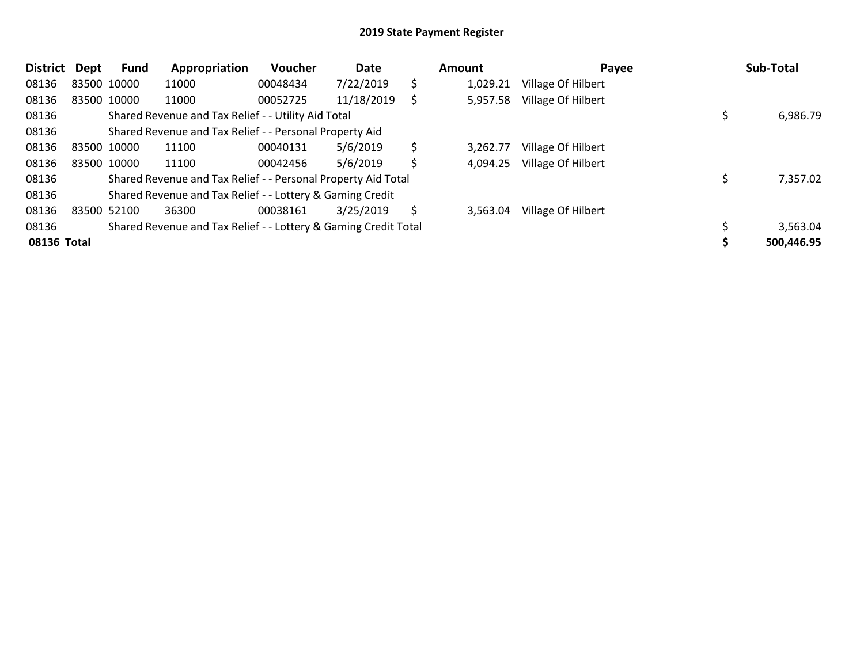| <b>District</b> | Dept | Fund        | Appropriation                                                   | Voucher  | Date       |    | Amount   | Payee              | Sub-Total  |
|-----------------|------|-------------|-----------------------------------------------------------------|----------|------------|----|----------|--------------------|------------|
| 08136           |      | 83500 10000 | 11000                                                           | 00048434 | 7/22/2019  | \$ | 1,029.21 | Village Of Hilbert |            |
| 08136           |      | 83500 10000 | 11000                                                           | 00052725 | 11/18/2019 | S  | 5,957.58 | Village Of Hilbert |            |
| 08136           |      |             | Shared Revenue and Tax Relief - - Utility Aid Total             |          |            |    |          |                    | 6,986.79   |
| 08136           |      |             | Shared Revenue and Tax Relief - - Personal Property Aid         |          |            |    |          |                    |            |
| 08136           |      | 83500 10000 | 11100                                                           | 00040131 | 5/6/2019   | \$ | 3.262.77 | Village Of Hilbert |            |
| 08136           |      | 83500 10000 | 11100                                                           | 00042456 | 5/6/2019   | Ś  | 4,094.25 | Village Of Hilbert |            |
| 08136           |      |             | Shared Revenue and Tax Relief - - Personal Property Aid Total   |          |            |    |          |                    | 7,357.02   |
| 08136           |      |             | Shared Revenue and Tax Relief - - Lottery & Gaming Credit       |          |            |    |          |                    |            |
| 08136           |      | 83500 52100 | 36300                                                           | 00038161 | 3/25/2019  | S  | 3,563.04 | Village Of Hilbert |            |
| 08136           |      |             | Shared Revenue and Tax Relief - - Lottery & Gaming Credit Total |          |            |    |          |                    | 3,563.04   |
| 08136 Total     |      |             |                                                                 |          |            |    |          |                    | 500,446.95 |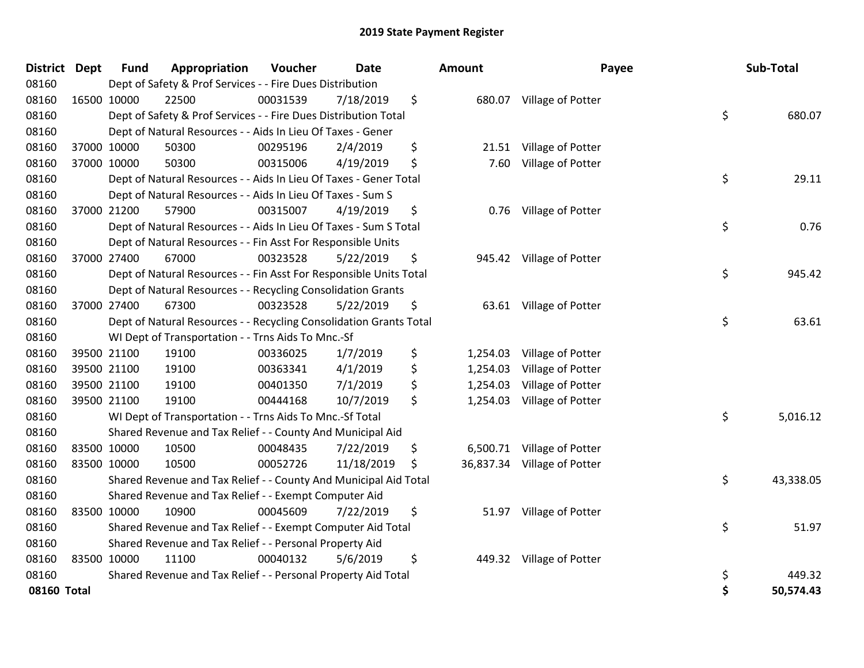| <b>District Dept</b> |             | <b>Fund</b> | Appropriation                                                      | Voucher  | <b>Date</b> | <b>Amount</b>  | Payee                       |    | Sub-Total |
|----------------------|-------------|-------------|--------------------------------------------------------------------|----------|-------------|----------------|-----------------------------|----|-----------|
| 08160                |             |             | Dept of Safety & Prof Services - - Fire Dues Distribution          |          |             |                |                             |    |           |
| 08160                | 16500 10000 |             | 22500                                                              | 00031539 | 7/18/2019   | \$             | 680.07 Village of Potter    |    |           |
| 08160                |             |             | Dept of Safety & Prof Services - - Fire Dues Distribution Total    |          |             |                |                             | \$ | 680.07    |
| 08160                |             |             | Dept of Natural Resources - - Aids In Lieu Of Taxes - Gener        |          |             |                |                             |    |           |
| 08160                |             | 37000 10000 | 50300                                                              | 00295196 | 2/4/2019    | \$<br>21.51    | Village of Potter           |    |           |
| 08160                |             | 37000 10000 | 50300                                                              | 00315006 | 4/19/2019   | \$<br>7.60     | Village of Potter           |    |           |
| 08160                |             |             | Dept of Natural Resources - - Aids In Lieu Of Taxes - Gener Total  |          |             |                |                             | \$ | 29.11     |
| 08160                |             |             | Dept of Natural Resources - - Aids In Lieu Of Taxes - Sum S        |          |             |                |                             |    |           |
| 08160                |             | 37000 21200 | 57900                                                              | 00315007 | 4/19/2019   | \$             | 0.76 Village of Potter      |    |           |
| 08160                |             |             | Dept of Natural Resources - - Aids In Lieu Of Taxes - Sum S Total  |          |             |                |                             | \$ | 0.76      |
| 08160                |             |             | Dept of Natural Resources - - Fin Asst For Responsible Units       |          |             |                |                             |    |           |
| 08160                |             | 37000 27400 | 67000                                                              | 00323528 | 5/22/2019   | \$             | 945.42 Village of Potter    |    |           |
| 08160                |             |             | Dept of Natural Resources - - Fin Asst For Responsible Units Total |          |             |                |                             | \$ | 945.42    |
| 08160                |             |             | Dept of Natural Resources - - Recycling Consolidation Grants       |          |             |                |                             |    |           |
| 08160                |             | 37000 27400 | 67300                                                              | 00323528 | 5/22/2019   | \$             | 63.61 Village of Potter     |    |           |
| 08160                |             |             | Dept of Natural Resources - - Recycling Consolidation Grants Total |          |             |                |                             | \$ | 63.61     |
| 08160                |             |             | WI Dept of Transportation - - Trns Aids To Mnc.-Sf                 |          |             |                |                             |    |           |
| 08160                |             | 39500 21100 | 19100                                                              | 00336025 | 1/7/2019    | \$<br>1,254.03 | Village of Potter           |    |           |
| 08160                |             | 39500 21100 | 19100                                                              | 00363341 | 4/1/2019    | \$<br>1,254.03 | Village of Potter           |    |           |
| 08160                |             | 39500 21100 | 19100                                                              | 00401350 | 7/1/2019    | \$<br>1,254.03 | Village of Potter           |    |           |
| 08160                |             | 39500 21100 | 19100                                                              | 00444168 | 10/7/2019   | \$<br>1,254.03 | Village of Potter           |    |           |
| 08160                |             |             | WI Dept of Transportation - - Trns Aids To Mnc.-Sf Total           |          |             |                |                             | \$ | 5,016.12  |
| 08160                |             |             | Shared Revenue and Tax Relief - - County And Municipal Aid         |          |             |                |                             |    |           |
| 08160                |             | 83500 10000 | 10500                                                              | 00048435 | 7/22/2019   | \$             | 6,500.71 Village of Potter  |    |           |
| 08160                | 83500 10000 |             | 10500                                                              | 00052726 | 11/18/2019  | \$             | 36,837.34 Village of Potter |    |           |
| 08160                |             |             | Shared Revenue and Tax Relief - - County And Municipal Aid Total   |          |             |                |                             | \$ | 43,338.05 |
| 08160                |             |             | Shared Revenue and Tax Relief - - Exempt Computer Aid              |          |             |                |                             |    |           |
| 08160                |             | 83500 10000 | 10900                                                              | 00045609 | 7/22/2019   | \$             | 51.97 Village of Potter     |    |           |
| 08160                |             |             | Shared Revenue and Tax Relief - - Exempt Computer Aid Total        |          |             |                |                             | \$ | 51.97     |
| 08160                |             |             | Shared Revenue and Tax Relief - - Personal Property Aid            |          |             |                |                             |    |           |
| 08160                |             | 83500 10000 | 11100                                                              | 00040132 | 5/6/2019    | \$             | 449.32 Village of Potter    |    |           |
| 08160                |             |             | Shared Revenue and Tax Relief - - Personal Property Aid Total      |          |             |                |                             | \$ | 449.32    |
| 08160 Total          |             |             |                                                                    |          |             |                |                             | Ś  | 50,574.43 |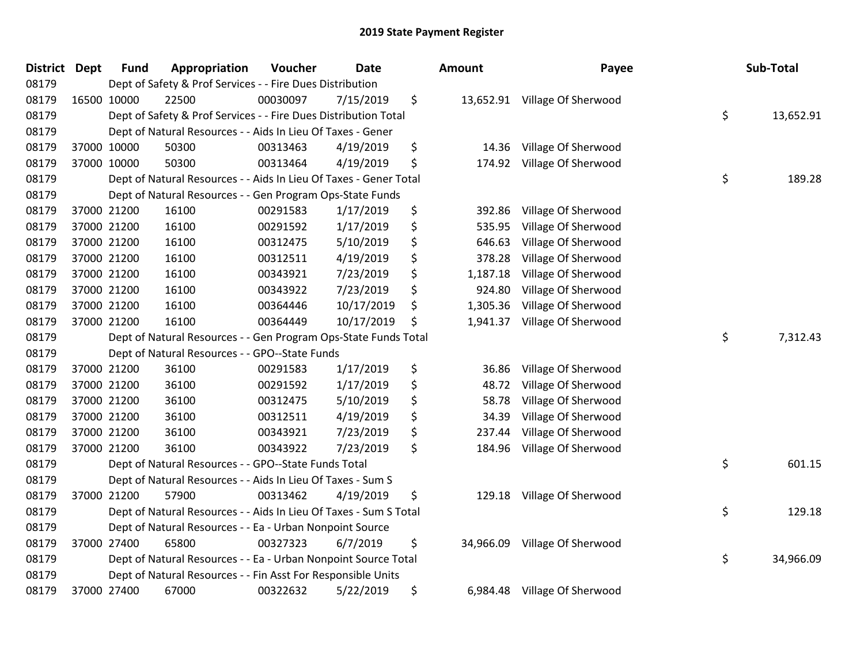| <b>District Dept</b> | <b>Fund</b> | Appropriation                                                     | Voucher  | <b>Date</b> | <b>Amount</b>  | Payee                         | Sub-Total       |
|----------------------|-------------|-------------------------------------------------------------------|----------|-------------|----------------|-------------------------------|-----------------|
| 08179                |             | Dept of Safety & Prof Services - - Fire Dues Distribution         |          |             |                |                               |                 |
| 08179                | 16500 10000 | 22500                                                             | 00030097 | 7/15/2019   | \$             | 13,652.91 Village Of Sherwood |                 |
| 08179                |             | Dept of Safety & Prof Services - - Fire Dues Distribution Total   |          |             |                |                               | \$<br>13,652.91 |
| 08179                |             | Dept of Natural Resources - - Aids In Lieu Of Taxes - Gener       |          |             |                |                               |                 |
| 08179                | 37000 10000 | 50300                                                             | 00313463 | 4/19/2019   | \$<br>14.36    | Village Of Sherwood           |                 |
| 08179                | 37000 10000 | 50300                                                             | 00313464 | 4/19/2019   | \$<br>174.92   | Village Of Sherwood           |                 |
| 08179                |             | Dept of Natural Resources - - Aids In Lieu Of Taxes - Gener Total |          |             |                |                               | \$<br>189.28    |
| 08179                |             | Dept of Natural Resources - - Gen Program Ops-State Funds         |          |             |                |                               |                 |
| 08179                | 37000 21200 | 16100                                                             | 00291583 | 1/17/2019   | \$<br>392.86   | Village Of Sherwood           |                 |
| 08179                | 37000 21200 | 16100                                                             | 00291592 | 1/17/2019   | \$<br>535.95   | Village Of Sherwood           |                 |
| 08179                | 37000 21200 | 16100                                                             | 00312475 | 5/10/2019   | \$<br>646.63   | Village Of Sherwood           |                 |
| 08179                | 37000 21200 | 16100                                                             | 00312511 | 4/19/2019   | \$<br>378.28   | Village Of Sherwood           |                 |
| 08179                | 37000 21200 | 16100                                                             | 00343921 | 7/23/2019   | \$<br>1,187.18 | Village Of Sherwood           |                 |
| 08179                | 37000 21200 | 16100                                                             | 00343922 | 7/23/2019   | \$<br>924.80   | Village Of Sherwood           |                 |
| 08179                | 37000 21200 | 16100                                                             | 00364446 | 10/17/2019  | \$<br>1,305.36 | Village Of Sherwood           |                 |
| 08179                | 37000 21200 | 16100                                                             | 00364449 | 10/17/2019  | \$<br>1,941.37 | Village Of Sherwood           |                 |
| 08179                |             | Dept of Natural Resources - - Gen Program Ops-State Funds Total   |          |             |                |                               | \$<br>7,312.43  |
| 08179                |             | Dept of Natural Resources - - GPO--State Funds                    |          |             |                |                               |                 |
| 08179                | 37000 21200 | 36100                                                             | 00291583 | 1/17/2019   | \$<br>36.86    | Village Of Sherwood           |                 |
| 08179                | 37000 21200 | 36100                                                             | 00291592 | 1/17/2019   | \$<br>48.72    | Village Of Sherwood           |                 |
| 08179                | 37000 21200 | 36100                                                             | 00312475 | 5/10/2019   | \$<br>58.78    | Village Of Sherwood           |                 |
| 08179                | 37000 21200 | 36100                                                             | 00312511 | 4/19/2019   | \$<br>34.39    | Village Of Sherwood           |                 |
| 08179                | 37000 21200 | 36100                                                             | 00343921 | 7/23/2019   | \$<br>237.44   | Village Of Sherwood           |                 |
| 08179                | 37000 21200 | 36100                                                             | 00343922 | 7/23/2019   | \$<br>184.96   | Village Of Sherwood           |                 |
| 08179                |             | Dept of Natural Resources - - GPO--State Funds Total              |          |             |                |                               | \$<br>601.15    |
| 08179                |             | Dept of Natural Resources - - Aids In Lieu Of Taxes - Sum S       |          |             |                |                               |                 |
| 08179                | 37000 21200 | 57900                                                             | 00313462 | 4/19/2019   | \$<br>129.18   | Village Of Sherwood           |                 |
| 08179                |             | Dept of Natural Resources - - Aids In Lieu Of Taxes - Sum S Total |          |             |                |                               | \$<br>129.18    |
| 08179                |             | Dept of Natural Resources - - Ea - Urban Nonpoint Source          |          |             |                |                               |                 |
| 08179                | 37000 27400 | 65800                                                             | 00327323 | 6/7/2019    | \$             | 34,966.09 Village Of Sherwood |                 |
| 08179                |             | Dept of Natural Resources - - Ea - Urban Nonpoint Source Total    |          |             |                |                               | \$<br>34,966.09 |
| 08179                |             | Dept of Natural Resources - - Fin Asst For Responsible Units      |          |             |                |                               |                 |
| 08179                | 37000 27400 | 67000                                                             | 00322632 | 5/22/2019   | \$<br>6,984.48 | Village Of Sherwood           |                 |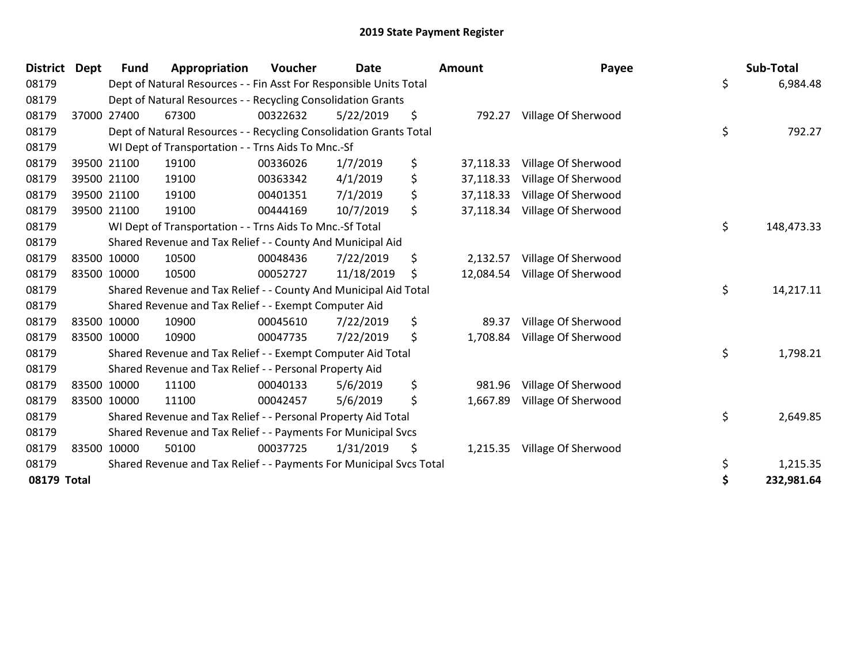| District Dept |             | <b>Fund</b> | Appropriation                                                       | Voucher  | <b>Date</b> | Amount          | Payee               | Sub-Total        |
|---------------|-------------|-------------|---------------------------------------------------------------------|----------|-------------|-----------------|---------------------|------------------|
| 08179         |             |             | Dept of Natural Resources - - Fin Asst For Responsible Units Total  |          |             |                 |                     | \$<br>6,984.48   |
| 08179         |             |             | Dept of Natural Resources - - Recycling Consolidation Grants        |          |             |                 |                     |                  |
| 08179         |             | 37000 27400 | 67300                                                               | 00322632 | 5/22/2019   | \$<br>792.27    | Village Of Sherwood |                  |
| 08179         |             |             | Dept of Natural Resources - - Recycling Consolidation Grants Total  |          |             |                 |                     | \$<br>792.27     |
| 08179         |             |             | WI Dept of Transportation - - Trns Aids To Mnc.-Sf                  |          |             |                 |                     |                  |
| 08179         |             | 39500 21100 | 19100                                                               | 00336026 | 1/7/2019    | \$<br>37,118.33 | Village Of Sherwood |                  |
| 08179         |             | 39500 21100 | 19100                                                               | 00363342 | 4/1/2019    | \$<br>37,118.33 | Village Of Sherwood |                  |
| 08179         |             | 39500 21100 | 19100                                                               | 00401351 | 7/1/2019    | \$<br>37,118.33 | Village Of Sherwood |                  |
| 08179         |             | 39500 21100 | 19100                                                               | 00444169 | 10/7/2019   | \$<br>37,118.34 | Village Of Sherwood |                  |
| 08179         |             |             | WI Dept of Transportation - - Trns Aids To Mnc.-Sf Total            |          |             |                 |                     | \$<br>148,473.33 |
| 08179         |             |             | Shared Revenue and Tax Relief - - County And Municipal Aid          |          |             |                 |                     |                  |
| 08179         |             | 83500 10000 | 10500                                                               | 00048436 | 7/22/2019   | \$<br>2,132.57  | Village Of Sherwood |                  |
| 08179         | 83500 10000 |             | 10500                                                               | 00052727 | 11/18/2019  | \$<br>12,084.54 | Village Of Sherwood |                  |
| 08179         |             |             | Shared Revenue and Tax Relief - - County And Municipal Aid Total    |          |             |                 |                     | \$<br>14,217.11  |
| 08179         |             |             | Shared Revenue and Tax Relief - - Exempt Computer Aid               |          |             |                 |                     |                  |
| 08179         | 83500 10000 |             | 10900                                                               | 00045610 | 7/22/2019   | \$<br>89.37     | Village Of Sherwood |                  |
| 08179         | 83500 10000 |             | 10900                                                               | 00047735 | 7/22/2019   | \$<br>1,708.84  | Village Of Sherwood |                  |
| 08179         |             |             | Shared Revenue and Tax Relief - - Exempt Computer Aid Total         |          |             |                 |                     | \$<br>1,798.21   |
| 08179         |             |             | Shared Revenue and Tax Relief - - Personal Property Aid             |          |             |                 |                     |                  |
| 08179         |             | 83500 10000 | 11100                                                               | 00040133 | 5/6/2019    | \$<br>981.96    | Village Of Sherwood |                  |
| 08179         | 83500 10000 |             | 11100                                                               | 00042457 | 5/6/2019    | \$<br>1,667.89  | Village Of Sherwood |                  |
| 08179         |             |             | Shared Revenue and Tax Relief - - Personal Property Aid Total       |          |             |                 |                     | \$<br>2,649.85   |
| 08179         |             |             | Shared Revenue and Tax Relief - - Payments For Municipal Svcs       |          |             |                 |                     |                  |
| 08179         |             | 83500 10000 | 50100                                                               | 00037725 | 1/31/2019   | \$<br>1,215.35  | Village Of Sherwood |                  |
| 08179         |             |             | Shared Revenue and Tax Relief - - Payments For Municipal Svcs Total |          |             |                 |                     | \$<br>1,215.35   |
| 08179 Total   |             |             |                                                                     |          |             |                 |                     | 232,981.64       |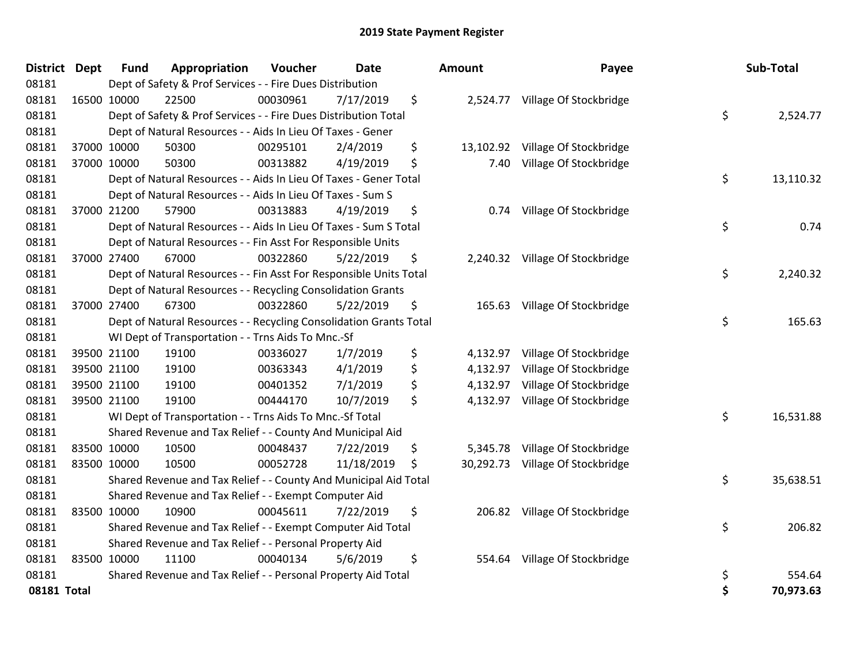| District Dept | <b>Fund</b> | Appropriation                                                      | Voucher  | <b>Date</b> | Amount          | Payee                           |    | Sub-Total |
|---------------|-------------|--------------------------------------------------------------------|----------|-------------|-----------------|---------------------------------|----|-----------|
| 08181         |             | Dept of Safety & Prof Services - - Fire Dues Distribution          |          |             |                 |                                 |    |           |
| 08181         | 16500 10000 | 22500                                                              | 00030961 | 7/17/2019   | \$              | 2,524.77 Village Of Stockbridge |    |           |
| 08181         |             | Dept of Safety & Prof Services - - Fire Dues Distribution Total    |          |             |                 |                                 | \$ | 2,524.77  |
| 08181         |             | Dept of Natural Resources - - Aids In Lieu Of Taxes - Gener        |          |             |                 |                                 |    |           |
| 08181         | 37000 10000 | 50300                                                              | 00295101 | 2/4/2019    | \$<br>13,102.92 | Village Of Stockbridge          |    |           |
| 08181         | 37000 10000 | 50300                                                              | 00313882 | 4/19/2019   | \$<br>7.40      | Village Of Stockbridge          |    |           |
| 08181         |             | Dept of Natural Resources - - Aids In Lieu Of Taxes - Gener Total  |          |             |                 |                                 | \$ | 13,110.32 |
| 08181         |             | Dept of Natural Resources - - Aids In Lieu Of Taxes - Sum S        |          |             |                 |                                 |    |           |
| 08181         | 37000 21200 | 57900                                                              | 00313883 | 4/19/2019   | \$<br>0.74      | Village Of Stockbridge          |    |           |
| 08181         |             | Dept of Natural Resources - - Aids In Lieu Of Taxes - Sum S Total  |          |             |                 |                                 | \$ | 0.74      |
| 08181         |             | Dept of Natural Resources - - Fin Asst For Responsible Units       |          |             |                 |                                 |    |           |
| 08181         | 37000 27400 | 67000                                                              | 00322860 | 5/22/2019   | \$              | 2,240.32 Village Of Stockbridge |    |           |
| 08181         |             | Dept of Natural Resources - - Fin Asst For Responsible Units Total |          |             |                 |                                 | \$ | 2,240.32  |
| 08181         |             | Dept of Natural Resources - - Recycling Consolidation Grants       |          |             |                 |                                 |    |           |
| 08181         | 37000 27400 | 67300                                                              | 00322860 | 5/22/2019   | \$<br>165.63    | Village Of Stockbridge          |    |           |
| 08181         |             | Dept of Natural Resources - - Recycling Consolidation Grants Total |          |             |                 |                                 | \$ | 165.63    |
| 08181         |             | WI Dept of Transportation - - Trns Aids To Mnc.-Sf                 |          |             |                 |                                 |    |           |
| 08181         | 39500 21100 | 19100                                                              | 00336027 | 1/7/2019    | \$<br>4,132.97  | Village Of Stockbridge          |    |           |
| 08181         | 39500 21100 | 19100                                                              | 00363343 | 4/1/2019    | \$<br>4,132.97  | Village Of Stockbridge          |    |           |
| 08181         | 39500 21100 | 19100                                                              | 00401352 | 7/1/2019    | \$<br>4,132.97  | Village Of Stockbridge          |    |           |
| 08181         | 39500 21100 | 19100                                                              | 00444170 | 10/7/2019   | \$<br>4,132.97  | Village Of Stockbridge          |    |           |
| 08181         |             | WI Dept of Transportation - - Trns Aids To Mnc.-Sf Total           |          |             |                 |                                 | \$ | 16,531.88 |
| 08181         |             | Shared Revenue and Tax Relief - - County And Municipal Aid         |          |             |                 |                                 |    |           |
| 08181         | 83500 10000 | 10500                                                              | 00048437 | 7/22/2019   | \$<br>5,345.78  | Village Of Stockbridge          |    |           |
| 08181         | 83500 10000 | 10500                                                              | 00052728 | 11/18/2019  | \$<br>30,292.73 | Village Of Stockbridge          |    |           |
| 08181         |             | Shared Revenue and Tax Relief - - County And Municipal Aid Total   |          |             |                 |                                 | \$ | 35,638.51 |
| 08181         |             | Shared Revenue and Tax Relief - - Exempt Computer Aid              |          |             |                 |                                 |    |           |
| 08181         | 83500 10000 | 10900                                                              | 00045611 | 7/22/2019   | \$              | 206.82 Village Of Stockbridge   |    |           |
| 08181         |             | Shared Revenue and Tax Relief - - Exempt Computer Aid Total        |          |             |                 |                                 | \$ | 206.82    |
| 08181         |             | Shared Revenue and Tax Relief - - Personal Property Aid            |          |             |                 |                                 |    |           |
| 08181         | 83500 10000 | 11100                                                              | 00040134 | 5/6/2019    | \$<br>554.64    | Village Of Stockbridge          |    |           |
| 08181         |             | Shared Revenue and Tax Relief - - Personal Property Aid Total      |          |             |                 |                                 | \$ | 554.64    |
| 08181 Total   |             |                                                                    |          |             |                 |                                 | Ś  | 70.973.63 |

| District Dept |             | <b>Fund</b> | Appropriation                                                      | Voucher  | <b>Date</b> |     | Amount   | Payee                            | Sub-Total       |
|---------------|-------------|-------------|--------------------------------------------------------------------|----------|-------------|-----|----------|----------------------------------|-----------------|
| 08181         |             |             | Dept of Safety & Prof Services - - Fire Dues Distribution          |          |             |     |          |                                  |                 |
| 08181         | 16500 10000 |             | 22500                                                              | 00030961 | 7/17/2019   | \$  |          | 2,524.77 Village Of Stockbridge  |                 |
| 08181         |             |             | Dept of Safety & Prof Services - - Fire Dues Distribution Total    |          |             |     |          |                                  | \$<br>2,524.77  |
| 08181         |             |             | Dept of Natural Resources - - Aids In Lieu Of Taxes - Gener        |          |             |     |          |                                  |                 |
| 08181         |             | 37000 10000 | 50300                                                              | 00295101 | 2/4/2019    | \$  |          | 13,102.92 Village Of Stockbridge |                 |
| 08181         | 37000 10000 |             | 50300                                                              | 00313882 | 4/19/2019   | \$  | 7.40     | Village Of Stockbridge           |                 |
| 08181         |             |             | Dept of Natural Resources - - Aids In Lieu Of Taxes - Gener Total  |          |             |     |          |                                  | \$<br>13,110.32 |
| 08181         |             |             | Dept of Natural Resources - - Aids In Lieu Of Taxes - Sum S        |          |             |     |          |                                  |                 |
| 08181         |             | 37000 21200 | 57900                                                              | 00313883 | 4/19/2019   | \$  | 0.74     | Village Of Stockbridge           |                 |
| 08181         |             |             | Dept of Natural Resources - - Aids In Lieu Of Taxes - Sum S Total  |          |             |     |          |                                  | \$<br>0.74      |
| 08181         |             |             | Dept of Natural Resources - - Fin Asst For Responsible Units       |          |             |     |          |                                  |                 |
| 08181         |             | 37000 27400 | 67000                                                              | 00322860 | 5/22/2019   | \$  |          | 2,240.32 Village Of Stockbridge  |                 |
| 08181         |             |             | Dept of Natural Resources - - Fin Asst For Responsible Units Total |          |             |     |          |                                  | \$<br>2,240.32  |
| 08181         |             |             | Dept of Natural Resources - - Recycling Consolidation Grants       |          |             |     |          |                                  |                 |
| 08181         |             | 37000 27400 | 67300                                                              | 00322860 | 5/22/2019   | \$  |          | 165.63 Village Of Stockbridge    |                 |
| 08181         |             |             | Dept of Natural Resources - - Recycling Consolidation Grants Total |          |             |     |          |                                  | \$<br>165.63    |
| 08181         |             |             | WI Dept of Transportation - - Trns Aids To Mnc.-Sf                 |          |             |     |          |                                  |                 |
| 08181         |             | 39500 21100 | 19100                                                              | 00336027 | 1/7/2019    | \$  | 4,132.97 | Village Of Stockbridge           |                 |
| 08181         |             | 39500 21100 | 19100                                                              | 00363343 | 4/1/2019    | \$  | 4,132.97 | Village Of Stockbridge           |                 |
| 08181         |             | 39500 21100 | 19100                                                              | 00401352 | 7/1/2019    | \$  |          | 4,132.97 Village Of Stockbridge  |                 |
| 08181         | 39500 21100 |             | 19100                                                              | 00444170 | 10/7/2019   | \$  |          | 4,132.97 Village Of Stockbridge  |                 |
| 08181         |             |             | WI Dept of Transportation - - Trns Aids To Mnc.-Sf Total           |          |             |     |          |                                  | \$<br>16,531.88 |
| 08181         |             |             | Shared Revenue and Tax Relief - - County And Municipal Aid         |          |             |     |          |                                  |                 |
| 08181         |             | 83500 10000 | 10500                                                              | 00048437 | 7/22/2019   | \$, |          | 5,345.78 Village Of Stockbridge  |                 |
| 08181         |             | 83500 10000 | 10500                                                              | 00052728 | 11/18/2019  | \$  |          | 30,292.73 Village Of Stockbridge |                 |
| 08181         |             |             | Shared Revenue and Tax Relief - - County And Municipal Aid Total   |          |             |     |          |                                  | \$<br>35,638.51 |
| 08181         |             |             | Shared Revenue and Tax Relief - - Exempt Computer Aid              |          |             |     |          |                                  |                 |
| 08181         |             | 83500 10000 | 10900                                                              | 00045611 | 7/22/2019   | \$  |          | 206.82 Village Of Stockbridge    |                 |
| 08181         |             |             | Shared Revenue and Tax Relief - - Exempt Computer Aid Total        |          |             |     |          |                                  | \$<br>206.82    |
| 08181         |             |             | Shared Revenue and Tax Relief - - Personal Property Aid            |          |             |     |          |                                  |                 |
| 08181         |             | 83500 10000 | 11100                                                              | 00040134 | 5/6/2019    | \$  |          | 554.64 Village Of Stockbridge    |                 |
| 08181         |             |             | Shared Revenue and Tax Relief - - Personal Property Aid Total      |          |             |     |          |                                  | \$<br>554.64    |
| 08181 Total   |             |             |                                                                    |          |             |     |          |                                  | \$<br>70,973.63 |
|               |             |             |                                                                    |          |             |     |          |                                  |                 |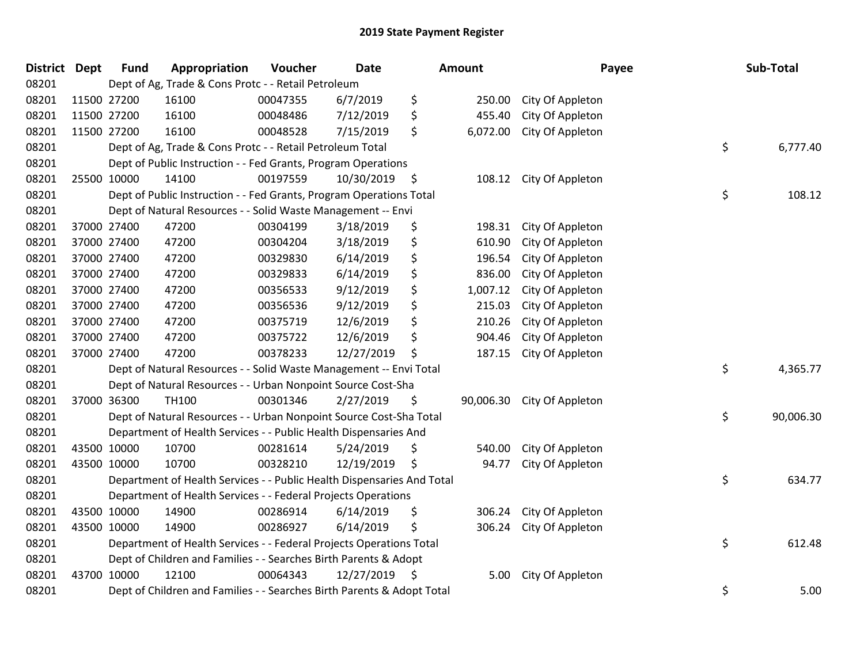| District Dept |             | <b>Fund</b> | Appropriation                                                          | Voucher  | <b>Date</b> |    | <b>Amount</b> | Payee            | Sub-Total       |
|---------------|-------------|-------------|------------------------------------------------------------------------|----------|-------------|----|---------------|------------------|-----------------|
| 08201         |             |             | Dept of Ag, Trade & Cons Protc - - Retail Petroleum                    |          |             |    |               |                  |                 |
| 08201         | 11500 27200 |             | 16100                                                                  | 00047355 | 6/7/2019    | \$ | 250.00        | City Of Appleton |                 |
| 08201         | 11500 27200 |             | 16100                                                                  | 00048486 | 7/12/2019   | \$ | 455.40        | City Of Appleton |                 |
| 08201         | 11500 27200 |             | 16100                                                                  | 00048528 | 7/15/2019   | \$ | 6,072.00      | City Of Appleton |                 |
| 08201         |             |             | Dept of Ag, Trade & Cons Protc - - Retail Petroleum Total              |          |             |    |               |                  | \$<br>6,777.40  |
| 08201         |             |             | Dept of Public Instruction - - Fed Grants, Program Operations          |          |             |    |               |                  |                 |
| 08201         | 25500 10000 |             | 14100                                                                  | 00197559 | 10/30/2019  | \$ | 108.12        | City Of Appleton |                 |
| 08201         |             |             | Dept of Public Instruction - - Fed Grants, Program Operations Total    |          |             |    |               |                  | \$<br>108.12    |
| 08201         |             |             | Dept of Natural Resources - - Solid Waste Management -- Envi           |          |             |    |               |                  |                 |
| 08201         |             | 37000 27400 | 47200                                                                  | 00304199 | 3/18/2019   | \$ | 198.31        | City Of Appleton |                 |
| 08201         |             | 37000 27400 | 47200                                                                  | 00304204 | 3/18/2019   | \$ | 610.90        | City Of Appleton |                 |
| 08201         | 37000 27400 |             | 47200                                                                  | 00329830 | 6/14/2019   | \$ | 196.54        | City Of Appleton |                 |
| 08201         | 37000 27400 |             | 47200                                                                  | 00329833 | 6/14/2019   | \$ | 836.00        | City Of Appleton |                 |
| 08201         |             | 37000 27400 | 47200                                                                  | 00356533 | 9/12/2019   | \$ | 1,007.12      | City Of Appleton |                 |
| 08201         |             | 37000 27400 | 47200                                                                  | 00356536 | 9/12/2019   | \$ | 215.03        | City Of Appleton |                 |
| 08201         |             | 37000 27400 | 47200                                                                  | 00375719 | 12/6/2019   | \$ | 210.26        | City Of Appleton |                 |
| 08201         |             | 37000 27400 | 47200                                                                  | 00375722 | 12/6/2019   | \$ | 904.46        | City Of Appleton |                 |
| 08201         | 37000 27400 |             | 47200                                                                  | 00378233 | 12/27/2019  | \$ | 187.15        | City Of Appleton |                 |
| 08201         |             |             | Dept of Natural Resources - - Solid Waste Management -- Envi Total     |          |             |    |               |                  | \$<br>4,365.77  |
| 08201         |             |             | Dept of Natural Resources - - Urban Nonpoint Source Cost-Sha           |          |             |    |               |                  |                 |
| 08201         |             | 37000 36300 | <b>TH100</b>                                                           | 00301346 | 2/27/2019   | \$ | 90,006.30     | City Of Appleton |                 |
| 08201         |             |             | Dept of Natural Resources - - Urban Nonpoint Source Cost-Sha Total     |          |             |    |               |                  | \$<br>90,006.30 |
| 08201         |             |             | Department of Health Services - - Public Health Dispensaries And       |          |             |    |               |                  |                 |
| 08201         | 43500 10000 |             | 10700                                                                  | 00281614 | 5/24/2019   | \$ | 540.00        | City Of Appleton |                 |
| 08201         | 43500 10000 |             | 10700                                                                  | 00328210 | 12/19/2019  | \$ | 94.77         | City Of Appleton |                 |
| 08201         |             |             | Department of Health Services - - Public Health Dispensaries And Total |          |             |    |               |                  | \$<br>634.77    |
| 08201         |             |             | Department of Health Services - - Federal Projects Operations          |          |             |    |               |                  |                 |
| 08201         | 43500 10000 |             | 14900                                                                  | 00286914 | 6/14/2019   | \$ | 306.24        | City Of Appleton |                 |
| 08201         | 43500 10000 |             | 14900                                                                  | 00286927 | 6/14/2019   | \$ | 306.24        | City Of Appleton |                 |
| 08201         |             |             | Department of Health Services - - Federal Projects Operations Total    |          |             |    |               |                  | \$<br>612.48    |
| 08201         |             |             | Dept of Children and Families - - Searches Birth Parents & Adopt       |          |             |    |               |                  |                 |
| 08201         | 43700 10000 |             | 12100                                                                  | 00064343 | 12/27/2019  | S  | 5.00          | City Of Appleton |                 |
| 08201         |             |             | Dept of Children and Families - - Searches Birth Parents & Adopt Total |          |             |    |               |                  | \$<br>5.00      |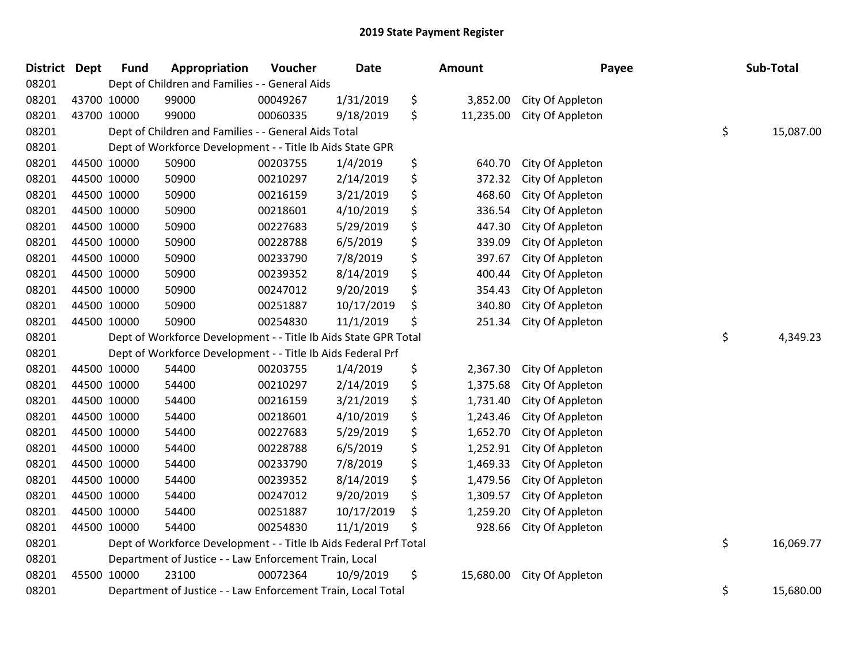| <b>District Dept</b> |             | <b>Fund</b> | Appropriation                                                     | Voucher  | <b>Date</b> | <b>Amount</b>   | Payee            | Sub-Total       |
|----------------------|-------------|-------------|-------------------------------------------------------------------|----------|-------------|-----------------|------------------|-----------------|
| 08201                |             |             | Dept of Children and Families - - General Aids                    |          |             |                 |                  |                 |
| 08201                | 43700 10000 |             | 99000                                                             | 00049267 | 1/31/2019   | \$<br>3,852.00  | City Of Appleton |                 |
| 08201                | 43700 10000 |             | 99000                                                             | 00060335 | 9/18/2019   | \$<br>11,235.00 | City Of Appleton |                 |
| 08201                |             |             | Dept of Children and Families - - General Aids Total              |          |             |                 |                  | \$<br>15,087.00 |
| 08201                |             |             | Dept of Workforce Development - - Title Ib Aids State GPR         |          |             |                 |                  |                 |
| 08201                |             | 44500 10000 | 50900                                                             | 00203755 | 1/4/2019    | \$<br>640.70    | City Of Appleton |                 |
| 08201                | 44500 10000 |             | 50900                                                             | 00210297 | 2/14/2019   | \$<br>372.32    | City Of Appleton |                 |
| 08201                | 44500 10000 |             | 50900                                                             | 00216159 | 3/21/2019   | \$<br>468.60    | City Of Appleton |                 |
| 08201                | 44500 10000 |             | 50900                                                             | 00218601 | 4/10/2019   | \$<br>336.54    | City Of Appleton |                 |
| 08201                | 44500 10000 |             | 50900                                                             | 00227683 | 5/29/2019   | \$<br>447.30    | City Of Appleton |                 |
| 08201                |             | 44500 10000 | 50900                                                             | 00228788 | 6/5/2019    | \$<br>339.09    | City Of Appleton |                 |
| 08201                | 44500 10000 |             | 50900                                                             | 00233790 | 7/8/2019    | \$<br>397.67    | City Of Appleton |                 |
| 08201                | 44500 10000 |             | 50900                                                             | 00239352 | 8/14/2019   | \$<br>400.44    | City Of Appleton |                 |
| 08201                | 44500 10000 |             | 50900                                                             | 00247012 | 9/20/2019   | \$<br>354.43    | City Of Appleton |                 |
| 08201                |             | 44500 10000 | 50900                                                             | 00251887 | 10/17/2019  | \$<br>340.80    | City Of Appleton |                 |
| 08201                |             | 44500 10000 | 50900                                                             | 00254830 | 11/1/2019   | \$<br>251.34    | City Of Appleton |                 |
| 08201                |             |             | Dept of Workforce Development - - Title Ib Aids State GPR Total   |          |             |                 |                  | \$<br>4,349.23  |
| 08201                |             |             | Dept of Workforce Development - - Title Ib Aids Federal Prf       |          |             |                 |                  |                 |
| 08201                | 44500 10000 |             | 54400                                                             | 00203755 | 1/4/2019    | \$<br>2,367.30  | City Of Appleton |                 |
| 08201                | 44500 10000 |             | 54400                                                             | 00210297 | 2/14/2019   | \$<br>1,375.68  | City Of Appleton |                 |
| 08201                |             | 44500 10000 | 54400                                                             | 00216159 | 3/21/2019   | \$<br>1,731.40  | City Of Appleton |                 |
| 08201                |             | 44500 10000 | 54400                                                             | 00218601 | 4/10/2019   | \$<br>1,243.46  | City Of Appleton |                 |
| 08201                | 44500 10000 |             | 54400                                                             | 00227683 | 5/29/2019   | \$<br>1,652.70  | City Of Appleton |                 |
| 08201                | 44500 10000 |             | 54400                                                             | 00228788 | 6/5/2019    | \$<br>1,252.91  | City Of Appleton |                 |
| 08201                |             | 44500 10000 | 54400                                                             | 00233790 | 7/8/2019    | \$<br>1,469.33  | City Of Appleton |                 |
| 08201                |             | 44500 10000 | 54400                                                             | 00239352 | 8/14/2019   | \$<br>1,479.56  | City Of Appleton |                 |
| 08201                |             | 44500 10000 | 54400                                                             | 00247012 | 9/20/2019   | \$<br>1,309.57  | City Of Appleton |                 |
| 08201                | 44500 10000 |             | 54400                                                             | 00251887 | 10/17/2019  | \$<br>1,259.20  | City Of Appleton |                 |
| 08201                | 44500 10000 |             | 54400                                                             | 00254830 | 11/1/2019   | \$<br>928.66    | City Of Appleton |                 |
| 08201                |             |             | Dept of Workforce Development - - Title Ib Aids Federal Prf Total |          |             |                 |                  | \$<br>16,069.77 |
| 08201                |             |             | Department of Justice - - Law Enforcement Train, Local            |          |             |                 |                  |                 |
| 08201                | 45500 10000 |             | 23100                                                             | 00072364 | 10/9/2019   | \$<br>15,680.00 | City Of Appleton |                 |
| 08201                |             |             | Department of Justice - - Law Enforcement Train, Local Total      |          |             |                 |                  | \$<br>15,680.00 |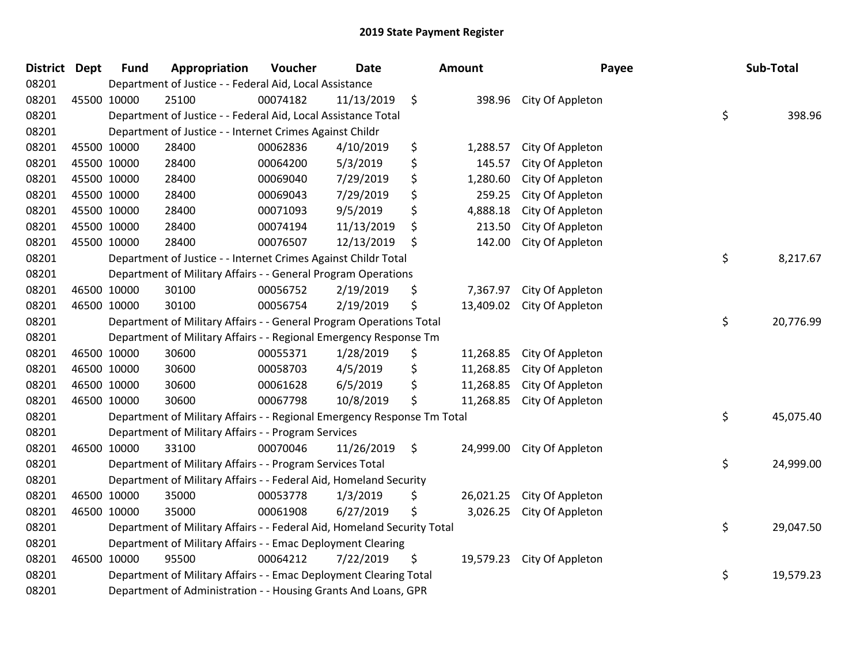| <b>District Dept</b> |             | <b>Fund</b> | Appropriation                                                           | Voucher  | <b>Date</b> | Amount          | Payee            | Sub-Total       |
|----------------------|-------------|-------------|-------------------------------------------------------------------------|----------|-------------|-----------------|------------------|-----------------|
| 08201                |             |             | Department of Justice - - Federal Aid, Local Assistance                 |          |             |                 |                  |                 |
| 08201                |             | 45500 10000 | 25100                                                                   | 00074182 | 11/13/2019  | \$<br>398.96    | City Of Appleton |                 |
| 08201                |             |             | Department of Justice - - Federal Aid, Local Assistance Total           |          |             |                 |                  | \$<br>398.96    |
| 08201                |             |             | Department of Justice - - Internet Crimes Against Childr                |          |             |                 |                  |                 |
| 08201                | 45500 10000 |             | 28400                                                                   | 00062836 | 4/10/2019   | \$<br>1,288.57  | City Of Appleton |                 |
| 08201                | 45500 10000 |             | 28400                                                                   | 00064200 | 5/3/2019    | \$<br>145.57    | City Of Appleton |                 |
| 08201                | 45500 10000 |             | 28400                                                                   | 00069040 | 7/29/2019   | \$<br>1,280.60  | City Of Appleton |                 |
| 08201                | 45500 10000 |             | 28400                                                                   | 00069043 | 7/29/2019   | \$<br>259.25    | City Of Appleton |                 |
| 08201                | 45500 10000 |             | 28400                                                                   | 00071093 | 9/5/2019    | \$<br>4,888.18  | City Of Appleton |                 |
| 08201                | 45500 10000 |             | 28400                                                                   | 00074194 | 11/13/2019  | \$<br>213.50    | City Of Appleton |                 |
| 08201                |             | 45500 10000 | 28400                                                                   | 00076507 | 12/13/2019  | \$<br>142.00    | City Of Appleton |                 |
| 08201                |             |             | Department of Justice - - Internet Crimes Against Childr Total          |          |             |                 |                  | \$<br>8,217.67  |
| 08201                |             |             | Department of Military Affairs - - General Program Operations           |          |             |                 |                  |                 |
| 08201                | 46500 10000 |             | 30100                                                                   | 00056752 | 2/19/2019   | \$<br>7,367.97  | City Of Appleton |                 |
| 08201                |             | 46500 10000 | 30100                                                                   | 00056754 | 2/19/2019   | \$<br>13,409.02 | City Of Appleton |                 |
| 08201                |             |             | Department of Military Affairs - - General Program Operations Total     |          |             |                 |                  | \$<br>20,776.99 |
| 08201                |             |             | Department of Military Affairs - - Regional Emergency Response Tm       |          |             |                 |                  |                 |
| 08201                | 46500 10000 |             | 30600                                                                   | 00055371 | 1/28/2019   | \$<br>11,268.85 | City Of Appleton |                 |
| 08201                | 46500 10000 |             | 30600                                                                   | 00058703 | 4/5/2019    | \$<br>11,268.85 | City Of Appleton |                 |
| 08201                |             | 46500 10000 | 30600                                                                   | 00061628 | 6/5/2019    | \$<br>11,268.85 | City Of Appleton |                 |
| 08201                |             | 46500 10000 | 30600                                                                   | 00067798 | 10/8/2019   | \$<br>11,268.85 | City Of Appleton |                 |
| 08201                |             |             | Department of Military Affairs - - Regional Emergency Response Tm Total |          |             |                 |                  | \$<br>45,075.40 |
| 08201                |             |             | Department of Military Affairs - - Program Services                     |          |             |                 |                  |                 |
| 08201                |             | 46500 10000 | 33100                                                                   | 00070046 | 11/26/2019  | \$<br>24,999.00 | City Of Appleton |                 |
| 08201                |             |             | Department of Military Affairs - - Program Services Total               |          |             |                 |                  | \$<br>24,999.00 |
| 08201                |             |             | Department of Military Affairs - - Federal Aid, Homeland Security       |          |             |                 |                  |                 |
| 08201                |             | 46500 10000 | 35000                                                                   | 00053778 | 1/3/2019    | \$<br>26,021.25 | City Of Appleton |                 |
| 08201                |             | 46500 10000 | 35000                                                                   | 00061908 | 6/27/2019   | \$<br>3,026.25  | City Of Appleton |                 |
| 08201                |             |             | Department of Military Affairs - - Federal Aid, Homeland Security Total |          |             |                 |                  | \$<br>29,047.50 |
| 08201                |             |             | Department of Military Affairs - - Emac Deployment Clearing             |          |             |                 |                  |                 |
| 08201                |             | 46500 10000 | 95500                                                                   | 00064212 | 7/22/2019   | \$<br>19,579.23 | City Of Appleton |                 |
| 08201                |             |             | Department of Military Affairs - - Emac Deployment Clearing Total       |          |             |                 |                  | \$<br>19,579.23 |
| 08201                |             |             | Department of Administration - - Housing Grants And Loans, GPR          |          |             |                 |                  |                 |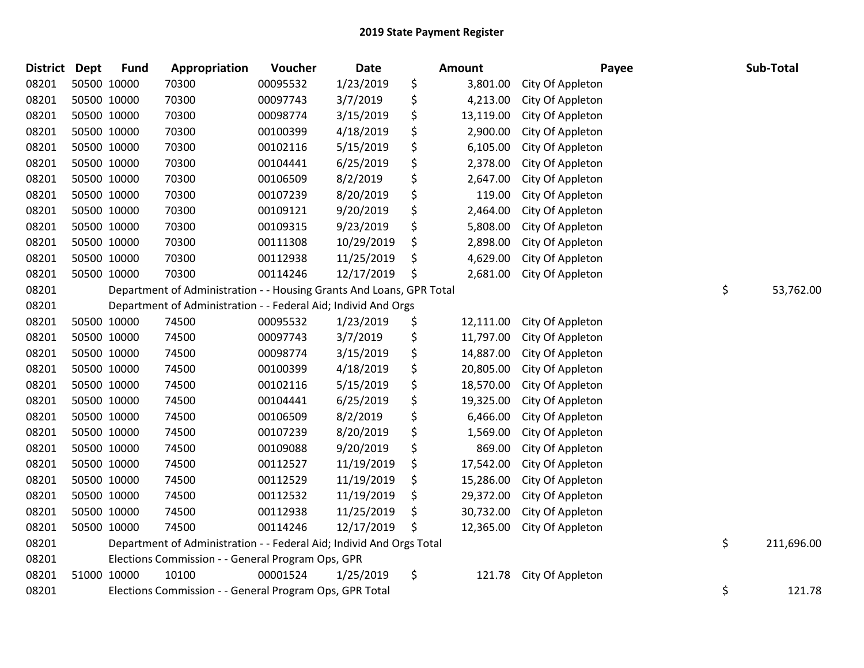| District Dept |             | <b>Fund</b> | Appropriation                                                        | Voucher  | <b>Date</b> | Amount          | Payee            | Sub-Total        |
|---------------|-------------|-------------|----------------------------------------------------------------------|----------|-------------|-----------------|------------------|------------------|
| 08201         | 50500 10000 |             | 70300                                                                | 00095532 | 1/23/2019   | \$<br>3,801.00  | City Of Appleton |                  |
| 08201         | 50500 10000 |             | 70300                                                                | 00097743 | 3/7/2019    | \$<br>4,213.00  | City Of Appleton |                  |
| 08201         | 50500 10000 |             | 70300                                                                | 00098774 | 3/15/2019   | \$<br>13,119.00 | City Of Appleton |                  |
| 08201         | 50500 10000 |             | 70300                                                                | 00100399 | 4/18/2019   | \$<br>2,900.00  | City Of Appleton |                  |
| 08201         | 50500 10000 |             | 70300                                                                | 00102116 | 5/15/2019   | \$<br>6,105.00  | City Of Appleton |                  |
| 08201         | 50500 10000 |             | 70300                                                                | 00104441 | 6/25/2019   | \$<br>2,378.00  | City Of Appleton |                  |
| 08201         | 50500 10000 |             | 70300                                                                | 00106509 | 8/2/2019    | \$<br>2,647.00  | City Of Appleton |                  |
| 08201         | 50500 10000 |             | 70300                                                                | 00107239 | 8/20/2019   | \$<br>119.00    | City Of Appleton |                  |
| 08201         | 50500 10000 |             | 70300                                                                | 00109121 | 9/20/2019   | \$<br>2,464.00  | City Of Appleton |                  |
| 08201         | 50500 10000 |             | 70300                                                                | 00109315 | 9/23/2019   | \$<br>5,808.00  | City Of Appleton |                  |
| 08201         | 50500 10000 |             | 70300                                                                | 00111308 | 10/29/2019  | \$<br>2,898.00  | City Of Appleton |                  |
| 08201         | 50500 10000 |             | 70300                                                                | 00112938 | 11/25/2019  | \$<br>4,629.00  | City Of Appleton |                  |
| 08201         | 50500 10000 |             | 70300                                                                | 00114246 | 12/17/2019  | \$<br>2,681.00  | City Of Appleton |                  |
| 08201         |             |             | Department of Administration - - Housing Grants And Loans, GPR Total |          |             |                 |                  | \$<br>53,762.00  |
| 08201         |             |             | Department of Administration - - Federal Aid; Individ And Orgs       |          |             |                 |                  |                  |
| 08201         | 50500 10000 |             | 74500                                                                | 00095532 | 1/23/2019   | \$<br>12,111.00 | City Of Appleton |                  |
| 08201         | 50500 10000 |             | 74500                                                                | 00097743 | 3/7/2019    | \$<br>11,797.00 | City Of Appleton |                  |
| 08201         | 50500 10000 |             | 74500                                                                | 00098774 | 3/15/2019   | \$<br>14,887.00 | City Of Appleton |                  |
| 08201         | 50500 10000 |             | 74500                                                                | 00100399 | 4/18/2019   | \$<br>20,805.00 | City Of Appleton |                  |
| 08201         | 50500 10000 |             | 74500                                                                | 00102116 | 5/15/2019   | \$<br>18,570.00 | City Of Appleton |                  |
| 08201         | 50500 10000 |             | 74500                                                                | 00104441 | 6/25/2019   | \$<br>19,325.00 | City Of Appleton |                  |
| 08201         | 50500 10000 |             | 74500                                                                | 00106509 | 8/2/2019    | \$<br>6,466.00  | City Of Appleton |                  |
| 08201         | 50500 10000 |             | 74500                                                                | 00107239 | 8/20/2019   | \$<br>1,569.00  | City Of Appleton |                  |
| 08201         | 50500 10000 |             | 74500                                                                | 00109088 | 9/20/2019   | \$<br>869.00    | City Of Appleton |                  |
| 08201         | 50500 10000 |             | 74500                                                                | 00112527 | 11/19/2019  | \$<br>17,542.00 | City Of Appleton |                  |
| 08201         | 50500 10000 |             | 74500                                                                | 00112529 | 11/19/2019  | \$<br>15,286.00 | City Of Appleton |                  |
| 08201         | 50500 10000 |             | 74500                                                                | 00112532 | 11/19/2019  | \$<br>29,372.00 | City Of Appleton |                  |
| 08201         | 50500 10000 |             | 74500                                                                | 00112938 | 11/25/2019  | \$<br>30,732.00 | City Of Appleton |                  |
| 08201         | 50500 10000 |             | 74500                                                                | 00114246 | 12/17/2019  | \$<br>12,365.00 | City Of Appleton |                  |
| 08201         |             |             | Department of Administration - - Federal Aid; Individ And Orgs Total |          |             |                 |                  | \$<br>211,696.00 |
| 08201         |             |             | Elections Commission - - General Program Ops, GPR                    |          |             |                 |                  |                  |
| 08201         | 51000 10000 |             | 10100                                                                | 00001524 | 1/25/2019   | \$<br>121.78    | City Of Appleton |                  |
| 08201         |             |             | Elections Commission - - General Program Ops, GPR Total              |          |             |                 |                  | \$<br>121.78     |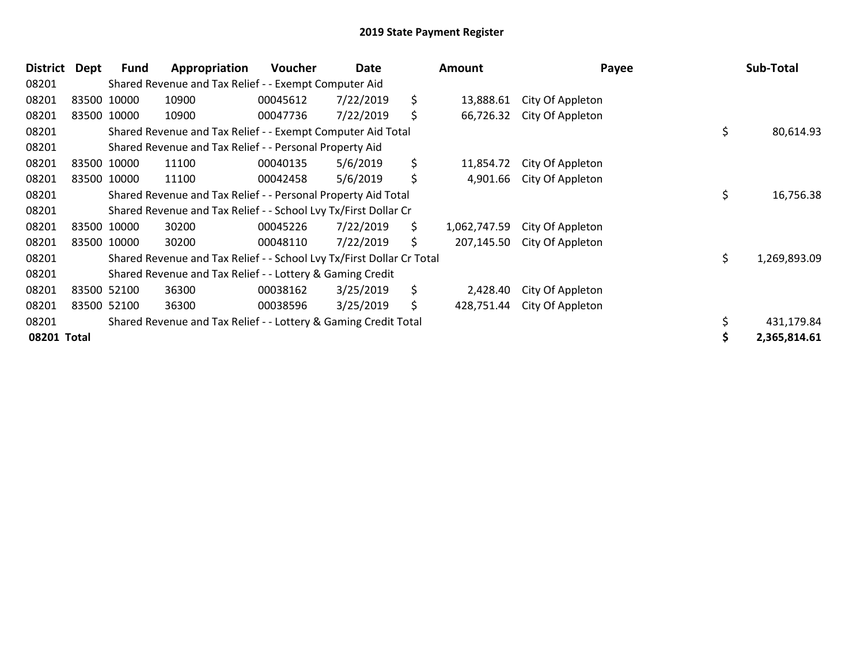| <b>District</b> | Dept | Fund        | Appropriation                                                         | <b>Voucher</b> | Date      |     | <b>Amount</b> | Payee            |     | Sub-Total    |
|-----------------|------|-------------|-----------------------------------------------------------------------|----------------|-----------|-----|---------------|------------------|-----|--------------|
| 08201           |      |             | Shared Revenue and Tax Relief - - Exempt Computer Aid                 |                |           |     |               |                  |     |              |
| 08201           |      | 83500 10000 | 10900                                                                 | 00045612       | 7/22/2019 | \$  | 13,888.61     | City Of Appleton |     |              |
| 08201           |      | 83500 10000 | 10900                                                                 | 00047736       | 7/22/2019 | \$  | 66,726.32     | City Of Appleton |     |              |
| 08201           |      |             | Shared Revenue and Tax Relief - - Exempt Computer Aid Total           |                |           |     |               |                  | \$  | 80,614.93    |
| 08201           |      |             | Shared Revenue and Tax Relief - - Personal Property Aid               |                |           |     |               |                  |     |              |
| 08201           |      | 83500 10000 | 11100                                                                 | 00040135       | 5/6/2019  | \$  | 11,854.72     | City Of Appleton |     |              |
| 08201           |      | 83500 10000 | 11100                                                                 | 00042458       | 5/6/2019  | \$  | 4,901.66      | City Of Appleton |     |              |
| 08201           |      |             | Shared Revenue and Tax Relief - - Personal Property Aid Total         |                |           |     |               |                  | \$  | 16,756.38    |
| 08201           |      |             | Shared Revenue and Tax Relief - - School Lvy Tx/First Dollar Cr       |                |           |     |               |                  |     |              |
| 08201           |      | 83500 10000 | 30200                                                                 | 00045226       | 7/22/2019 | \$. | 1,062,747.59  | City Of Appleton |     |              |
| 08201           |      | 83500 10000 | 30200                                                                 | 00048110       | 7/22/2019 | \$  | 207,145.50    | City Of Appleton |     |              |
| 08201           |      |             | Shared Revenue and Tax Relief - - School Lvy Tx/First Dollar Cr Total |                |           |     |               |                  | \$. | 1,269,893.09 |
| 08201           |      |             | Shared Revenue and Tax Relief - - Lottery & Gaming Credit             |                |           |     |               |                  |     |              |
| 08201           |      | 83500 52100 | 36300                                                                 | 00038162       | 3/25/2019 | \$  | 2,428.40      | City Of Appleton |     |              |
| 08201           |      | 83500 52100 | 36300                                                                 | 00038596       | 3/25/2019 | \$  | 428,751.44    | City Of Appleton |     |              |
| 08201           |      |             | Shared Revenue and Tax Relief - - Lottery & Gaming Credit Total       |                |           |     |               |                  |     | 431,179.84   |
| 08201 Total     |      |             |                                                                       |                |           |     |               |                  |     | 2,365,814.61 |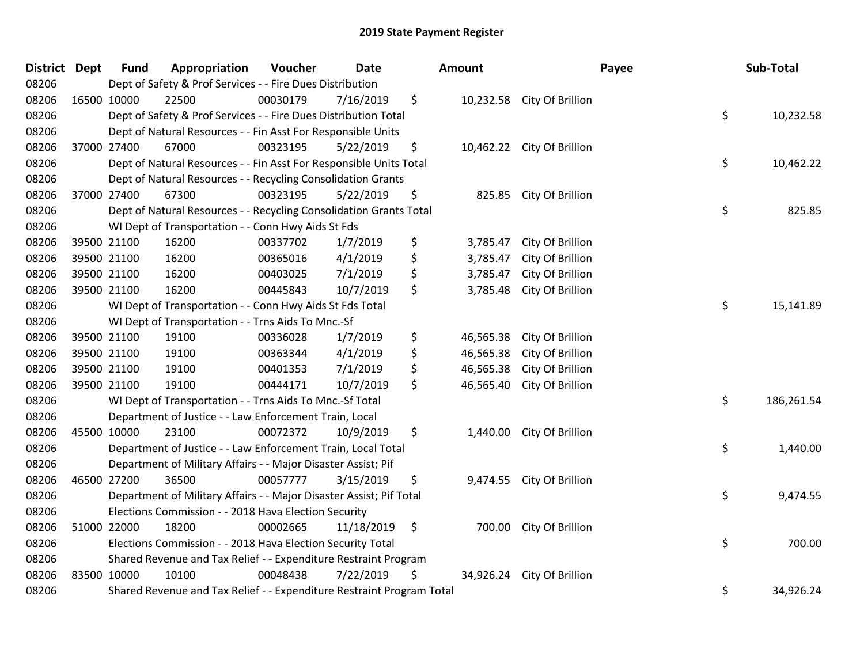| District Dept |             | <b>Fund</b> | Appropriation                                                         | Voucher  | <b>Date</b> | Amount          |                            | Payee | Sub-Total  |
|---------------|-------------|-------------|-----------------------------------------------------------------------|----------|-------------|-----------------|----------------------------|-------|------------|
| 08206         |             |             | Dept of Safety & Prof Services - - Fire Dues Distribution             |          |             |                 |                            |       |            |
| 08206         | 16500 10000 |             | 22500                                                                 | 00030179 | 7/16/2019   | \$              | 10,232.58 City Of Brillion |       |            |
| 08206         |             |             | Dept of Safety & Prof Services - - Fire Dues Distribution Total       |          |             |                 |                            | \$    | 10,232.58  |
| 08206         |             |             | Dept of Natural Resources - - Fin Asst For Responsible Units          |          |             |                 |                            |       |            |
| 08206         | 37000 27400 |             | 67000                                                                 | 00323195 | 5/22/2019   | \$              | 10,462.22 City Of Brillion |       |            |
| 08206         |             |             | Dept of Natural Resources - - Fin Asst For Responsible Units Total    |          |             |                 |                            | \$    | 10,462.22  |
| 08206         |             |             | Dept of Natural Resources - - Recycling Consolidation Grants          |          |             |                 |                            |       |            |
| 08206         | 37000 27400 |             | 67300                                                                 | 00323195 | 5/22/2019   | \$<br>825.85    | City Of Brillion           |       |            |
| 08206         |             |             | Dept of Natural Resources - - Recycling Consolidation Grants Total    |          |             |                 |                            | \$    | 825.85     |
| 08206         |             |             | WI Dept of Transportation - - Conn Hwy Aids St Fds                    |          |             |                 |                            |       |            |
| 08206         | 39500 21100 |             | 16200                                                                 | 00337702 | 1/7/2019    | \$<br>3,785.47  | City Of Brillion           |       |            |
| 08206         | 39500 21100 |             | 16200                                                                 | 00365016 | 4/1/2019    | \$<br>3,785.47  | City Of Brillion           |       |            |
| 08206         | 39500 21100 |             | 16200                                                                 | 00403025 | 7/1/2019    | \$<br>3,785.47  | City Of Brillion           |       |            |
| 08206         | 39500 21100 |             | 16200                                                                 | 00445843 | 10/7/2019   | \$<br>3,785.48  | City Of Brillion           |       |            |
| 08206         |             |             | WI Dept of Transportation - - Conn Hwy Aids St Fds Total              |          |             |                 |                            | \$    | 15,141.89  |
| 08206         |             |             | WI Dept of Transportation - - Trns Aids To Mnc.-Sf                    |          |             |                 |                            |       |            |
| 08206         | 39500 21100 |             | 19100                                                                 | 00336028 | 1/7/2019    | \$<br>46,565.38 | City Of Brillion           |       |            |
| 08206         | 39500 21100 |             | 19100                                                                 | 00363344 | 4/1/2019    | \$<br>46,565.38 | City Of Brillion           |       |            |
| 08206         | 39500 21100 |             | 19100                                                                 | 00401353 | 7/1/2019    | \$<br>46,565.38 | City Of Brillion           |       |            |
| 08206         | 39500 21100 |             | 19100                                                                 | 00444171 | 10/7/2019   | \$<br>46,565.40 | City Of Brillion           |       |            |
| 08206         |             |             | WI Dept of Transportation - - Trns Aids To Mnc.-Sf Total              |          |             |                 |                            | \$    | 186,261.54 |
| 08206         |             |             | Department of Justice - - Law Enforcement Train, Local                |          |             |                 |                            |       |            |
| 08206         | 45500 10000 |             | 23100                                                                 | 00072372 | 10/9/2019   | \$              | 1,440.00 City Of Brillion  |       |            |
| 08206         |             |             | Department of Justice - - Law Enforcement Train, Local Total          |          |             |                 |                            | \$    | 1,440.00   |
| 08206         |             |             | Department of Military Affairs - - Major Disaster Assist; Pif         |          |             |                 |                            |       |            |
| 08206         | 46500 27200 |             | 36500                                                                 | 00057777 | 3/15/2019   | \$<br>9,474.55  | City Of Brillion           |       |            |
| 08206         |             |             | Department of Military Affairs - - Major Disaster Assist; Pif Total   |          |             |                 |                            | \$    | 9,474.55   |
| 08206         |             |             | Elections Commission - - 2018 Hava Election Security                  |          |             |                 |                            |       |            |
| 08206         | 51000 22000 |             | 18200                                                                 | 00002665 | 11/18/2019  | \$              | 700.00 City Of Brillion    |       |            |
| 08206         |             |             | Elections Commission - - 2018 Hava Election Security Total            |          |             |                 |                            | \$    | 700.00     |
| 08206         |             |             | Shared Revenue and Tax Relief - - Expenditure Restraint Program       |          |             |                 |                            |       |            |
| 08206         | 83500 10000 |             | 10100                                                                 | 00048438 | 7/22/2019   | \$<br>34,926.24 | City Of Brillion           |       |            |
| 08206         |             |             | Shared Revenue and Tax Relief - - Expenditure Restraint Program Total |          |             |                 |                            | \$    | 34,926.24  |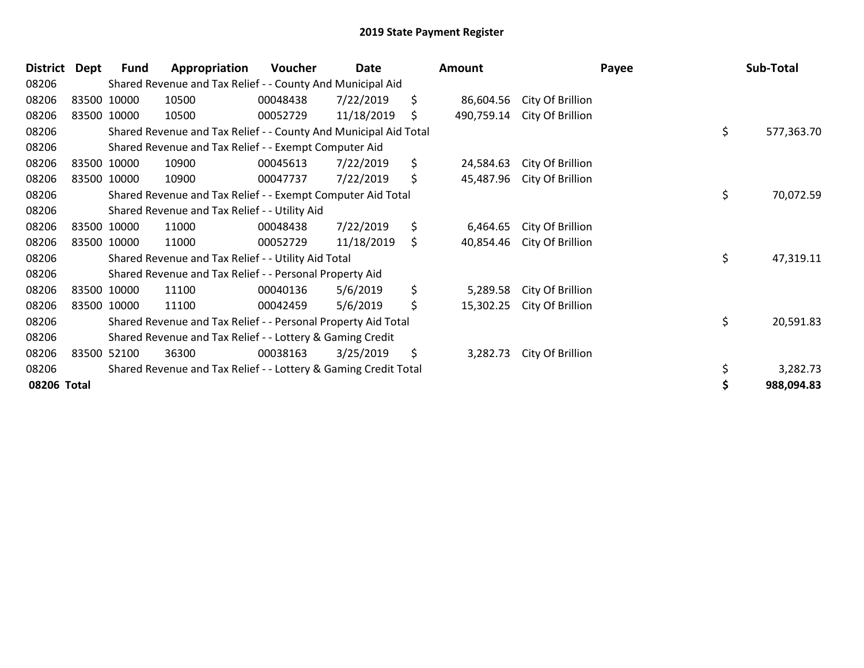| <b>District</b> | <b>Dept</b> | <b>Fund</b> | Appropriation                                                    | Voucher  | Date       | Amount           |                  | Payee | Sub-Total  |
|-----------------|-------------|-------------|------------------------------------------------------------------|----------|------------|------------------|------------------|-------|------------|
| 08206           |             |             | Shared Revenue and Tax Relief - - County And Municipal Aid       |          |            |                  |                  |       |            |
| 08206           |             | 83500 10000 | 10500                                                            | 00048438 | 7/22/2019  | \$<br>86,604.56  | City Of Brillion |       |            |
| 08206           |             | 83500 10000 | 10500                                                            | 00052729 | 11/18/2019 | \$<br>490,759.14 | City Of Brillion |       |            |
| 08206           |             |             | Shared Revenue and Tax Relief - - County And Municipal Aid Total |          |            |                  |                  | \$    | 577,363.70 |
| 08206           |             |             | Shared Revenue and Tax Relief - - Exempt Computer Aid            |          |            |                  |                  |       |            |
| 08206           |             | 83500 10000 | 10900                                                            | 00045613 | 7/22/2019  | \$<br>24,584.63  | City Of Brillion |       |            |
| 08206           |             | 83500 10000 | 10900                                                            | 00047737 | 7/22/2019  | \$<br>45,487.96  | City Of Brillion |       |            |
| 08206           |             |             | Shared Revenue and Tax Relief - - Exempt Computer Aid Total      |          |            |                  |                  | \$    | 70,072.59  |
| 08206           |             |             | Shared Revenue and Tax Relief - - Utility Aid                    |          |            |                  |                  |       |            |
| 08206           |             | 83500 10000 | 11000                                                            | 00048438 | 7/22/2019  | \$<br>6,464.65   | City Of Brillion |       |            |
| 08206           |             | 83500 10000 | 11000                                                            | 00052729 | 11/18/2019 | \$<br>40,854.46  | City Of Brillion |       |            |
| 08206           |             |             | Shared Revenue and Tax Relief - - Utility Aid Total              |          |            |                  |                  | \$    | 47,319.11  |
| 08206           |             |             | Shared Revenue and Tax Relief - - Personal Property Aid          |          |            |                  |                  |       |            |
| 08206           |             | 83500 10000 | 11100                                                            | 00040136 | 5/6/2019   | \$<br>5,289.58   | City Of Brillion |       |            |
| 08206           |             | 83500 10000 | 11100                                                            | 00042459 | 5/6/2019   | \$<br>15,302.25  | City Of Brillion |       |            |
| 08206           |             |             | Shared Revenue and Tax Relief - - Personal Property Aid Total    |          |            |                  |                  | \$    | 20,591.83  |
| 08206           |             |             | Shared Revenue and Tax Relief - - Lottery & Gaming Credit        |          |            |                  |                  |       |            |
| 08206           |             | 83500 52100 | 36300                                                            | 00038163 | 3/25/2019  | \$<br>3,282.73   | City Of Brillion |       |            |
| 08206           |             |             | Shared Revenue and Tax Relief - - Lottery & Gaming Credit Total  |          |            |                  |                  | \$    | 3,282.73   |
| 08206 Total     |             |             |                                                                  |          |            |                  |                  |       | 988,094.83 |
|                 |             |             |                                                                  |          |            |                  |                  |       |            |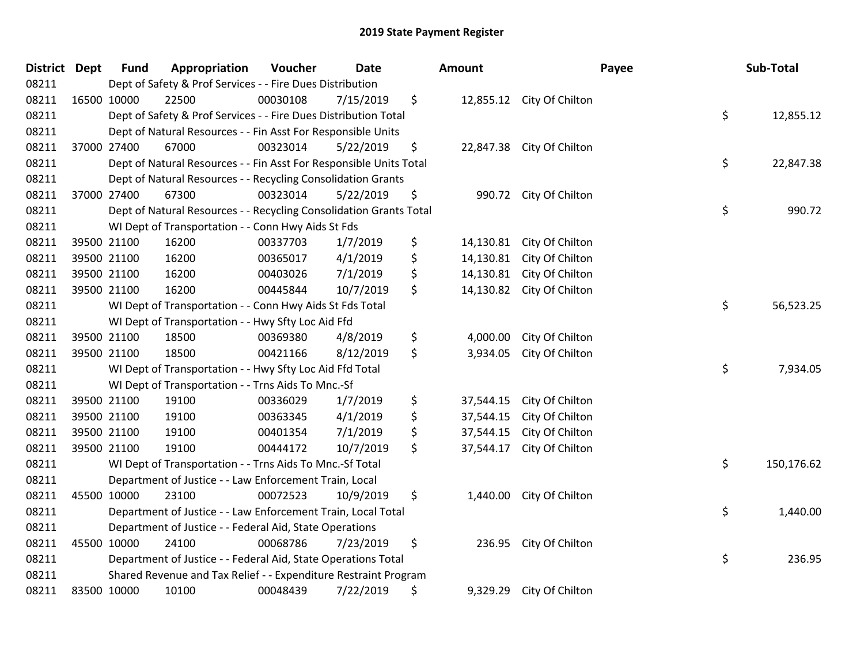| District Dept | <b>Fund</b> | Appropriation                                                      | Voucher  | <b>Date</b> | Amount          |                           | Payee | Sub-Total  |
|---------------|-------------|--------------------------------------------------------------------|----------|-------------|-----------------|---------------------------|-------|------------|
| 08211         |             | Dept of Safety & Prof Services - - Fire Dues Distribution          |          |             |                 |                           |       |            |
| 08211         | 16500 10000 | 22500                                                              | 00030108 | 7/15/2019   | \$              | 12,855.12 City Of Chilton |       |            |
| 08211         |             | Dept of Safety & Prof Services - - Fire Dues Distribution Total    |          |             |                 |                           | \$    | 12,855.12  |
| 08211         |             | Dept of Natural Resources - - Fin Asst For Responsible Units       |          |             |                 |                           |       |            |
| 08211         | 37000 27400 | 67000                                                              | 00323014 | 5/22/2019   | \$<br>22,847.38 | City Of Chilton           |       |            |
| 08211         |             | Dept of Natural Resources - - Fin Asst For Responsible Units Total |          |             |                 |                           | \$    | 22,847.38  |
| 08211         |             | Dept of Natural Resources - - Recycling Consolidation Grants       |          |             |                 |                           |       |            |
| 08211         | 37000 27400 | 67300                                                              | 00323014 | 5/22/2019   | \$<br>990.72    | City Of Chilton           |       |            |
| 08211         |             | Dept of Natural Resources - - Recycling Consolidation Grants Total |          |             |                 |                           | \$    | 990.72     |
| 08211         |             | WI Dept of Transportation - - Conn Hwy Aids St Fds                 |          |             |                 |                           |       |            |
| 08211         | 39500 21100 | 16200                                                              | 00337703 | 1/7/2019    | \$<br>14,130.81 | City Of Chilton           |       |            |
| 08211         | 39500 21100 | 16200                                                              | 00365017 | 4/1/2019    | \$<br>14,130.81 | City Of Chilton           |       |            |
| 08211         | 39500 21100 | 16200                                                              | 00403026 | 7/1/2019    | \$<br>14,130.81 | City Of Chilton           |       |            |
| 08211         | 39500 21100 | 16200                                                              | 00445844 | 10/7/2019   | \$<br>14,130.82 | City Of Chilton           |       |            |
| 08211         |             | WI Dept of Transportation - - Conn Hwy Aids St Fds Total           |          |             |                 |                           | \$    | 56,523.25  |
| 08211         |             | WI Dept of Transportation - - Hwy Sfty Loc Aid Ffd                 |          |             |                 |                           |       |            |
| 08211         | 39500 21100 | 18500                                                              | 00369380 | 4/8/2019    | \$<br>4,000.00  | City Of Chilton           |       |            |
| 08211         | 39500 21100 | 18500                                                              | 00421166 | 8/12/2019   | \$<br>3,934.05  | City Of Chilton           |       |            |
| 08211         |             | WI Dept of Transportation - - Hwy Sfty Loc Aid Ffd Total           |          |             |                 |                           | \$    | 7,934.05   |
| 08211         |             | WI Dept of Transportation - - Trns Aids To Mnc.-Sf                 |          |             |                 |                           |       |            |
| 08211         | 39500 21100 | 19100                                                              | 00336029 | 1/7/2019    | \$<br>37,544.15 | City Of Chilton           |       |            |
| 08211         | 39500 21100 | 19100                                                              | 00363345 | 4/1/2019    | \$<br>37,544.15 | City Of Chilton           |       |            |
| 08211         | 39500 21100 | 19100                                                              | 00401354 | 7/1/2019    | \$<br>37,544.15 | City Of Chilton           |       |            |
| 08211         | 39500 21100 | 19100                                                              | 00444172 | 10/7/2019   | \$<br>37,544.17 | City Of Chilton           |       |            |
| 08211         |             | WI Dept of Transportation - - Trns Aids To Mnc.-Sf Total           |          |             |                 |                           | \$    | 150,176.62 |
| 08211         |             | Department of Justice - - Law Enforcement Train, Local             |          |             |                 |                           |       |            |
| 08211         | 45500 10000 | 23100                                                              | 00072523 | 10/9/2019   | \$<br>1,440.00  | City Of Chilton           |       |            |
| 08211         |             | Department of Justice - - Law Enforcement Train, Local Total       |          |             |                 |                           | \$    | 1,440.00   |
| 08211         |             | Department of Justice - - Federal Aid, State Operations            |          |             |                 |                           |       |            |
| 08211         | 45500 10000 | 24100                                                              | 00068786 | 7/23/2019   | \$<br>236.95    | City Of Chilton           |       |            |
| 08211         |             | Department of Justice - - Federal Aid, State Operations Total      |          |             |                 |                           | \$    | 236.95     |
| 08211         |             | Shared Revenue and Tax Relief - - Expenditure Restraint Program    |          |             |                 |                           |       |            |
| 08211         | 83500 10000 | 10100                                                              | 00048439 | 7/22/2019   | \$<br>9,329.29  | City Of Chilton           |       |            |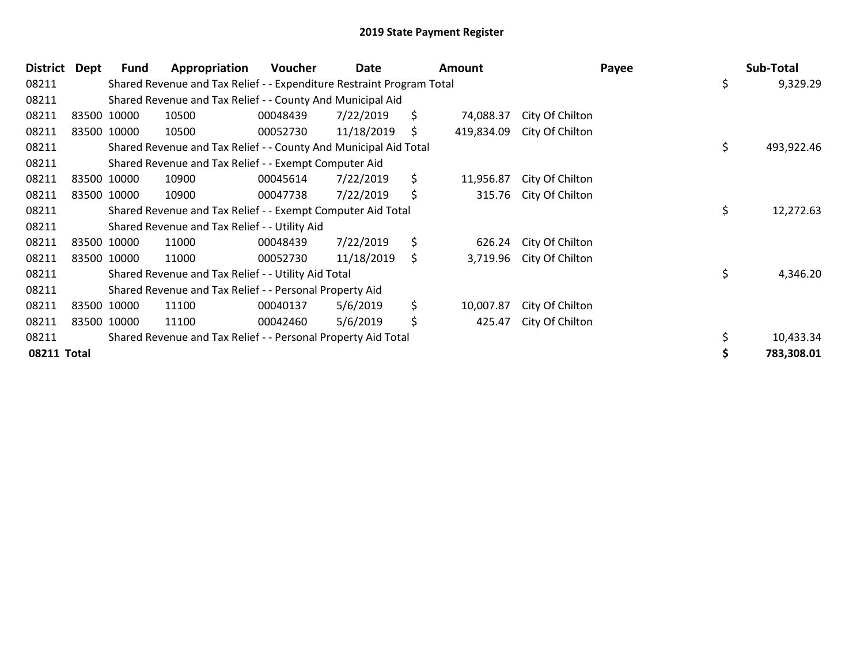| District Dept | Fund        | Appropriation                                                         | Voucher  | Date       | <b>Amount</b>    |                 | Payee | Sub-Total        |
|---------------|-------------|-----------------------------------------------------------------------|----------|------------|------------------|-----------------|-------|------------------|
| 08211         |             | Shared Revenue and Tax Relief - - Expenditure Restraint Program Total |          |            |                  |                 |       | \$<br>9,329.29   |
| 08211         |             | Shared Revenue and Tax Relief - - County And Municipal Aid            |          |            |                  |                 |       |                  |
| 08211         | 83500 10000 | 10500                                                                 | 00048439 | 7/22/2019  | \$<br>74,088.37  | City Of Chilton |       |                  |
| 08211         | 83500 10000 | 10500                                                                 | 00052730 | 11/18/2019 | \$<br>419,834.09 | City Of Chilton |       |                  |
| 08211         |             | Shared Revenue and Tax Relief - - County And Municipal Aid Total      |          |            |                  |                 |       | \$<br>493,922.46 |
| 08211         |             | Shared Revenue and Tax Relief - - Exempt Computer Aid                 |          |            |                  |                 |       |                  |
| 08211         | 83500 10000 | 10900                                                                 | 00045614 | 7/22/2019  | \$<br>11,956.87  | City Of Chilton |       |                  |
| 08211         | 83500 10000 | 10900                                                                 | 00047738 | 7/22/2019  | \$<br>315.76     | City Of Chilton |       |                  |
| 08211         |             | Shared Revenue and Tax Relief - - Exempt Computer Aid Total           |          |            |                  |                 |       | \$<br>12,272.63  |
| 08211         |             | Shared Revenue and Tax Relief - - Utility Aid                         |          |            |                  |                 |       |                  |
| 08211         | 83500 10000 | 11000                                                                 | 00048439 | 7/22/2019  | \$<br>626.24     | City Of Chilton |       |                  |
| 08211         | 83500 10000 | 11000                                                                 | 00052730 | 11/18/2019 | \$<br>3,719.96   | City Of Chilton |       |                  |
| 08211         |             | Shared Revenue and Tax Relief - - Utility Aid Total                   |          |            |                  |                 |       | \$<br>4,346.20   |
| 08211         |             | Shared Revenue and Tax Relief - - Personal Property Aid               |          |            |                  |                 |       |                  |
| 08211         | 83500 10000 | 11100                                                                 | 00040137 | 5/6/2019   | \$<br>10,007.87  | City Of Chilton |       |                  |
| 08211         | 83500 10000 | 11100                                                                 | 00042460 | 5/6/2019   | \$<br>425.47     | City Of Chilton |       |                  |
| 08211         |             | Shared Revenue and Tax Relief - - Personal Property Aid Total         |          |            |                  |                 |       | \$<br>10,433.34  |
| 08211 Total   |             |                                                                       |          |            |                  |                 |       | 783,308.01       |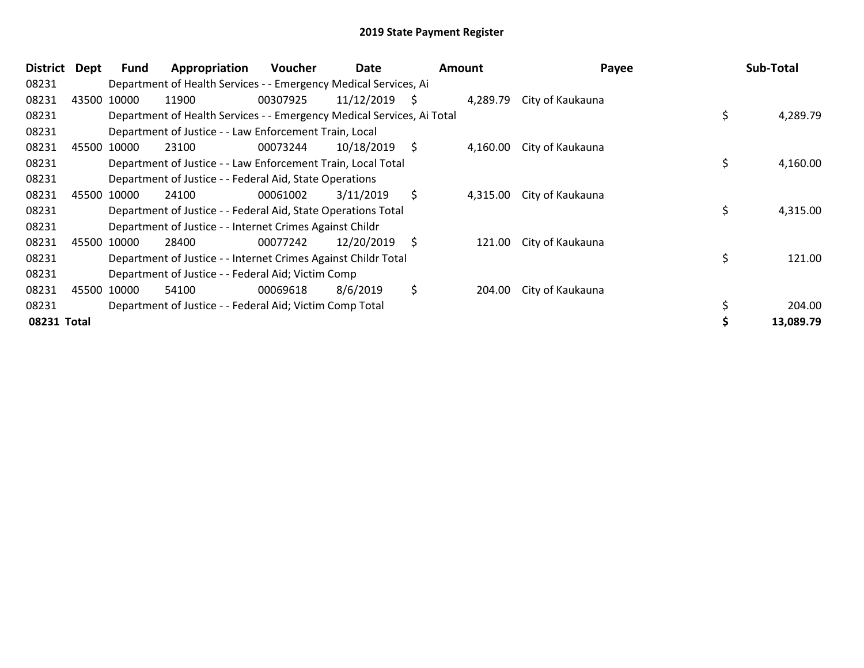| <b>District</b> | Dept | <b>Fund</b> | Appropriation                                                          | <b>Voucher</b> | Date       | <b>Amount</b> |          | Payee            | Sub-Total      |
|-----------------|------|-------------|------------------------------------------------------------------------|----------------|------------|---------------|----------|------------------|----------------|
| 08231           |      |             | Department of Health Services - - Emergency Medical Services, Ai       |                |            |               |          |                  |                |
| 08231           |      | 43500 10000 | 11900                                                                  | 00307925       | 11/12/2019 | -\$           | 4,289.79 | City of Kaukauna |                |
| 08231           |      |             | Department of Health Services - - Emergency Medical Services, Ai Total |                |            |               |          |                  | \$<br>4,289.79 |
| 08231           |      |             | Department of Justice - - Law Enforcement Train, Local                 |                |            |               |          |                  |                |
| 08231           |      | 45500 10000 | 23100                                                                  | 00073244       | 10/18/2019 | -\$           | 4,160.00 | City of Kaukauna |                |
| 08231           |      |             | Department of Justice - - Law Enforcement Train, Local Total           |                |            |               |          |                  | \$<br>4,160.00 |
| 08231           |      |             | Department of Justice - - Federal Aid, State Operations                |                |            |               |          |                  |                |
| 08231           |      | 45500 10000 | 24100                                                                  | 00061002       | 3/11/2019  | \$            | 4,315.00 | City of Kaukauna |                |
| 08231           |      |             | Department of Justice - - Federal Aid, State Operations Total          |                |            |               |          |                  | \$<br>4,315.00 |
| 08231           |      |             | Department of Justice - - Internet Crimes Against Childr               |                |            |               |          |                  |                |
| 08231           |      | 45500 10000 | 28400                                                                  | 00077242       | 12/20/2019 | S.            | 121.00   | City of Kaukauna |                |
| 08231           |      |             | Department of Justice - - Internet Crimes Against Childr Total         |                |            |               |          |                  | \$<br>121.00   |
| 08231           |      |             | Department of Justice - - Federal Aid; Victim Comp                     |                |            |               |          |                  |                |
| 08231           |      | 45500 10000 | 54100                                                                  | 00069618       | 8/6/2019   | \$            | 204.00   | City of Kaukauna |                |
| 08231           |      |             | Department of Justice - - Federal Aid; Victim Comp Total               |                |            |               |          |                  | 204.00         |
| 08231 Total     |      |             |                                                                        |                |            |               |          |                  | 13,089.79      |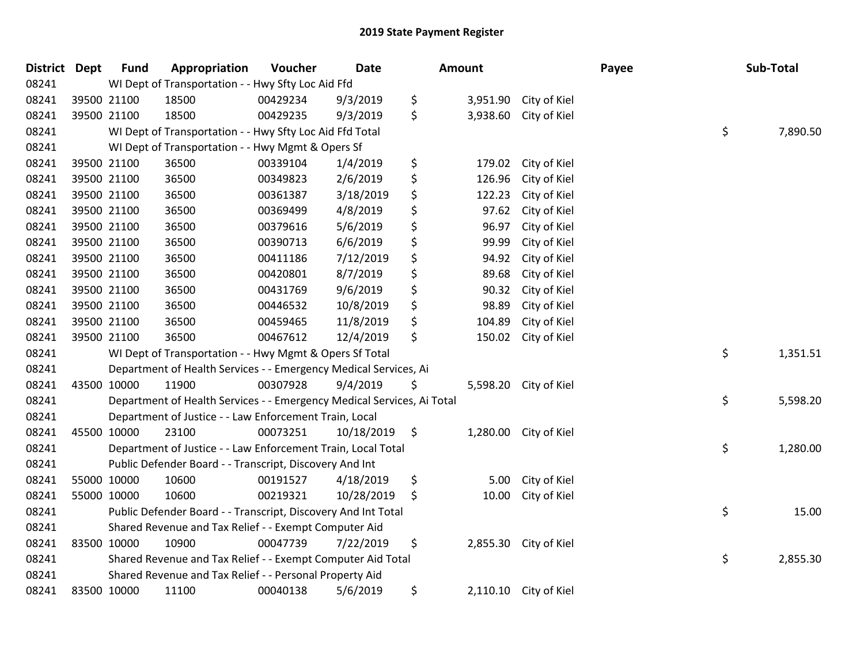| District Dept |             | <b>Fund</b>                                        | Appropriation                                                          | Voucher  | <b>Date</b> | Amount      |          |                       | Payee |    | Sub-Total |
|---------------|-------------|----------------------------------------------------|------------------------------------------------------------------------|----------|-------------|-------------|----------|-----------------------|-------|----|-----------|
| 08241         |             | WI Dept of Transportation - - Hwy Sfty Loc Aid Ffd |                                                                        |          |             |             |          |                       |       |    |           |
| 08241         | 39500 21100 |                                                    | 18500                                                                  | 00429234 | 9/3/2019    | \$          |          | 3,951.90 City of Kiel |       |    |           |
| 08241         | 39500 21100 |                                                    | 18500                                                                  | 00429235 | 9/3/2019    | \$          | 3,938.60 | City of Kiel          |       |    |           |
| 08241         |             |                                                    | WI Dept of Transportation - - Hwy Sfty Loc Aid Ffd Total               |          |             |             |          |                       |       | \$ | 7,890.50  |
| 08241         |             |                                                    | WI Dept of Transportation - - Hwy Mgmt & Opers Sf                      |          |             |             |          |                       |       |    |           |
| 08241         |             | 39500 21100                                        | 36500                                                                  | 00339104 | 1/4/2019    | \$          | 179.02   | City of Kiel          |       |    |           |
| 08241         | 39500 21100 |                                                    | 36500                                                                  | 00349823 | 2/6/2019    | \$          | 126.96   | City of Kiel          |       |    |           |
| 08241         | 39500 21100 |                                                    | 36500                                                                  | 00361387 | 3/18/2019   | \$          | 122.23   | City of Kiel          |       |    |           |
| 08241         | 39500 21100 |                                                    | 36500                                                                  | 00369499 | 4/8/2019    | \$          | 97.62    | City of Kiel          |       |    |           |
| 08241         |             | 39500 21100                                        | 36500                                                                  | 00379616 | 5/6/2019    | \$          | 96.97    | City of Kiel          |       |    |           |
| 08241         | 39500 21100 |                                                    | 36500                                                                  | 00390713 | 6/6/2019    | \$          | 99.99    | City of Kiel          |       |    |           |
| 08241         | 39500 21100 |                                                    | 36500                                                                  | 00411186 | 7/12/2019   | \$          | 94.92    | City of Kiel          |       |    |           |
| 08241         | 39500 21100 |                                                    | 36500                                                                  | 00420801 | 8/7/2019    | \$          | 89.68    | City of Kiel          |       |    |           |
| 08241         | 39500 21100 |                                                    | 36500                                                                  | 00431769 | 9/6/2019    | \$          | 90.32    | City of Kiel          |       |    |           |
| 08241         | 39500 21100 |                                                    | 36500                                                                  | 00446532 | 10/8/2019   | \$          | 98.89    | City of Kiel          |       |    |           |
| 08241         | 39500 21100 |                                                    | 36500                                                                  | 00459465 | 11/8/2019   | \$          | 104.89   | City of Kiel          |       |    |           |
| 08241         | 39500 21100 |                                                    | 36500                                                                  | 00467612 | 12/4/2019   | \$          | 150.02   | City of Kiel          |       |    |           |
| 08241         |             |                                                    | WI Dept of Transportation - - Hwy Mgmt & Opers Sf Total                |          |             |             |          |                       |       | \$ | 1,351.51  |
| 08241         |             |                                                    | Department of Health Services - - Emergency Medical Services, Ai       |          |             |             |          |                       |       |    |           |
| 08241         | 43500 10000 |                                                    | 11900                                                                  | 00307928 | 9/4/2019    | Ş           | 5,598.20 | City of Kiel          |       |    |           |
| 08241         |             |                                                    | Department of Health Services - - Emergency Medical Services, Ai Total |          |             |             |          |                       |       | \$ | 5,598.20  |
| 08241         |             |                                                    | Department of Justice - - Law Enforcement Train, Local                 |          |             |             |          |                       |       |    |           |
| 08241         | 45500 10000 |                                                    | 23100                                                                  | 00073251 | 10/18/2019  | $\varsigma$ |          | 1,280.00 City of Kiel |       |    |           |
| 08241         |             |                                                    | Department of Justice - - Law Enforcement Train, Local Total           |          |             |             |          |                       |       | \$ | 1,280.00  |
| 08241         |             |                                                    | Public Defender Board - - Transcript, Discovery And Int                |          |             |             |          |                       |       |    |           |
| 08241         | 55000 10000 |                                                    | 10600                                                                  | 00191527 | 4/18/2019   | \$          | 5.00     | City of Kiel          |       |    |           |
| 08241         | 55000 10000 |                                                    | 10600                                                                  | 00219321 | 10/28/2019  | \$          | 10.00    | City of Kiel          |       |    |           |
| 08241         |             |                                                    | Public Defender Board - - Transcript, Discovery And Int Total          |          |             |             |          |                       |       | \$ | 15.00     |
| 08241         |             |                                                    | Shared Revenue and Tax Relief - - Exempt Computer Aid                  |          |             |             |          |                       |       |    |           |
| 08241         | 83500 10000 |                                                    | 10900                                                                  | 00047739 | 7/22/2019   | \$          |          | 2,855.30 City of Kiel |       |    |           |
| 08241         |             |                                                    | Shared Revenue and Tax Relief - - Exempt Computer Aid Total            |          |             |             |          |                       |       | \$ | 2,855.30  |
| 08241         |             |                                                    | Shared Revenue and Tax Relief - - Personal Property Aid                |          |             |             |          |                       |       |    |           |
| 08241         | 83500 10000 |                                                    | 11100                                                                  | 00040138 | 5/6/2019    | \$          |          | 2,110.10 City of Kiel |       |    |           |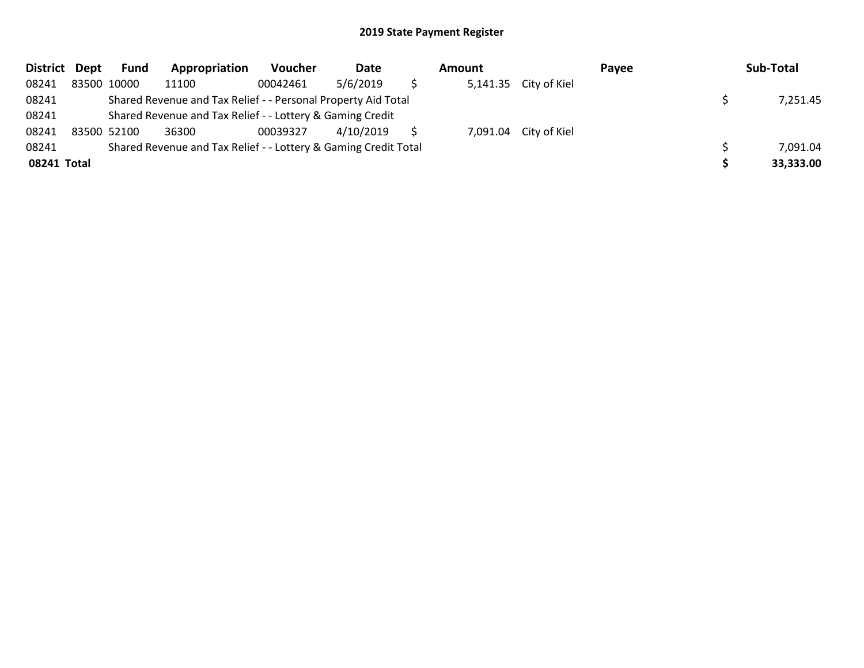| District Dept | <b>Fund</b>                                                     | Appropriation                                             | <b>Voucher</b> | Date      | Amount |  |                       | Payee | Sub-Total |           |
|---------------|-----------------------------------------------------------------|-----------------------------------------------------------|----------------|-----------|--------|--|-----------------------|-------|-----------|-----------|
| 08241         | 83500 10000                                                     | 11100                                                     | 00042461       | 5/6/2019  |        |  | 5,141.35 City of Kiel |       |           |           |
| 08241         | Shared Revenue and Tax Relief - - Personal Property Aid Total   |                                                           | 7,251.45       |           |        |  |                       |       |           |           |
| 08241         |                                                                 | Shared Revenue and Tax Relief - - Lottery & Gaming Credit |                |           |        |  |                       |       |           |           |
| 08241         | 83500 52100                                                     | 36300                                                     | 00039327       | 4/10/2019 |        |  | 7,091.04 City of Kiel |       |           |           |
| 08241         | Shared Revenue and Tax Relief - - Lottery & Gaming Credit Total |                                                           | 7,091.04       |           |        |  |                       |       |           |           |
| 08241 Total   |                                                                 |                                                           |                |           |        |  |                       |       |           | 33,333.00 |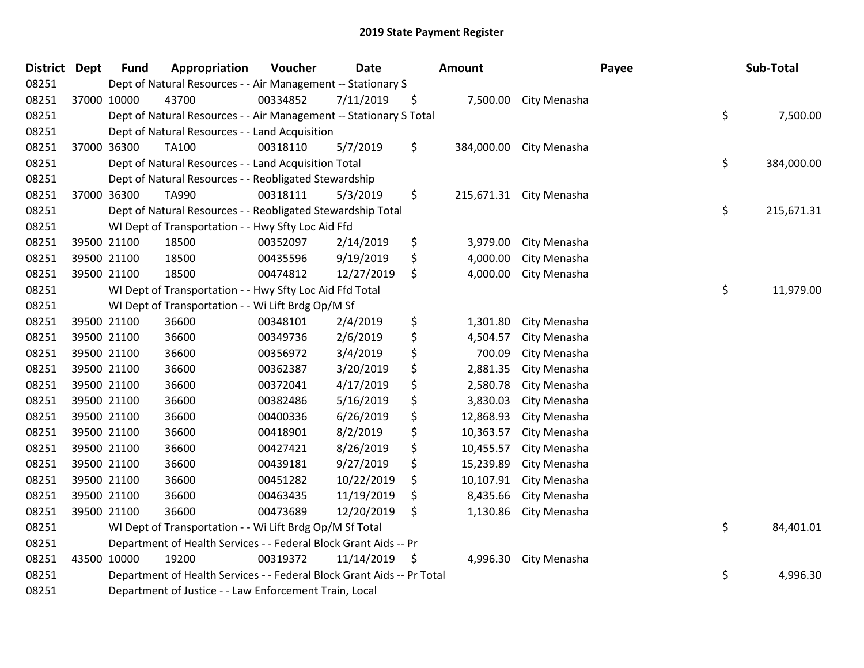| <b>District Dept</b> | <b>Fund</b>                                            | Appropriation                                                          | Voucher  | <b>Date</b> |    | Amount     |                         | Payee |    | Sub-Total  |
|----------------------|--------------------------------------------------------|------------------------------------------------------------------------|----------|-------------|----|------------|-------------------------|-------|----|------------|
| 08251                |                                                        | Dept of Natural Resources - - Air Management -- Stationary S           |          |             |    |            |                         |       |    |            |
| 08251                | 37000 10000                                            | 43700                                                                  | 00334852 | 7/11/2019   | \$ |            | 7,500.00 City Menasha   |       |    |            |
| 08251                |                                                        | Dept of Natural Resources - - Air Management -- Stationary S Total     |          |             |    |            |                         |       | \$ | 7,500.00   |
| 08251                |                                                        | Dept of Natural Resources - - Land Acquisition                         |          |             |    |            |                         |       |    |            |
| 08251                | 37000 36300                                            | <b>TA100</b>                                                           | 00318110 | 5/7/2019    | \$ | 384,000.00 | City Menasha            |       |    |            |
| 08251                |                                                        | Dept of Natural Resources - - Land Acquisition Total                   |          |             |    |            |                         |       | \$ | 384,000.00 |
| 08251                |                                                        | Dept of Natural Resources - - Reobligated Stewardship                  |          |             |    |            |                         |       |    |            |
| 08251                | 37000 36300                                            | TA990                                                                  | 00318111 | 5/3/2019    | \$ |            | 215,671.31 City Menasha |       |    |            |
| 08251                |                                                        | Dept of Natural Resources - - Reobligated Stewardship Total            |          |             |    |            |                         |       | \$ | 215,671.31 |
| 08251                |                                                        | WI Dept of Transportation - - Hwy Sfty Loc Aid Ffd                     |          |             |    |            |                         |       |    |            |
| 08251                | 39500 21100                                            | 18500                                                                  | 00352097 | 2/14/2019   | \$ | 3,979.00   | City Menasha            |       |    |            |
| 08251                | 39500 21100                                            | 18500                                                                  | 00435596 | 9/19/2019   | \$ | 4,000.00   | City Menasha            |       |    |            |
| 08251                | 39500 21100                                            | 18500                                                                  | 00474812 | 12/27/2019  | \$ | 4,000.00   | City Menasha            |       |    |            |
| 08251                |                                                        | WI Dept of Transportation - - Hwy Sfty Loc Aid Ffd Total               |          |             |    |            |                         |       | \$ | 11,979.00  |
| 08251                |                                                        | WI Dept of Transportation - - Wi Lift Brdg Op/M Sf                     |          |             |    |            |                         |       |    |            |
| 08251                | 39500 21100                                            | 36600                                                                  | 00348101 | 2/4/2019    | \$ | 1,301.80   | City Menasha            |       |    |            |
| 08251                | 39500 21100                                            | 36600                                                                  | 00349736 | 2/6/2019    | \$ | 4,504.57   | City Menasha            |       |    |            |
| 08251                | 39500 21100                                            | 36600                                                                  | 00356972 | 3/4/2019    | \$ | 700.09     | City Menasha            |       |    |            |
| 08251                | 39500 21100                                            | 36600                                                                  | 00362387 | 3/20/2019   | \$ | 2,881.35   | City Menasha            |       |    |            |
| 08251                | 39500 21100                                            | 36600                                                                  | 00372041 | 4/17/2019   | \$ | 2,580.78   | City Menasha            |       |    |            |
| 08251                | 39500 21100                                            | 36600                                                                  | 00382486 | 5/16/2019   | \$ | 3,830.03   | City Menasha            |       |    |            |
| 08251                | 39500 21100                                            | 36600                                                                  | 00400336 | 6/26/2019   | \$ | 12,868.93  | City Menasha            |       |    |            |
| 08251                | 39500 21100                                            | 36600                                                                  | 00418901 | 8/2/2019    | \$ | 10,363.57  | City Menasha            |       |    |            |
| 08251                | 39500 21100                                            | 36600                                                                  | 00427421 | 8/26/2019   | \$ | 10,455.57  | City Menasha            |       |    |            |
| 08251                | 39500 21100                                            | 36600                                                                  | 00439181 | 9/27/2019   | \$ | 15,239.89  | City Menasha            |       |    |            |
| 08251                | 39500 21100                                            | 36600                                                                  | 00451282 | 10/22/2019  | \$ | 10,107.91  | City Menasha            |       |    |            |
| 08251                | 39500 21100                                            | 36600                                                                  | 00463435 | 11/19/2019  | \$ | 8,435.66   | City Menasha            |       |    |            |
| 08251                | 39500 21100                                            | 36600                                                                  | 00473689 | 12/20/2019  | \$ | 1,130.86   | City Menasha            |       |    |            |
| 08251                |                                                        | WI Dept of Transportation - - Wi Lift Brdg Op/M Sf Total               |          |             |    |            |                         |       | \$ | 84,401.01  |
| 08251                |                                                        | Department of Health Services - - Federal Block Grant Aids -- Pr       |          |             |    |            |                         |       |    |            |
| 08251                | 43500 10000                                            | 19200                                                                  | 00319372 | 11/14/2019  | \$ | 4,996.30   | City Menasha            |       |    |            |
| 08251                |                                                        | Department of Health Services - - Federal Block Grant Aids -- Pr Total |          |             |    |            |                         |       | \$ | 4,996.30   |
| 08251                | Department of Justice - - Law Enforcement Train, Local |                                                                        |          |             |    |            |                         |       |    |            |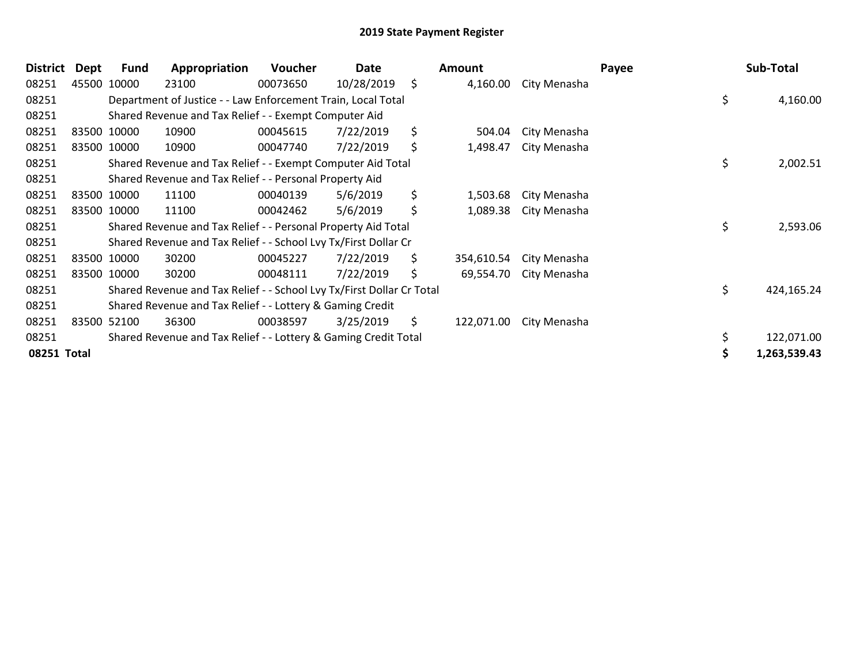| <b>District</b> | Dept | Fund        | Appropriation                                                         | <b>Voucher</b> | Date       | <b>Amount</b>    |              | Payee |    | Sub-Total    |
|-----------------|------|-------------|-----------------------------------------------------------------------|----------------|------------|------------------|--------------|-------|----|--------------|
| 08251           |      | 45500 10000 | 23100                                                                 | 00073650       | 10/28/2019 | \$<br>4,160.00   | City Menasha |       |    |              |
| 08251           |      |             | Department of Justice - - Law Enforcement Train, Local Total          |                |            |                  |              |       | \$ | 4,160.00     |
| 08251           |      |             | Shared Revenue and Tax Relief - - Exempt Computer Aid                 |                |            |                  |              |       |    |              |
| 08251           |      | 83500 10000 | 10900                                                                 | 00045615       | 7/22/2019  | \$<br>504.04     | City Menasha |       |    |              |
| 08251           |      | 83500 10000 | 10900                                                                 | 00047740       | 7/22/2019  | \$<br>1,498.47   | City Menasha |       |    |              |
| 08251           |      |             | Shared Revenue and Tax Relief - - Exempt Computer Aid Total           |                |            |                  |              |       | \$ | 2,002.51     |
| 08251           |      |             | Shared Revenue and Tax Relief - - Personal Property Aid               |                |            |                  |              |       |    |              |
| 08251           |      | 83500 10000 | 11100                                                                 | 00040139       | 5/6/2019   | \$<br>1,503.68   | City Menasha |       |    |              |
| 08251           |      | 83500 10000 | 11100                                                                 | 00042462       | 5/6/2019   | \$<br>1,089.38   | City Menasha |       |    |              |
| 08251           |      |             | Shared Revenue and Tax Relief - - Personal Property Aid Total         |                |            |                  |              |       | \$ | 2,593.06     |
| 08251           |      |             | Shared Revenue and Tax Relief - - School Lvy Tx/First Dollar Cr       |                |            |                  |              |       |    |              |
| 08251           |      | 83500 10000 | 30200                                                                 | 00045227       | 7/22/2019  | \$<br>354,610.54 | City Menasha |       |    |              |
| 08251           |      | 83500 10000 | 30200                                                                 | 00048111       | 7/22/2019  | \$<br>69,554.70  | City Menasha |       |    |              |
| 08251           |      |             | Shared Revenue and Tax Relief - - School Lvy Tx/First Dollar Cr Total |                |            |                  |              |       | \$ | 424,165.24   |
| 08251           |      |             | Shared Revenue and Tax Relief - - Lottery & Gaming Credit             |                |            |                  |              |       |    |              |
| 08251           |      | 83500 52100 | 36300                                                                 | 00038597       | 3/25/2019  | \$<br>122,071.00 | City Menasha |       |    |              |
| 08251           |      |             | Shared Revenue and Tax Relief - - Lottery & Gaming Credit Total       |                |            |                  |              |       | \$ | 122,071.00   |
| 08251 Total     |      |             |                                                                       |                |            |                  |              |       | S  | 1,263,539.43 |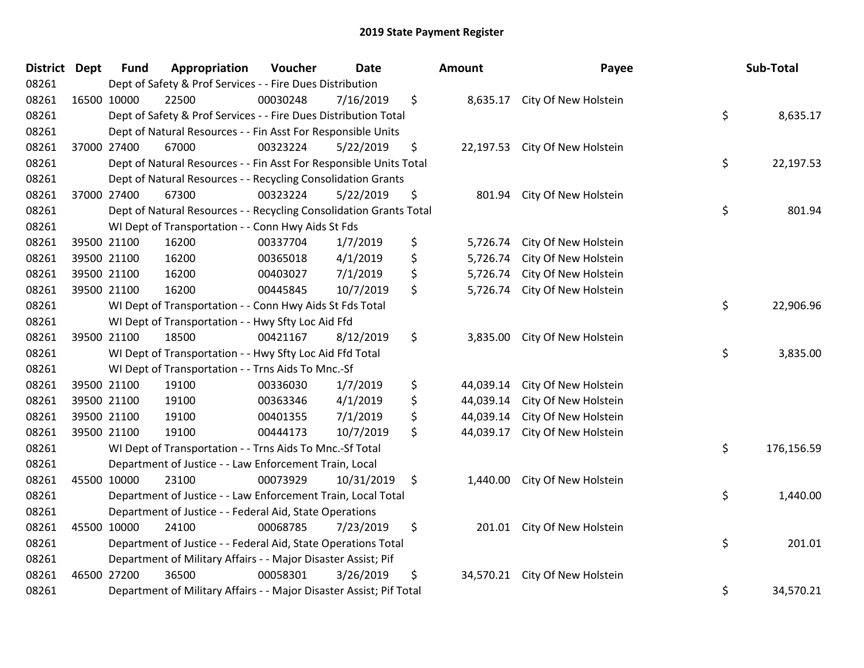| District Dept | <b>Fund</b> | Appropriation                                                       | Voucher  | <b>Date</b> | Amount          | Payee                       | Sub-Total        |
|---------------|-------------|---------------------------------------------------------------------|----------|-------------|-----------------|-----------------------------|------------------|
| 08261         |             | Dept of Safety & Prof Services - - Fire Dues Distribution           |          |             |                 |                             |                  |
| 08261         | 16500 10000 | 22500                                                               | 00030248 | 7/16/2019   | \$<br>8,635.17  | City Of New Holstein        |                  |
| 08261         |             | Dept of Safety & Prof Services - - Fire Dues Distribution Total     |          |             |                 |                             | \$<br>8,635.17   |
| 08261         |             | Dept of Natural Resources - - Fin Asst For Responsible Units        |          |             |                 |                             |                  |
| 08261         | 37000 27400 | 67000                                                               | 00323224 | 5/22/2019   | \$<br>22,197.53 | City Of New Holstein        |                  |
| 08261         |             | Dept of Natural Resources - - Fin Asst For Responsible Units Total  |          |             |                 |                             | \$<br>22,197.53  |
| 08261         |             | Dept of Natural Resources - - Recycling Consolidation Grants        |          |             |                 |                             |                  |
| 08261         | 37000 27400 | 67300                                                               | 00323224 | 5/22/2019   | \$<br>801.94    | City Of New Holstein        |                  |
| 08261         |             | Dept of Natural Resources - - Recycling Consolidation Grants Total  |          |             |                 |                             | \$<br>801.94     |
| 08261         |             | WI Dept of Transportation - - Conn Hwy Aids St Fds                  |          |             |                 |                             |                  |
| 08261         | 39500 21100 | 16200                                                               | 00337704 | 1/7/2019    | \$<br>5,726.74  | City Of New Holstein        |                  |
| 08261         | 39500 21100 | 16200                                                               | 00365018 | 4/1/2019    | \$<br>5,726.74  | City Of New Holstein        |                  |
| 08261         | 39500 21100 | 16200                                                               | 00403027 | 7/1/2019    | \$<br>5,726.74  | City Of New Holstein        |                  |
| 08261         | 39500 21100 | 16200                                                               | 00445845 | 10/7/2019   | \$<br>5,726.74  | City Of New Holstein        |                  |
| 08261         |             | WI Dept of Transportation - - Conn Hwy Aids St Fds Total            |          |             |                 |                             | \$<br>22,906.96  |
| 08261         |             | WI Dept of Transportation - - Hwy Sfty Loc Aid Ffd                  |          |             |                 |                             |                  |
| 08261         | 39500 21100 | 18500                                                               | 00421167 | 8/12/2019   | \$<br>3,835.00  | City Of New Holstein        |                  |
| 08261         |             | WI Dept of Transportation - - Hwy Sfty Loc Aid Ffd Total            |          |             |                 |                             | \$<br>3,835.00   |
| 08261         |             | WI Dept of Transportation - - Trns Aids To Mnc.-Sf                  |          |             |                 |                             |                  |
| 08261         | 39500 21100 | 19100                                                               | 00336030 | 1/7/2019    | \$<br>44,039.14 | City Of New Holstein        |                  |
| 08261         | 39500 21100 | 19100                                                               | 00363346 | 4/1/2019    | \$<br>44,039.14 | City Of New Holstein        |                  |
| 08261         | 39500 21100 | 19100                                                               | 00401355 | 7/1/2019    | \$<br>44,039.14 | City Of New Holstein        |                  |
| 08261         | 39500 21100 | 19100                                                               | 00444173 | 10/7/2019   | \$<br>44,039.17 | City Of New Holstein        |                  |
| 08261         |             | WI Dept of Transportation - - Trns Aids To Mnc.-Sf Total            |          |             |                 |                             | \$<br>176,156.59 |
| 08261         |             | Department of Justice - - Law Enforcement Train, Local              |          |             |                 |                             |                  |
| 08261         | 45500 10000 | 23100                                                               | 00073929 | 10/31/2019  | \$<br>1,440.00  | City Of New Holstein        |                  |
| 08261         |             | Department of Justice - - Law Enforcement Train, Local Total        |          |             |                 |                             | \$<br>1,440.00   |
| 08261         |             | Department of Justice - - Federal Aid, State Operations             |          |             |                 |                             |                  |
| 08261         | 45500 10000 | 24100                                                               | 00068785 | 7/23/2019   | \$              | 201.01 City Of New Holstein |                  |
| 08261         |             | Department of Justice - - Federal Aid, State Operations Total       |          |             |                 |                             | \$<br>201.01     |
| 08261         |             | Department of Military Affairs - - Major Disaster Assist; Pif       |          |             |                 |                             |                  |
| 08261         | 46500 27200 | 36500                                                               | 00058301 | 3/26/2019   | \$<br>34,570.21 | City Of New Holstein        |                  |
| 08261         |             | Department of Military Affairs - - Major Disaster Assist; Pif Total |          |             |                 |                             | \$<br>34,570.21  |